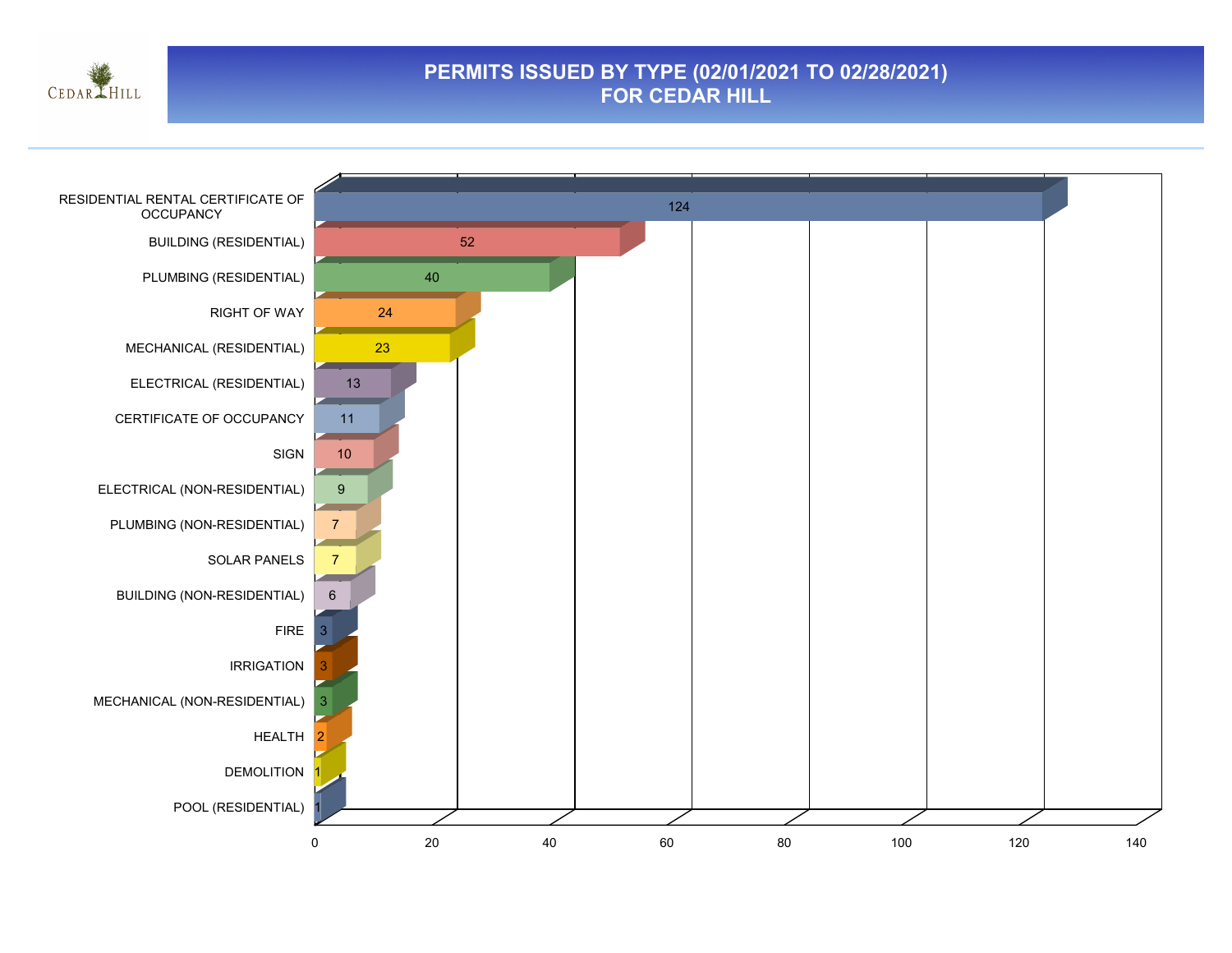

#### **PERMITS ISSUED BY TYPE (02/01/2021 TO 02/28/2021) FOR CEDAR HILL**

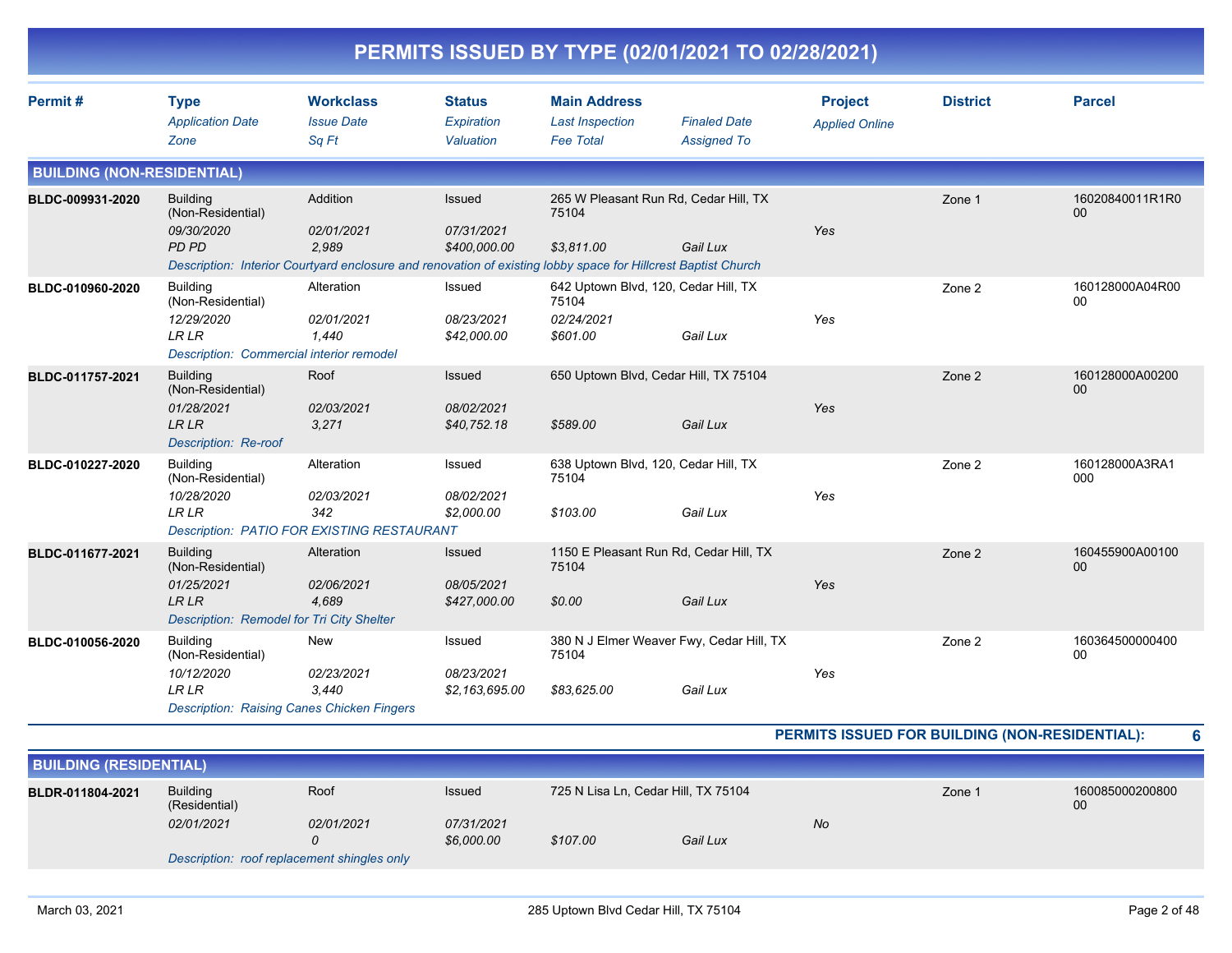|                                   | PERMITS ISSUED BY TYPE (02/01/2021 TO 02/28/2021)                                                                      |                                                                                                                                                  |                                             |                                                                         |                                                      |                                         |                 |                       |  |  |  |
|-----------------------------------|------------------------------------------------------------------------------------------------------------------------|--------------------------------------------------------------------------------------------------------------------------------------------------|---------------------------------------------|-------------------------------------------------------------------------|------------------------------------------------------|-----------------------------------------|-----------------|-----------------------|--|--|--|
| Permit#                           | <b>Type</b><br><b>Application Date</b><br>Zone                                                                         | <b>Workclass</b><br><b>Issue Date</b><br>Sq Ft                                                                                                   | <b>Status</b><br>Expiration<br>Valuation    | <b>Main Address</b><br><b>Last Inspection</b><br><b>Fee Total</b>       | <b>Finaled Date</b><br><b>Assigned To</b>            | <b>Project</b><br><b>Applied Online</b> | <b>District</b> | <b>Parcel</b>         |  |  |  |
| <b>BUILDING (NON-RESIDENTIAL)</b> |                                                                                                                        |                                                                                                                                                  |                                             |                                                                         |                                                      |                                         |                 |                       |  |  |  |
| BLDC-009931-2020                  | <b>Building</b><br>(Non-Residential)<br>09/30/2020<br><b>PD PD</b>                                                     | Addition<br>02/01/2021<br>2,989<br>Description: Interior Courtyard enclosure and renovation of existing lobby space for Hillcrest Baptist Church | Issued<br>07/31/2021<br>\$400,000.00        | 265 W Pleasant Run Rd, Cedar Hill, TX<br>75104<br>\$3,811.00            | Gail Lux                                             | Yes                                     | Zone 1          | 16020840011R1R0<br>00 |  |  |  |
| BLDC-010960-2020                  | <b>Building</b><br>(Non-Residential)<br>12/29/2020<br><b>LRLR</b><br>Description: Commercial interior remodel          | Alteration<br>02/01/2021<br>1,440                                                                                                                | Issued<br>08/23/2021<br>\$42,000.00         | 642 Uptown Blvd, 120, Cedar Hill, TX<br>75104<br>02/24/2021<br>\$601.00 | Gail Lux                                             | Yes                                     | Zone 2          | 160128000A04R00<br>00 |  |  |  |
| BLDC-011757-2021                  | <b>Building</b><br>(Non-Residential)<br>01/28/2021<br>LR LR<br><b>Description: Re-roof</b>                             | Roof<br>02/03/2021<br>3,271                                                                                                                      | Issued<br>08/02/2021<br>\$40,752.18         | 650 Uptown Blvd, Cedar Hill, TX 75104<br>\$589.00                       | Gail Lux                                             | Yes                                     | Zone 2          | 160128000A00200<br>00 |  |  |  |
| BLDC-010227-2020                  | <b>Building</b><br>(Non-Residential)<br>10/28/2020<br><b>LR LR</b>                                                     | Alteration<br>02/03/2021<br>342<br><b>Description: PATIO FOR EXISTING RESTAURANT</b>                                                             | Issued<br>08/02/2021<br>\$2,000.00          | 638 Uptown Blvd, 120, Cedar Hill, TX<br>75104<br>\$103.00               | Gail Lux                                             | Yes                                     | Zone 2          | 160128000A3RA1<br>000 |  |  |  |
| BLDC-011677-2021                  | <b>Building</b><br>(Non-Residential)<br>01/25/2021<br><b>LR LR</b><br>Description: Remodel for Tri City Shelter        | Alteration<br>02/06/2021<br>4,689                                                                                                                | <b>Issued</b><br>08/05/2021<br>\$427,000.00 | 75104<br>\$0.00                                                         | 1150 E Pleasant Run Rd, Cedar Hill, TX<br>Gail Lux   | Yes                                     | Zone 2          | 160455900A00100<br>00 |  |  |  |
| BLDC-010056-2020                  | <b>Building</b><br>(Non-Residential)<br>10/12/2020<br><b>LRLR</b><br><b>Description: Raising Canes Chicken Fingers</b> | <b>New</b><br>02/23/2021<br>3,440                                                                                                                | Issued<br>08/23/2021<br>\$2,163,695.00      | 75104<br>\$83.625.00                                                    | 380 N J Elmer Weaver Fwy, Cedar Hill, TX<br>Gail Lux | Yes                                     | Zone 2          | 160364500000400<br>00 |  |  |  |

#### **PERMITS ISSUED FOR BUILDING (NON-RESIDENTIAL): 6**

| <b>BUILDING (RESIDENTIAL)</b> |                                                                                           |            |                          |                            |  |  |        |                       |  |
|-------------------------------|-------------------------------------------------------------------------------------------|------------|--------------------------|----------------------------|--|--|--------|-----------------------|--|
| BLDR-011804-2021              | Roof<br>725 N Lisa Ln, Cedar Hill, TX 75104<br><b>Building</b><br>Issued<br>(Residential) |            |                          |                            |  |  | Zone 1 | 160085000200800<br>00 |  |
|                               | 02/01/2021                                                                                | 02/01/2021 | 07/31/2021<br>\$6,000.00 | No<br>\$107.00<br>Gail Lux |  |  |        |                       |  |
|                               | Description: roof replacement shingles only                                               |            |                          |                            |  |  |        |                       |  |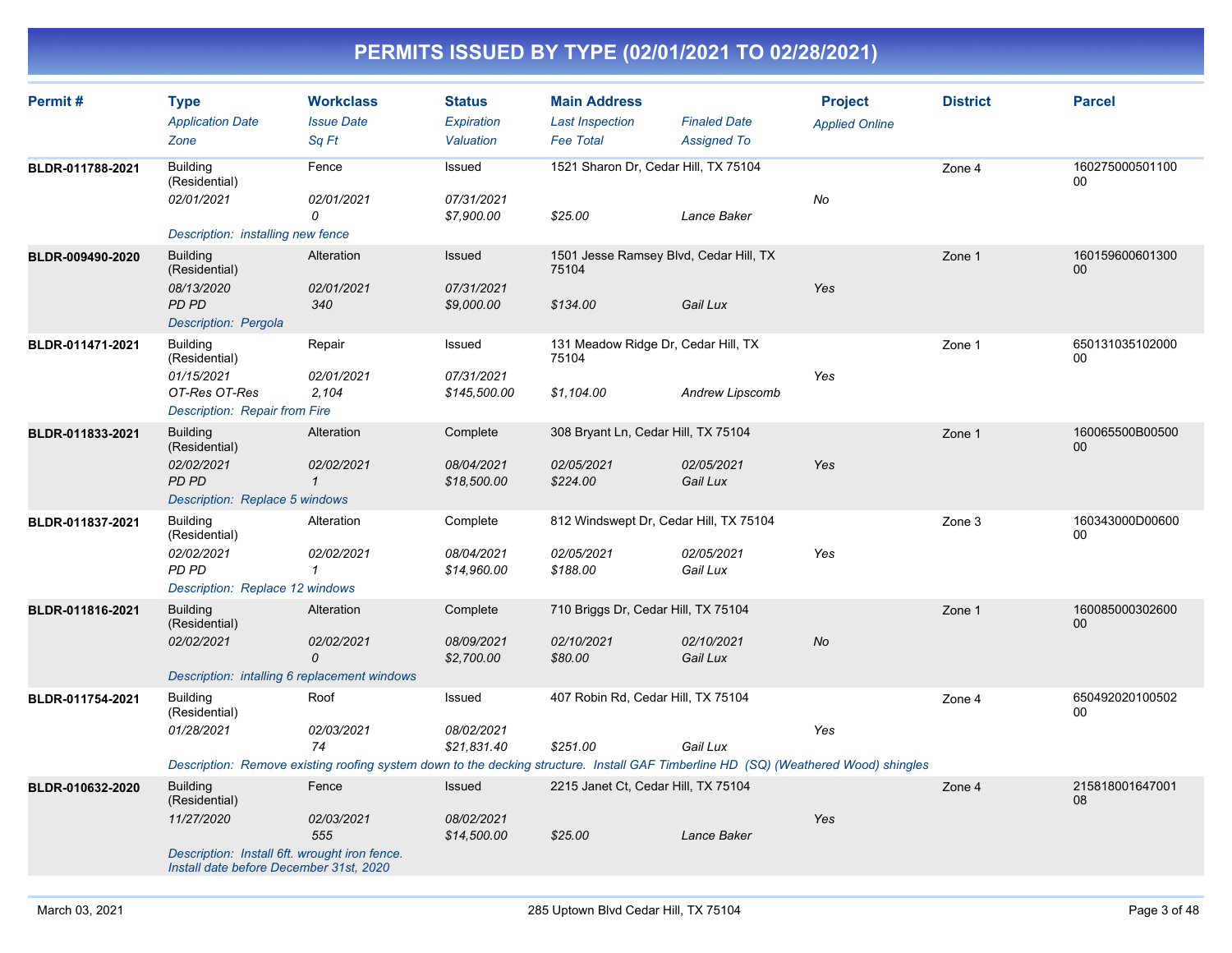| Permit#          | <b>Type</b><br><b>Application Date</b><br>Zone                                                                                             | <b>Workclass</b><br><b>Issue Date</b><br>Sq Ft                                                                                                                  | <b>Status</b><br>Expiration<br>Valuation | <b>Main Address</b><br><b>Last Inspection</b><br><b>Fee Total</b> | <b>Finaled Date</b><br><b>Assigned To</b> | <b>Project</b><br><b>Applied Online</b> | <b>District</b> | <b>Parcel</b>         |
|------------------|--------------------------------------------------------------------------------------------------------------------------------------------|-----------------------------------------------------------------------------------------------------------------------------------------------------------------|------------------------------------------|-------------------------------------------------------------------|-------------------------------------------|-----------------------------------------|-----------------|-----------------------|
| BLDR-011788-2021 | <b>Building</b><br>(Residential)<br>02/01/2021<br>Description: installing new fence                                                        | Fence<br>02/01/2021<br>0                                                                                                                                        | Issued<br>07/31/2021<br>\$7,900.00       | 1521 Sharon Dr, Cedar Hill, TX 75104<br>\$25.00                   | Lance Baker                               | No                                      | Zone 4          | 160275000501100<br>00 |
| BLDR-009490-2020 | <b>Building</b><br>(Residential)<br>08/13/2020<br><b>PD PD</b><br>Description: Pergola                                                     | Alteration<br>02/01/2021<br>340                                                                                                                                 | Issued<br>07/31/2021<br>\$9,000.00       | 1501 Jesse Ramsey Blvd, Cedar Hill, TX<br>75104<br>\$134.00       | Gail Lux                                  | Yes                                     | Zone 1          | 160159600601300<br>00 |
| BLDR-011471-2021 | <b>Building</b><br>(Residential)<br>01/15/2021<br>OT-Res OT-Res<br><b>Description: Repair from Fire</b>                                    | Repair<br>02/01/2021<br>2,104                                                                                                                                   | Issued<br>07/31/2021<br>\$145,500.00     | 131 Meadow Ridge Dr, Cedar Hill, TX<br>75104<br>\$1,104.00        | Andrew Lipscomb                           | Yes                                     | Zone 1          | 650131035102000<br>00 |
| BLDR-011833-2021 | <b>Building</b><br>(Residential)<br>02/02/2021<br><b>PD PD</b><br>Description: Replace 5 windows                                           | Alteration<br>02/02/2021<br>$\mathbf{1}$                                                                                                                        | Complete<br>08/04/2021<br>\$18,500.00    | 308 Bryant Ln, Cedar Hill, TX 75104<br>02/05/2021<br>\$224.00     | 02/05/2021<br>Gail Lux                    | Yes                                     | Zone 1          | 160065500B00500<br>00 |
| BLDR-011837-2021 | <b>Building</b><br>(Residential)<br>02/02/2021<br><b>PD PD</b><br>Description: Replace 12 windows                                          | Alteration<br>02/02/2021<br>$\mathbf{1}$                                                                                                                        | Complete<br>08/04/2021<br>\$14,960.00    | 812 Windswept Dr, Cedar Hill, TX 75104<br>02/05/2021<br>\$188.00  | 02/05/2021<br>Gail Lux                    | Yes                                     | Zone 3          | 160343000D00600<br>00 |
| BLDR-011816-2021 | <b>Building</b><br>(Residential)<br>02/02/2021<br>Description: intalling 6 replacement windows                                             | Alteration<br>02/02/2021<br>0                                                                                                                                   | Complete<br>08/09/2021<br>\$2,700.00     | 710 Briggs Dr, Cedar Hill, TX 75104<br>02/10/2021<br>\$80.00      | 02/10/2021<br>Gail Lux                    | No                                      | Zone 1          | 160085000302600<br>00 |
| BLDR-011754-2021 | <b>Building</b><br>(Residential)<br>01/28/2021                                                                                             | Roof<br>02/03/2021<br>74<br>Description: Remove existing roofing system down to the decking structure. Install GAF Timberline HD (SQ) (Weathered Wood) shingles | Issued<br>08/02/2021<br>\$21,831.40      | 407 Robin Rd, Cedar Hill, TX 75104<br>\$251.00                    | Gail Lux                                  | Yes                                     | Zone 4          | 650492020100502<br>00 |
| BLDR-010632-2020 | <b>Building</b><br>(Residential)<br>11/27/2020<br>Description: Install 6ft. wrought iron fence.<br>Install date before December 31st, 2020 | Fence<br>02/03/2021<br>555                                                                                                                                      | Issued<br>08/02/2021<br>\$14,500.00      | 2215 Janet Ct, Cedar Hill, TX 75104<br>\$25.00                    | Lance Baker                               | Yes                                     | Zone 4          | 215818001647001<br>08 |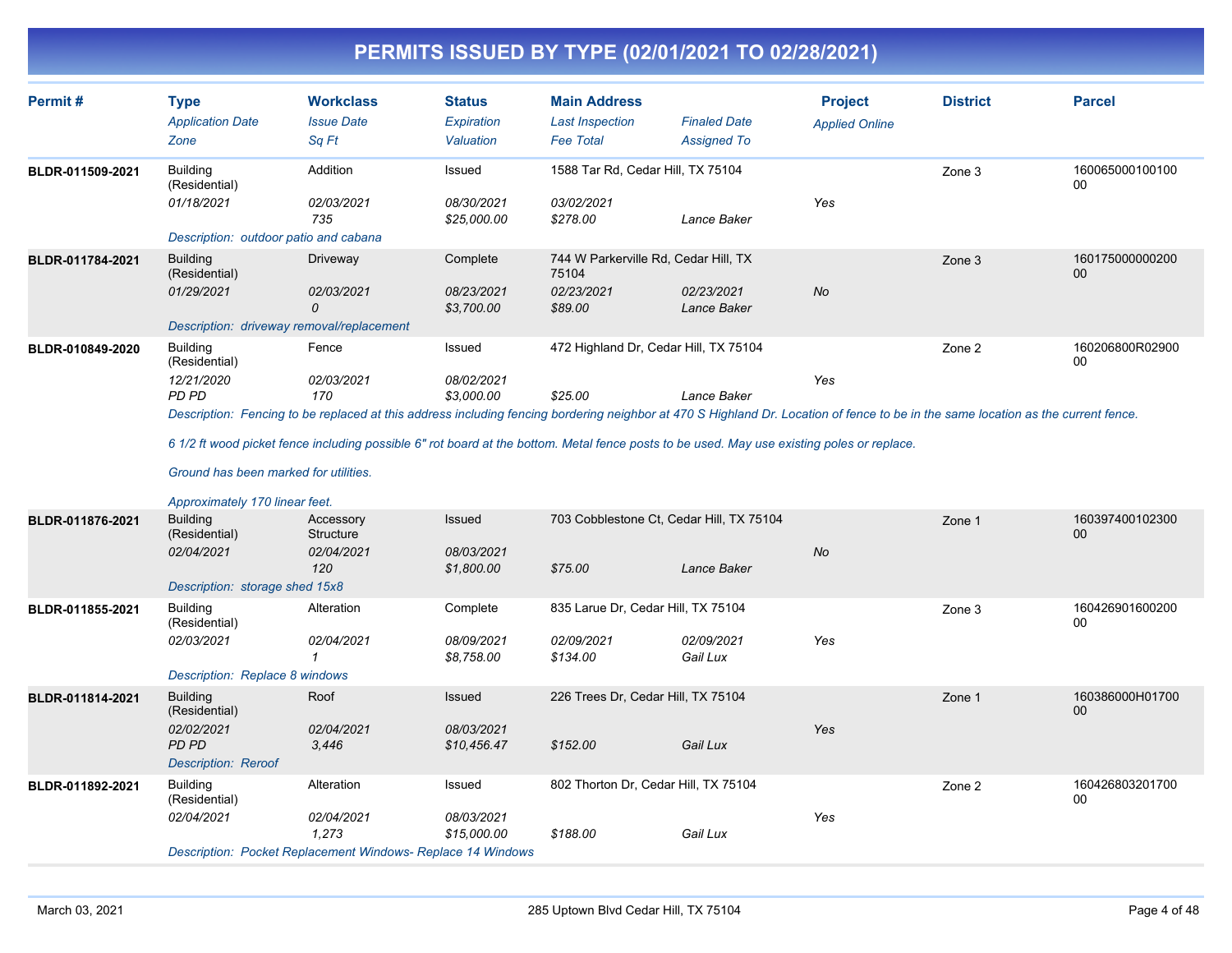| Permit#          | <b>Type</b><br><b>Application Date</b><br>Zone                                                                                     | <b>Workclass</b><br><b>Issue Date</b><br>Sa Ft                                                                                                                                                                                                                                                                                                                | <b>Status</b><br>Expiration<br>Valuation | <b>Main Address</b><br><b>Last Inspection</b><br><b>Fee Total</b>      | <b>Finaled Date</b><br><b>Assigned To</b> | <b>Project</b><br><b>Applied Online</b> | <b>District</b> | <b>Parcel</b>         |
|------------------|------------------------------------------------------------------------------------------------------------------------------------|---------------------------------------------------------------------------------------------------------------------------------------------------------------------------------------------------------------------------------------------------------------------------------------------------------------------------------------------------------------|------------------------------------------|------------------------------------------------------------------------|-------------------------------------------|-----------------------------------------|-----------------|-----------------------|
| BLDR-011509-2021 | <b>Building</b><br>(Residential)<br>01/18/2021<br>Description: outdoor patio and cabana                                            | Addition<br>02/03/2021<br>735                                                                                                                                                                                                                                                                                                                                 | Issued<br>08/30/2021<br>\$25,000.00      | 1588 Tar Rd, Cedar Hill, TX 75104<br>03/02/2021<br>\$278.00            | Lance Baker                               | Yes                                     | Zone 3          | 160065000100100<br>00 |
| BLDR-011784-2021 | <b>Building</b><br>(Residential)<br>01/29/2021<br>Description: driveway removal/replacement                                        | Driveway<br>02/03/2021<br>$\Omega$                                                                                                                                                                                                                                                                                                                            | Complete<br>08/23/2021<br>\$3,700.00     | 744 W Parkerville Rd, Cedar Hill, TX<br>75104<br>02/23/2021<br>\$89.00 | 02/23/2021<br>Lance Baker                 | No                                      | Zone 3          | 160175000000200<br>00 |
| BLDR-010849-2020 | <b>Building</b><br>(Residential)<br>12/21/2020<br>PD PD<br>Ground has been marked for utilities.<br>Approximately 170 linear feet. | Fence<br>02/03/2021<br>170<br>Description: Fencing to be replaced at this address including fencing bordering neighbor at 470 S Highland Dr. Location of fence to be in the same location as the current fence.<br>6 1/2 ft wood picket fence including possible 6" rot board at the bottom. Metal fence posts to be used. May use existing poles or replace. | Issued<br>08/02/2021<br>\$3.000.00       | 472 Highland Dr, Cedar Hill, TX 75104<br>\$25.00                       | Lance Baker                               | Yes                                     | Zone 2          | 160206800R02900<br>00 |
| BLDR-011876-2021 | <b>Building</b><br>(Residential)<br>02/04/2021<br>Description: storage shed 15x8                                                   | Accessory<br>Structure<br>02/04/2021<br>120                                                                                                                                                                                                                                                                                                                   | Issued<br>08/03/2021<br>\$1,800.00       | 703 Cobblestone Ct, Cedar Hill, TX 75104<br>\$75.00                    | Lance Baker                               | No                                      | Zone 1          | 160397400102300<br>00 |
| BLDR-011855-2021 | <b>Building</b><br>(Residential)<br>02/03/2021<br>Description: Replace 8 windows                                                   | Alteration<br>02/04/2021<br>1                                                                                                                                                                                                                                                                                                                                 | Complete<br>08/09/2021<br>\$8,758.00     | 835 Larue Dr, Cedar Hill, TX 75104<br>02/09/2021<br>\$134.00           | 02/09/2021<br>Gail Lux                    | Yes                                     | Zone 3          | 160426901600200<br>00 |
| BLDR-011814-2021 | <b>Building</b><br>(Residential)<br>02/02/2021<br><b>PD PD</b><br><b>Description: Reroof</b>                                       | Roof<br>02/04/2021<br>3,446                                                                                                                                                                                                                                                                                                                                   | Issued<br>08/03/2021<br>\$10,456.47      | 226 Trees Dr. Cedar Hill, TX 75104<br>\$152.00                         | Gail Lux                                  | Yes                                     | Zone 1          | 160386000H01700<br>00 |
| BLDR-011892-2021 | Building<br>(Residential)<br>02/04/2021                                                                                            | Alteration<br>02/04/2021<br>1,273<br><b>Description: Pocket Replacement Windows- Replace 14 Windows</b>                                                                                                                                                                                                                                                       | Issued<br>08/03/2021<br>\$15,000.00      | 802 Thorton Dr, Cedar Hill, TX 75104<br>\$188.00                       | Gail Lux                                  | Yes                                     | Zone 2          | 160426803201700<br>00 |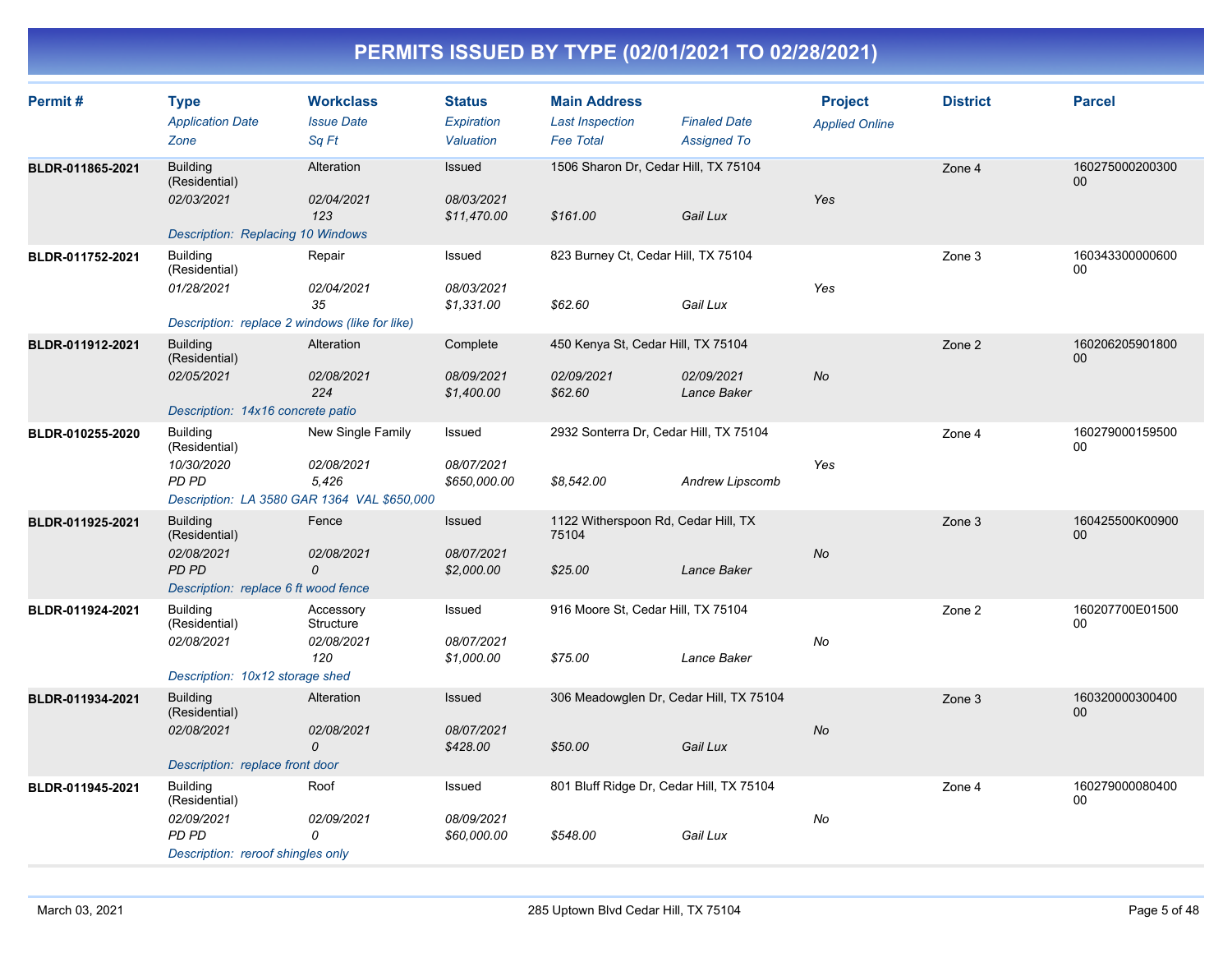| Permit#          | <b>Type</b><br><b>Application Date</b><br>Zone                                                         | <b>Workclass</b><br><b>Issue Date</b><br>Sa Ft | <b>Status</b><br><b>Expiration</b><br>Valuation | <b>Main Address</b><br><b>Last Inspection</b><br><b>Fee Total</b> | <b>Finaled Date</b><br><b>Assigned To</b> | <b>Project</b><br><b>Applied Online</b> | <b>District</b> | <b>Parcel</b>             |
|------------------|--------------------------------------------------------------------------------------------------------|------------------------------------------------|-------------------------------------------------|-------------------------------------------------------------------|-------------------------------------------|-----------------------------------------|-----------------|---------------------------|
| BLDR-011865-2021 | <b>Building</b><br>(Residential)<br>02/03/2021<br><b>Description: Replacing 10 Windows</b>             | Alteration<br>02/04/2021<br>123                | <b>Issued</b><br>08/03/2021<br>\$11,470.00      | 1506 Sharon Dr, Cedar Hill, TX 75104<br>\$161.00                  | Gail Lux                                  | Yes                                     | Zone 4          | 160275000200300<br>00     |
| BLDR-011752-2021 | <b>Building</b><br>(Residential)<br>01/28/2021<br>Description: replace 2 windows (like for like)       | Repair<br>02/04/2021<br>35                     | Issued<br>08/03/2021<br>\$1,331.00              | 823 Burney Ct, Cedar Hill, TX 75104<br>\$62.60                    | Gail Lux                                  | Yes                                     | Zone 3          | 160343300000600<br>$00\,$ |
| BLDR-011912-2021 | <b>Building</b><br>(Residential)<br>02/05/2021<br>Description: 14x16 concrete patio                    | Alteration<br>02/08/2021<br>224                | Complete<br>08/09/2021<br>\$1,400.00            | 450 Kenya St, Cedar Hill, TX 75104<br>02/09/2021<br>\$62.60       | 02/09/2021<br>Lance Baker                 | <b>No</b>                               | Zone 2          | 160206205901800<br>00     |
| BLDR-010255-2020 | <b>Building</b><br>(Residential)<br>10/30/2020<br>PD PD<br>Description: LA 3580 GAR 1364 VAL \$650,000 | New Single Family<br>02/08/2021<br>5,426       | Issued<br>08/07/2021<br>\$650,000.00            | 2932 Sonterra Dr, Cedar Hill, TX 75104<br>\$8,542.00              | Andrew Lipscomb                           | Yes                                     | Zone 4          | 160279000159500<br>00     |
| BLDR-011925-2021 | <b>Building</b><br>(Residential)<br>02/08/2021<br><b>PD PD</b><br>Description: replace 6 ft wood fence | Fence<br>02/08/2021<br>0                       | Issued<br>08/07/2021<br>\$2,000.00              | 1122 Witherspoon Rd, Cedar Hill, TX<br>75104<br>\$25.00           | Lance Baker                               | No                                      | Zone 3          | 160425500K00900<br>$00\,$ |
| BLDR-011924-2021 | <b>Building</b><br>(Residential)<br>02/08/2021<br>Description: 10x12 storage shed                      | Accessory<br>Structure<br>02/08/2021<br>120    | Issued<br>08/07/2021<br>\$1,000.00              | 916 Moore St, Cedar Hill, TX 75104<br>\$75.00                     | Lance Baker                               | No                                      | Zone 2          | 160207700E01500<br>00     |
| BLDR-011934-2021 | <b>Building</b><br>(Residential)<br>02/08/2021<br>Description: replace front door                      | Alteration<br>02/08/2021<br>0                  | <b>Issued</b><br>08/07/2021<br>\$428.00         | 306 Meadowglen Dr, Cedar Hill, TX 75104<br>\$50.00                | Gail Lux                                  | <b>No</b>                               | Zone 3          | 160320000300400<br>$00\,$ |
| BLDR-011945-2021 | <b>Building</b><br>(Residential)<br>02/09/2021<br>PD PD<br>Description: reroof shingles only           | Roof<br>02/09/2021<br>0                        | Issued<br>08/09/2021<br>\$60,000.00             | 801 Bluff Ridge Dr, Cedar Hill, TX 75104<br>\$548.00              | Gail Lux                                  | No                                      | Zone 4          | 160279000080400<br>00     |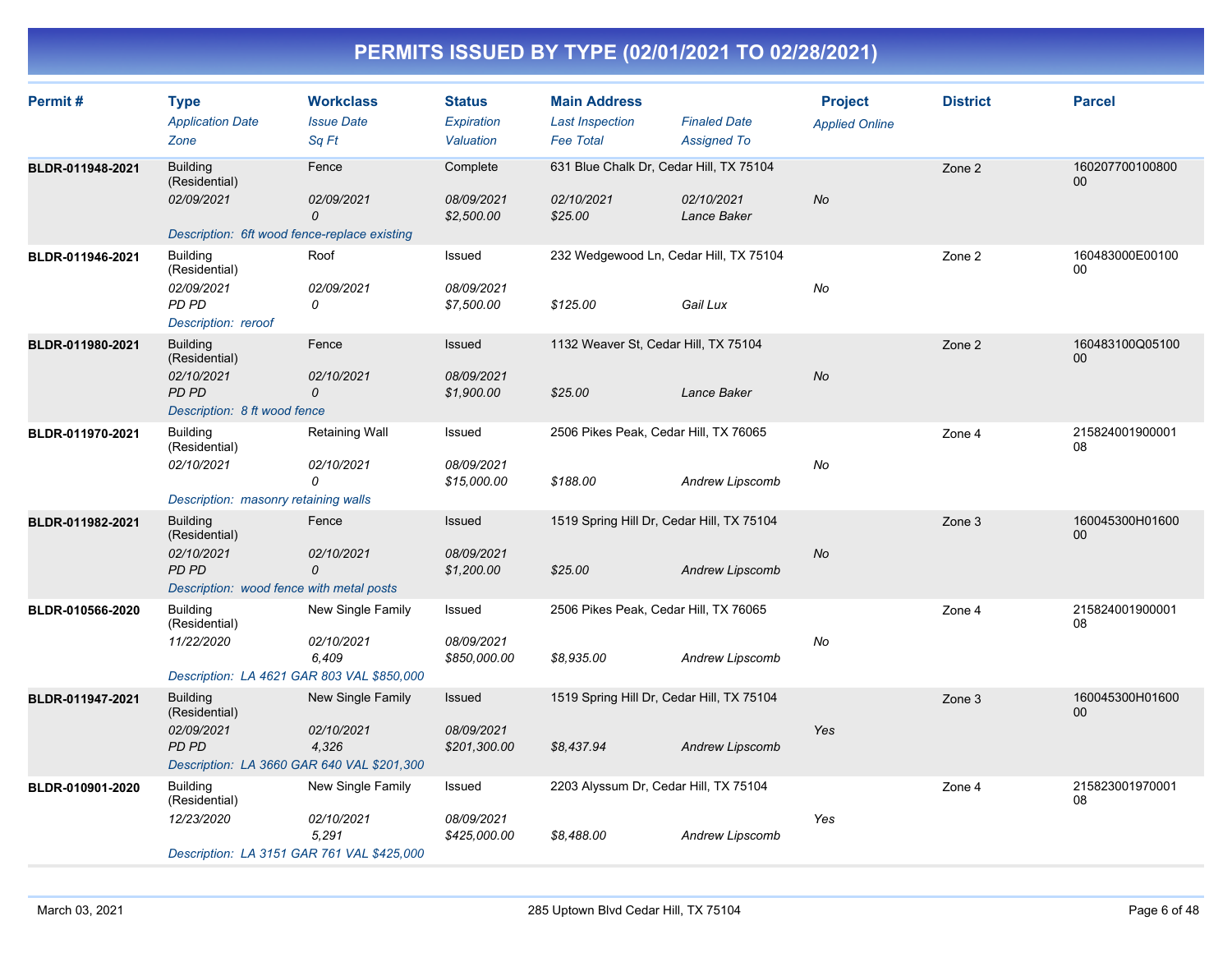| Permit#          | <b>Type</b><br><b>Application Date</b><br>Zone                                                               | <b>Workclass</b><br><b>Issue Date</b><br>Sq Ft | <b>Status</b><br>Expiration<br>Valuation  | <b>Main Address</b><br><b>Last Inspection</b><br><b>Fee Total</b> | <b>Finaled Date</b><br><b>Assigned To</b> | <b>Project</b><br><b>Applied Online</b> | <b>District</b> | <b>Parcel</b>         |
|------------------|--------------------------------------------------------------------------------------------------------------|------------------------------------------------|-------------------------------------------|-------------------------------------------------------------------|-------------------------------------------|-----------------------------------------|-----------------|-----------------------|
| BLDR-011948-2021 | <b>Building</b><br>(Residential)<br>02/09/2021<br>Description: 6ft wood fence-replace existing               | Fence<br>02/09/2021<br>$\mathcal{O}$           | Complete<br>08/09/2021<br>\$2,500.00      | 631 Blue Chalk Dr, Cedar Hill, TX 75104<br>02/10/2021<br>\$25.00  | 02/10/2021<br>Lance Baker                 | <b>No</b>                               | Zone 2          | 160207700100800<br>00 |
| BLDR-011946-2021 | <b>Building</b><br>(Residential)<br>02/09/2021<br><b>PD PD</b><br>Description: reroof                        | Roof<br>02/09/2021<br>0                        | Issued<br>08/09/2021<br>\$7,500.00        | 232 Wedgewood Ln, Cedar Hill, TX 75104<br>\$125.00                | Gail Lux                                  | No                                      | Zone 2          | 160483000E00100<br>00 |
| BLDR-011980-2021 | <b>Building</b><br>(Residential)<br>02/10/2021<br>PD PD<br>Description: 8 ft wood fence                      | Fence<br>02/10/2021<br>0                       | <b>Issued</b><br>08/09/2021<br>\$1,900.00 | 1132 Weaver St, Cedar Hill, TX 75104<br>\$25.00                   | Lance Baker                               | <b>No</b>                               | Zone 2          | 160483100Q05100<br>00 |
| BLDR-011970-2021 | <b>Building</b><br>(Residential)<br>02/10/2021<br>Description: masonry retaining walls                       | <b>Retaining Wall</b><br>02/10/2021<br>0       | Issued<br>08/09/2021<br>\$15,000.00       | 2506 Pikes Peak, Cedar Hill, TX 76065<br>\$188.00                 | Andrew Lipscomb                           | No                                      | Zone 4          | 215824001900001<br>08 |
| BLDR-011982-2021 | <b>Building</b><br>(Residential)<br>02/10/2021<br><b>PD PD</b><br>Description: wood fence with metal posts   | Fence<br>02/10/2021<br>$\mathcal{O}$           | Issued<br>08/09/2021<br>\$1,200.00        | 1519 Spring Hill Dr, Cedar Hill, TX 75104<br>\$25.00              | Andrew Lipscomb                           | No                                      | Zone 3          | 160045300H01600<br>00 |
| BLDR-010566-2020 | <b>Building</b><br>(Residential)<br>11/22/2020<br>Description: LA 4621 GAR 803 VAL \$850,000                 | New Single Family<br>02/10/2021<br>6,409       | Issued<br>08/09/2021<br>\$850,000.00      | 2506 Pikes Peak, Cedar Hill, TX 76065<br>\$8,935.00               | Andrew Lipscomb                           | No                                      | Zone 4          | 215824001900001<br>08 |
| BLDR-011947-2021 | <b>Building</b><br>(Residential)<br>02/09/2021<br><b>PD PD</b><br>Description: LA 3660 GAR 640 VAL \$201,300 | New Single Family<br>02/10/2021<br>4,326       | Issued<br>08/09/2021<br>\$201,300.00      | 1519 Spring Hill Dr, Cedar Hill, TX 75104<br>\$8,437.94           | Andrew Lipscomb                           | Yes                                     | Zone 3          | 160045300H01600<br>00 |
| BLDR-010901-2020 | <b>Building</b><br>(Residential)<br>12/23/2020<br>Description: LA 3151 GAR 761 VAL \$425,000                 | New Single Family<br>02/10/2021<br>5,291       | Issued<br>08/09/2021<br>\$425,000.00      | 2203 Alyssum Dr, Cedar Hill, TX 75104<br>\$8,488.00               | Andrew Lipscomb                           | Yes                                     | Zone 4          | 215823001970001<br>08 |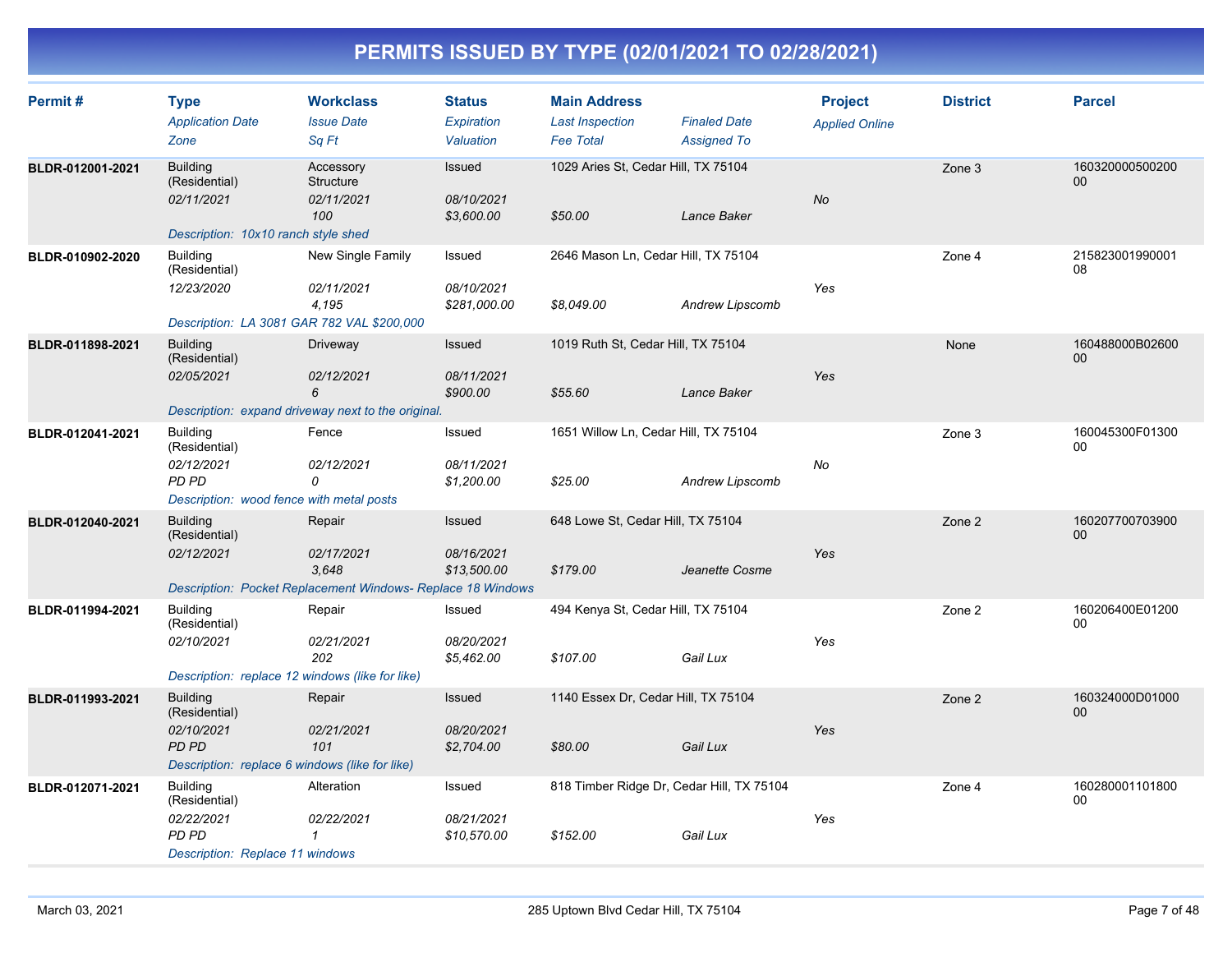| Permit#          | <b>Type</b><br><b>Application Date</b><br>Zone                                                                   | <b>Workclass</b><br><b>Issue Date</b><br>Sq Ft                                               | <b>Status</b><br>Expiration<br>Valuation | <b>Main Address</b><br><b>Last Inspection</b><br><b>Fee Total</b> | <b>Finaled Date</b><br><b>Assigned To</b> | <b>Project</b><br><b>Applied Online</b> | <b>District</b> | <b>Parcel</b>         |
|------------------|------------------------------------------------------------------------------------------------------------------|----------------------------------------------------------------------------------------------|------------------------------------------|-------------------------------------------------------------------|-------------------------------------------|-----------------------------------------|-----------------|-----------------------|
| BLDR-012001-2021 | <b>Building</b><br>(Residential)<br>02/11/2021<br>Description: 10x10 ranch style shed                            | Accessory<br>Structure<br>02/11/2021<br>100                                                  | Issued<br>08/10/2021<br>\$3,600.00       | 1029 Aries St, Cedar Hill, TX 75104<br>\$50.00                    | Lance Baker                               | No                                      | Zone 3          | 160320000500200<br>00 |
| BLDR-010902-2020 | <b>Building</b><br>(Residential)<br>12/23/2020<br>Description: LA 3081 GAR 782 VAL \$200,000                     | New Single Family<br>02/11/2021<br>4,195                                                     | Issued<br>08/10/2021<br>\$281,000.00     | 2646 Mason Ln, Cedar Hill, TX 75104<br>\$8,049.00                 | Andrew Lipscomb                           | Yes                                     | Zone 4          | 215823001990001<br>08 |
| BLDR-011898-2021 | <b>Building</b><br>(Residential)<br>02/05/2021                                                                   | Driveway<br>02/12/2021<br>6<br>Description: expand driveway next to the original.            | Issued<br>08/11/2021<br>\$900.00         | 1019 Ruth St, Cedar Hill, TX 75104<br>\$55.60                     | Lance Baker                               | Yes                                     | None            | 160488000B02600<br>00 |
| BLDR-012041-2021 | <b>Building</b><br>(Residential)<br>02/12/2021<br>PD PD<br>Description: wood fence with metal posts              | Fence<br>02/12/2021<br>0                                                                     | Issued<br>08/11/2021<br>\$1,200.00       | 1651 Willow Ln, Cedar Hill, TX 75104<br>\$25.00                   | Andrew Lipscomb                           | No                                      | Zone 3          | 160045300F01300<br>00 |
| BLDR-012040-2021 | <b>Building</b><br>(Residential)<br>02/12/2021                                                                   | Repair<br>02/17/2021<br>3.648<br>Description: Pocket Replacement Windows- Replace 18 Windows | Issued<br>08/16/2021<br>\$13,500.00      | 648 Lowe St, Cedar Hill, TX 75104<br>\$179.00                     | Jeanette Cosme                            | Yes                                     | Zone 2          | 160207700703900<br>00 |
| BLDR-011994-2021 | <b>Building</b><br>(Residential)<br>02/10/2021<br>Description: replace 12 windows (like for like)                | Repair<br>02/21/2021<br>202                                                                  | Issued<br>08/20/2021<br>\$5,462.00       | 494 Kenya St, Cedar Hill, TX 75104<br>\$107.00                    | Gail Lux                                  | Yes                                     | Zone 2          | 160206400E01200<br>00 |
| BLDR-011993-2021 | <b>Building</b><br>(Residential)<br>02/10/2021<br><b>PD PD</b><br>Description: replace 6 windows (like for like) | Repair<br>02/21/2021<br>101                                                                  | Issued<br>08/20/2021<br>\$2,704.00       | 1140 Essex Dr, Cedar Hill, TX 75104<br>\$80.00                    | Gail Lux                                  | Yes                                     | Zone 2          | 160324000D01000<br>00 |
| BLDR-012071-2021 | <b>Building</b><br>(Residential)<br>02/22/2021<br>PD PD<br>Description: Replace 11 windows                       | Alteration<br>02/22/2021<br>1                                                                | Issued<br>08/21/2021<br>\$10,570.00      | 818 Timber Ridge Dr, Cedar Hill, TX 75104<br>\$152.00             | Gail Lux                                  | Yes                                     | Zone 4          | 160280001101800<br>00 |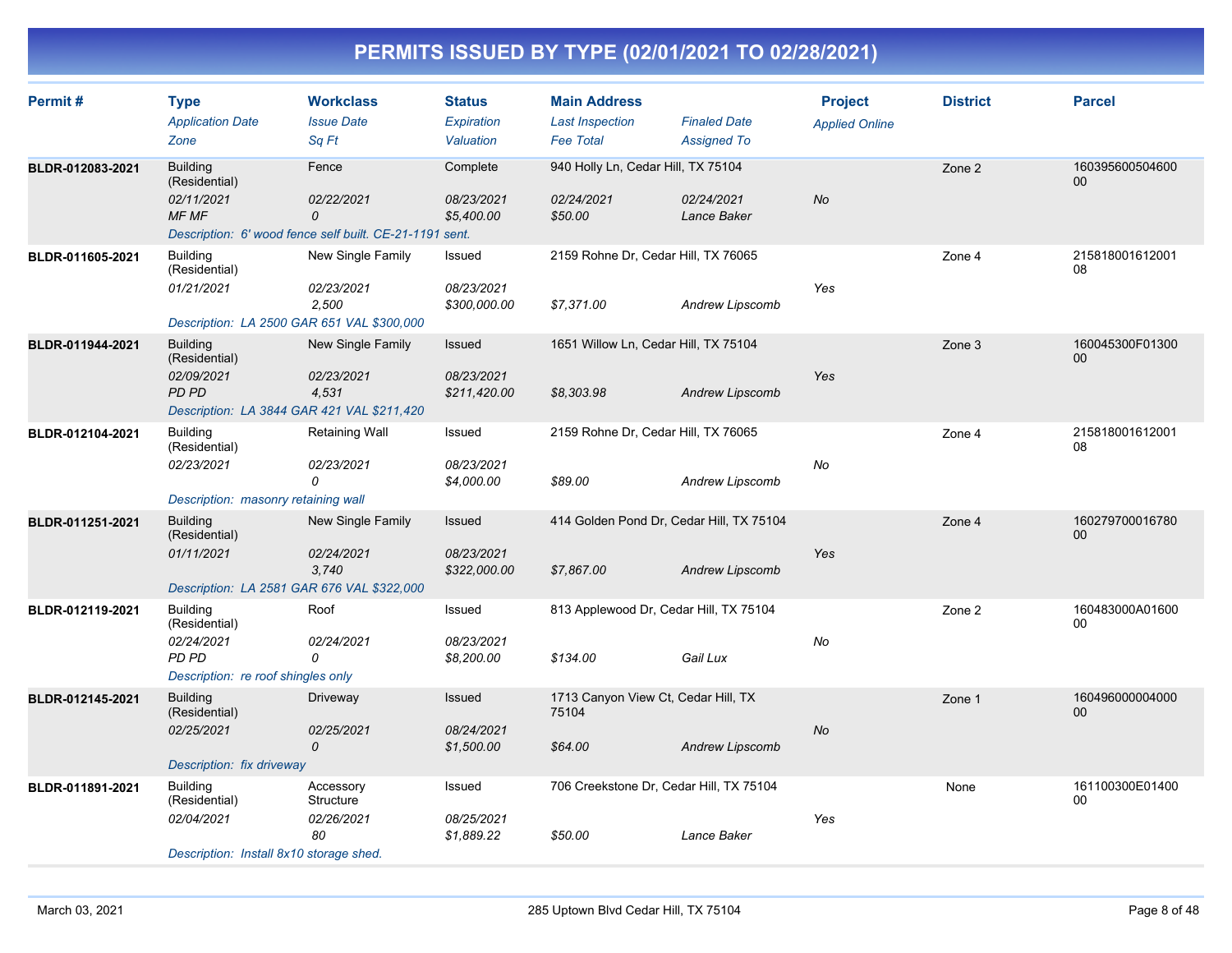| Permit#          | <b>Type</b><br><b>Application Date</b><br>Zone                                                               | <b>Workclass</b><br><b>Issue Date</b><br>Sq Ft                                      | <b>Status</b><br>Expiration<br>Valuation | <b>Main Address</b><br><b>Last Inspection</b><br><b>Fee Total</b> | <b>Finaled Date</b><br><b>Assigned To</b> | <b>Project</b><br><b>Applied Online</b> | <b>District</b> | <b>Parcel</b>             |
|------------------|--------------------------------------------------------------------------------------------------------------|-------------------------------------------------------------------------------------|------------------------------------------|-------------------------------------------------------------------|-------------------------------------------|-----------------------------------------|-----------------|---------------------------|
| BLDR-012083-2021 | <b>Building</b><br>(Residential)<br>02/11/2021<br>MF MF                                                      | Fence<br>02/22/2021<br>0<br>Description: 6' wood fence self built. CE-21-1191 sent. | Complete<br>08/23/2021<br>\$5,400.00     | 940 Holly Ln, Cedar Hill, TX 75104<br>02/24/2021<br>\$50.00       | 02/24/2021<br>Lance Baker                 | No                                      | Zone 2          | 160395600504600<br>$00\,$ |
| BLDR-011605-2021 | <b>Building</b><br>(Residential)<br>01/21/2021<br>Description: LA 2500 GAR 651 VAL \$300,000                 | New Single Family<br>02/23/2021<br>2,500                                            | Issued<br>08/23/2021<br>\$300,000.00     | 2159 Rohne Dr, Cedar Hill, TX 76065<br>\$7,371.00                 | <b>Andrew Lipscomb</b>                    | Yes                                     | Zone 4          | 215818001612001<br>08     |
| BLDR-011944-2021 | <b>Building</b><br>(Residential)<br>02/09/2021<br><b>PD PD</b><br>Description: LA 3844 GAR 421 VAL \$211,420 | New Single Family<br>02/23/2021<br>4,531                                            | Issued<br>08/23/2021<br>\$211,420.00     | 1651 Willow Ln, Cedar Hill, TX 75104<br>\$8,303.98                | <b>Andrew Lipscomb</b>                    | Yes                                     | Zone 3          | 160045300F01300<br>00     |
| BLDR-012104-2021 | <b>Building</b><br>(Residential)<br>02/23/2021<br>Description: masonry retaining wall                        | Retaining Wall<br>02/23/2021<br>0                                                   | Issued<br>08/23/2021<br>\$4,000.00       | 2159 Rohne Dr, Cedar Hill, TX 76065<br>\$89.00                    | Andrew Lipscomb                           | No                                      | Zone 4          | 215818001612001<br>08     |
| BLDR-011251-2021 | <b>Building</b><br>(Residential)<br>01/11/2021<br>Description: LA 2581 GAR 676 VAL \$322,000                 | New Single Family<br>02/24/2021<br>3.740                                            | Issued<br>08/23/2021<br>\$322,000.00     | 414 Golden Pond Dr, Cedar Hill, TX 75104<br>\$7,867.00            | <b>Andrew Lipscomb</b>                    | Yes                                     | Zone 4          | 160279700016780<br>00     |
| BLDR-012119-2021 | <b>Building</b><br>(Residential)<br>02/24/2021<br>PD PD<br>Description: re roof shingles only                | Roof<br>02/24/2021<br>0                                                             | Issued<br>08/23/2021<br>\$8,200.00       | 813 Applewood Dr, Cedar Hill, TX 75104<br>\$134.00                | Gail Lux                                  | No                                      | Zone 2          | 160483000A01600<br>00     |
| BLDR-012145-2021 | <b>Building</b><br>(Residential)<br>02/25/2021<br>Description: fix driveway                                  | Driveway<br>02/25/2021<br>0                                                         | Issued<br>08/24/2021<br>\$1,500.00       | 1713 Canyon View Ct, Cedar Hill, TX<br>75104<br>\$64.00           | <b>Andrew Lipscomb</b>                    | No                                      | Zone 1          | 160496000004000<br>00     |
| BLDR-011891-2021 | <b>Building</b><br>(Residential)<br>02/04/2021<br>Description: Install 8x10 storage shed.                    | Accessory<br>Structure<br>02/26/2021<br>80                                          | Issued<br>08/25/2021<br>\$1,889.22       | 706 Creekstone Dr, Cedar Hill, TX 75104<br>\$50.00                | Lance Baker                               | Yes                                     | None            | 161100300E01400<br>00     |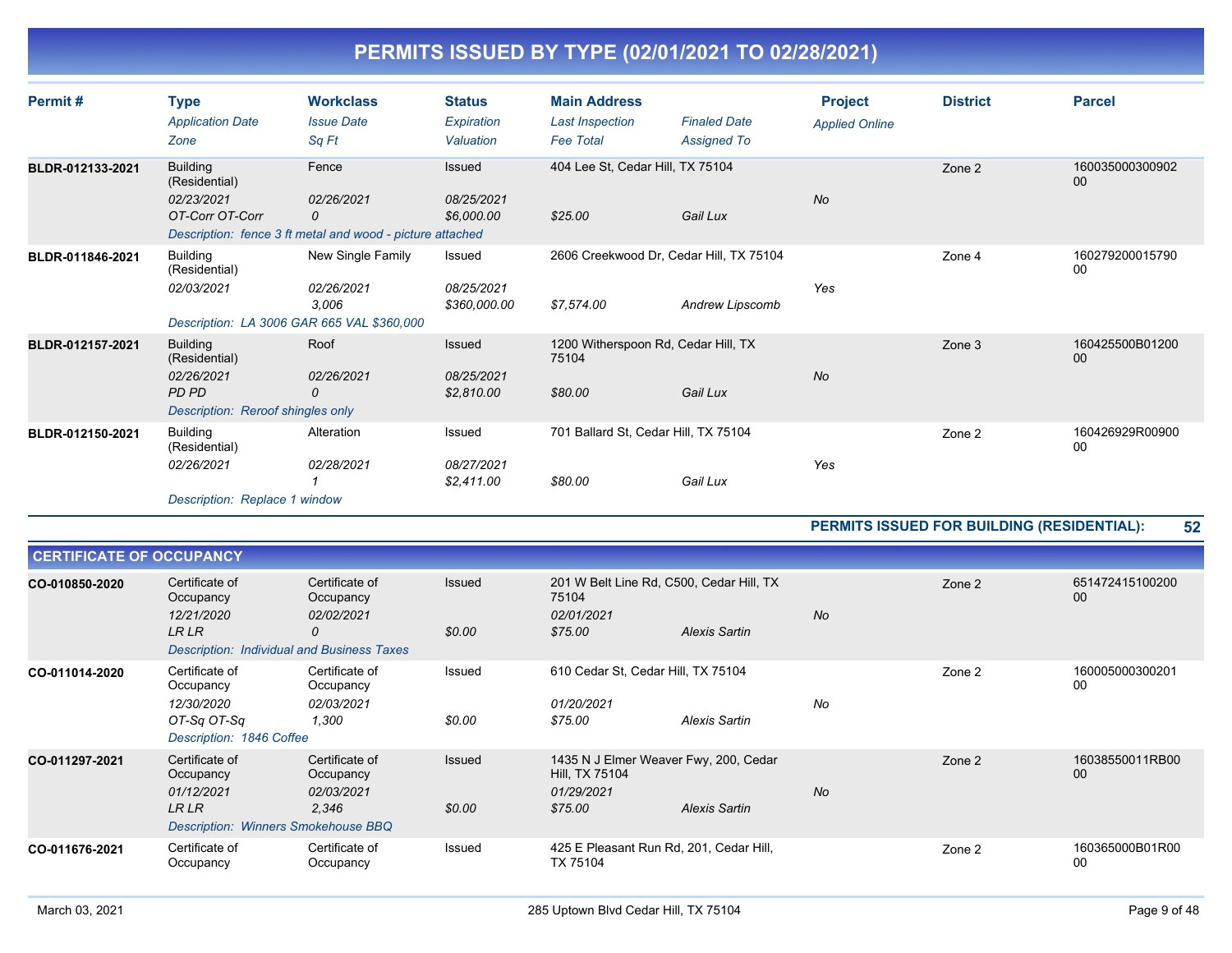| Permit#          | <b>Type</b><br><b>Application Date</b><br>Zone                                               | <b>Workclass</b><br><b>Issue Date</b><br>Sq Ft                                         | <b>Status</b><br>Expiration<br>Valuation | <b>Main Address</b><br><b>Last Inspection</b><br><b>Fee Total</b> | <b>Finaled Date</b><br><b>Assigned To</b> | <b>Project</b><br><b>Applied Online</b> | <b>District</b> | <b>Parcel</b>             |
|------------------|----------------------------------------------------------------------------------------------|----------------------------------------------------------------------------------------|------------------------------------------|-------------------------------------------------------------------|-------------------------------------------|-----------------------------------------|-----------------|---------------------------|
| BLDR-012133-2021 | <b>Building</b><br>(Residential)<br>02/23/2021<br>OT-Corr OT-Corr                            | Fence<br>02/26/2021<br>0<br>Description: fence 3 ft metal and wood - picture attached  | Issued<br>08/25/2021<br>\$6,000.00       | 404 Lee St. Cedar Hill, TX 75104<br>\$25.00                       | Gail Lux                                  | <b>No</b>                               | Zone 2          | 160035000300902<br>$00\,$ |
| BLDR-011846-2021 | <b>Building</b><br>(Residential)<br>02/03/2021                                               | New Single Family<br>02/26/2021<br>3,006<br>Description: LA 3006 GAR 665 VAL \$360,000 | Issued<br>08/25/2021<br>\$360,000.00     | 2606 Creekwood Dr, Cedar Hill, TX 75104<br>\$7,574.00             | Andrew Lipscomb                           | Yes                                     | Zone 4          | 160279200015790<br>00     |
| BLDR-012157-2021 | <b>Building</b><br>(Residential)<br>02/26/2021<br>PD PD<br>Description: Reroof shingles only | Roof<br>02/26/2021<br>0                                                                | Issued<br>08/25/2021<br>\$2.810.00       | 1200 Witherspoon Rd, Cedar Hill, TX<br>75104<br>\$80.00           | Gail Lux                                  | <b>No</b>                               | Zone 3          | 160425500B01200<br>$00\,$ |
| BLDR-012150-2021 | <b>Building</b><br>(Residential)<br>02/26/2021<br>Description: Replace 1 window              | Alteration<br>02/28/2021                                                               | Issued<br>08/27/2021<br>\$2,411.00       | 701 Ballard St, Cedar Hill, TX 75104<br>\$80.00                   | Gail Lux                                  | Yes                                     | Zone 2          | 160426929R00900<br>00     |

**PERMITS ISSUED FOR BUILDING (RESIDENTIAL): 52**

| <b>CERTIFICATE OF OCCUPANCY</b> |                                                                                                         |                                                    |                  |                                                                                  |               |           |        |                       |
|---------------------------------|---------------------------------------------------------------------------------------------------------|----------------------------------------------------|------------------|----------------------------------------------------------------------------------|---------------|-----------|--------|-----------------------|
| CO-010850-2020                  | Certificate of<br>Occupancy<br>12/21/2020<br>LR LR<br><b>Description: Individual and Business Taxes</b> | Certificate of<br>Occupancy<br>02/02/2021<br>0     | Issued<br>\$0.00 | 201 W Belt Line Rd, C500, Cedar Hill, TX<br>75104<br>02/01/2021<br>\$75.00       | Alexis Sartin | <b>No</b> | Zone 2 | 651472415100200<br>00 |
| CO-011014-2020                  | Certificate of<br>Occupancy<br>12/30/2020<br>OT-Sq OT-Sq<br>Description: 1846 Coffee                    | Certificate of<br>Occupancy<br>02/03/2021<br>1,300 | Issued<br>\$0.00 | 610 Cedar St, Cedar Hill, TX 75104<br>01/20/2021<br>\$75.00                      | Alexis Sartin | No        | Zone 2 | 160005000300201<br>00 |
| CO-011297-2021                  | Certificate of<br>Occupancy<br>01/12/2021<br>LR LR<br>Description: Winners Smokehouse BBQ               | Certificate of<br>Occupancy<br>02/03/2021<br>2,346 | Issued<br>\$0.00 | 1435 N J Elmer Weaver Fwy, 200, Cedar<br>Hill, TX 75104<br>01/29/2021<br>\$75.00 | Alexis Sartin | <b>No</b> | Zone 2 | 16038550011RB00<br>00 |
| CO-011676-2021                  | Certificate of<br>Occupancy                                                                             | Certificate of<br>Occupancy                        | Issued           | 425 E Pleasant Run Rd, 201, Cedar Hill,<br>TX 75104                              |               |           | Zone 2 | 160365000B01R00<br>00 |

 $=$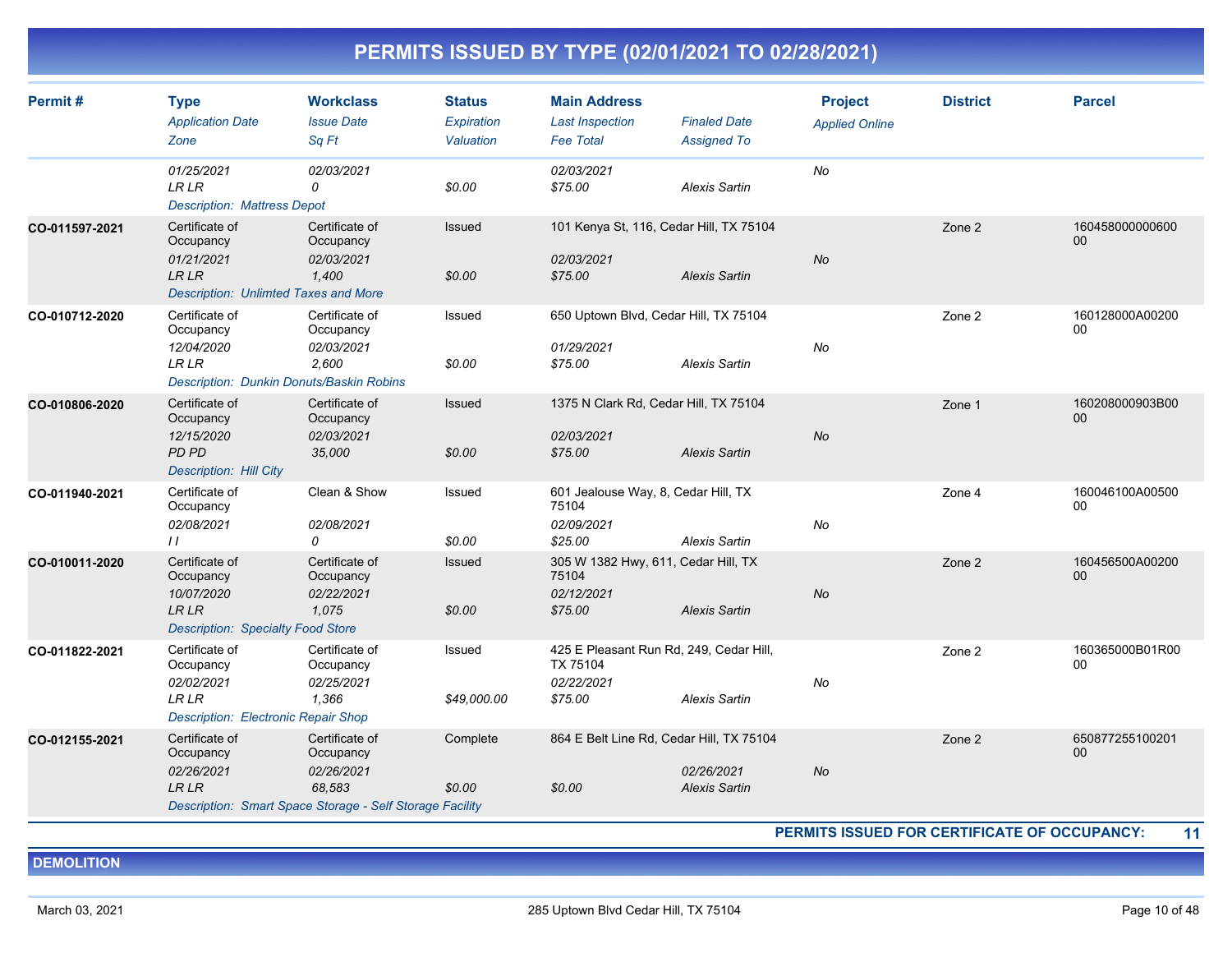| Permit#        | <b>Type</b><br><b>Application Date</b><br>Zone                                                           | <b>Workclass</b><br><b>Issue Date</b><br>Sq Ft                                                                  | <b>Status</b><br>Expiration<br>Valuation | <b>Main Address</b><br><b>Last Inspection</b><br><b>Fee Total</b>            | <b>Finaled Date</b><br>Assigned To | <b>Project</b><br><b>Applied Online</b> | <b>District</b> | <b>Parcel</b>             |
|----------------|----------------------------------------------------------------------------------------------------------|-----------------------------------------------------------------------------------------------------------------|------------------------------------------|------------------------------------------------------------------------------|------------------------------------|-----------------------------------------|-----------------|---------------------------|
|                | 01/25/2021<br><b>LR LR</b><br><b>Description: Mattress Depot</b>                                         | 02/03/2021<br>0                                                                                                 | \$0.00                                   | 02/03/2021<br>\$75.00                                                        | <b>Alexis Sartin</b>               | No                                      |                 |                           |
| CO-011597-2021 | Certificate of<br>Occupancy<br>01/21/2021<br><b>LR LR</b><br><b>Description: Unlimted Taxes and More</b> | Certificate of<br>Occupancy<br>02/03/2021<br>1,400                                                              | Issued<br>\$0.00                         | 101 Kenya St, 116, Cedar Hill, TX 75104<br>02/03/2021<br>\$75.00             | <b>Alexis Sartin</b>               | No                                      | Zone 2          | 160458000000600<br>00     |
| CO-010712-2020 | Certificate of<br>Occupancy<br>12/04/2020<br><b>LR LR</b><br>Description: Dunkin Donuts/Baskin Robins    | Certificate of<br>Occupancy<br>02/03/2021<br>2,600                                                              | Issued<br>\$0.00                         | 650 Uptown Blvd, Cedar Hill, TX 75104<br>01/29/2021<br>\$75.00               | <b>Alexis Sartin</b>               | $N\sigma$                               | Zone 2          | 160128000A00200<br>00     |
| CO-010806-2020 | Certificate of<br>Occupancy<br>12/15/2020<br>PD PD<br><b>Description: Hill City</b>                      | Certificate of<br>Occupancy<br>02/03/2021<br>35,000                                                             | Issued<br>\$0.00                         | 1375 N Clark Rd, Cedar Hill, TX 75104<br>02/03/2021<br>\$75.00               | <b>Alexis Sartin</b>               | No                                      | Zone 1          | 160208000903B00<br>$00\,$ |
| CO-011940-2021 | Certificate of<br>Occupancy<br>02/08/2021<br>$\frac{1}{2}$                                               | Clean & Show<br>02/08/2021<br>0                                                                                 | Issued<br>\$0.00                         | 601 Jealouse Way, 8, Cedar Hill, TX<br>75104<br>02/09/2021<br>\$25.00        | <b>Alexis Sartin</b>               | $N\sigma$                               | Zone 4          | 160046100A00500<br>00     |
| CO-010011-2020 | Certificate of<br>Occupancy<br>10/07/2020<br>LR LR<br><b>Description: Specialty Food Store</b>           | Certificate of<br>Occupancy<br>02/22/2021<br>1,075                                                              | Issued<br>\$0.00                         | 305 W 1382 Hwy, 611, Cedar Hill, TX<br>75104<br>02/12/2021<br>\$75.00        | <b>Alexis Sartin</b>               | No                                      | Zone 2          | 160456500A00200<br>$00\,$ |
| CO-011822-2021 | Certificate of<br>Occupancy<br>02/02/2021<br><b>LRLR</b><br><b>Description: Electronic Repair Shop</b>   | Certificate of<br>Occupancy<br>02/25/2021<br>1,366                                                              | Issued<br>\$49,000.00                    | 425 E Pleasant Run Rd, 249, Cedar Hill,<br>TX 75104<br>02/22/2021<br>\$75.00 | <b>Alexis Sartin</b>               | No                                      | Zone 2          | 160365000B01R00<br>00     |
| CO-012155-2021 | Certificate of<br>Occupancy<br>02/26/2021<br><b>LR LR</b>                                                | Certificate of<br>Occupancy<br>02/26/2021<br>68,583<br>Description: Smart Space Storage - Self Storage Facility | Complete<br>\$0.00                       | 864 E Belt Line Rd, Cedar Hill, TX 75104<br>\$0.00                           | 02/26/2021<br><b>Alexis Sartin</b> | No                                      | Zone 2          | 650877255100201<br>00     |

**PERMITS ISSUED FOR CERTIFICATE OF OCCUPANCY: 11**

**DEMOLITION**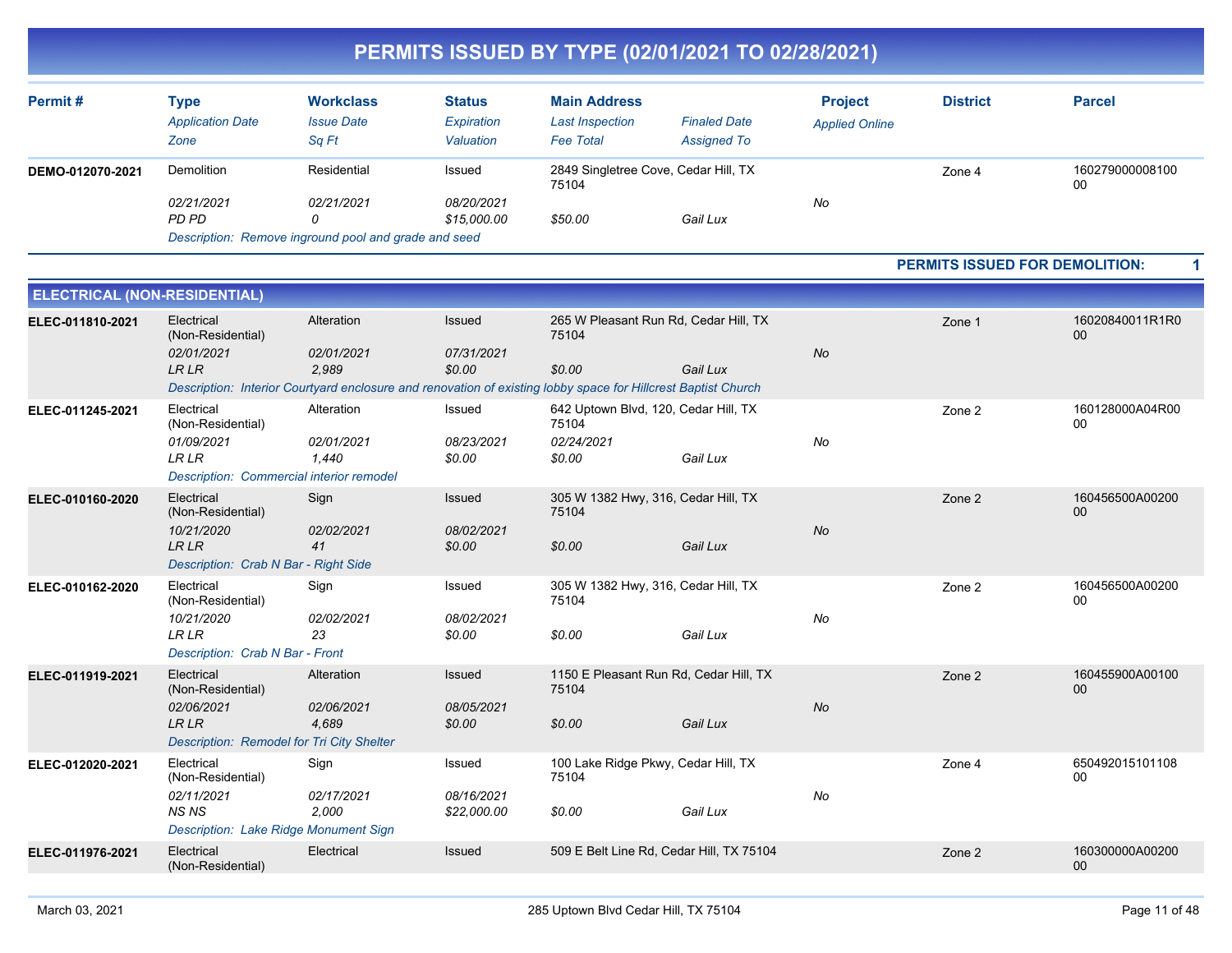| Permit#          | Type<br><b>Application Date</b><br>Zone | <b>Workclass</b><br><b>Issue Date</b><br>Sa Ft       | <b>Status</b><br>Expiration<br>Valuation | <b>Main Address</b><br><b>Last Inspection</b><br>Fee Total | <b>Finaled Date</b><br><b>Assigned To</b> | <b>Project</b><br><b>Applied Online</b> | <b>District</b> | <b>Parcel</b>         |
|------------------|-----------------------------------------|------------------------------------------------------|------------------------------------------|------------------------------------------------------------|-------------------------------------------|-----------------------------------------|-----------------|-----------------------|
| DEMO-012070-2021 | Demolition                              | Residential                                          | Issued                                   | 2849 Singletree Cove, Cedar Hill, TX<br>75104              |                                           |                                         | Zone 4          | 160279000008100<br>00 |
|                  | 02/21/2021<br>PD PD                     | 02/21/2021                                           | 08/20/2021<br>\$15,000.00                | \$50.00                                                    | Gail Lux                                  | No                                      |                 |                       |
|                  |                                         | Description: Remove inground pool and grade and seed |                                          |                                                            |                                           |                                         |                 |                       |

#### **PERMITS ISSUED FOR DEMOLITION: 1**

| <b>ELECTRICAL (NON-RESIDENTIAL)</b> |                                                                                                                 |                                                                                                                                                    |                                     |                                                                       |          |           |        |                       |
|-------------------------------------|-----------------------------------------------------------------------------------------------------------------|----------------------------------------------------------------------------------------------------------------------------------------------------|-------------------------------------|-----------------------------------------------------------------------|----------|-----------|--------|-----------------------|
| ELEC-011810-2021                    | Electrical<br>(Non-Residential)<br>02/01/2021<br><b>LRLR</b>                                                    | Alteration<br>02/01/2021<br>2.989<br>Description: Interior Courtyard enclosure and renovation of existing lobby space for Hillcrest Baptist Church | Issued<br>07/31/2021<br>\$0.00      | 265 W Pleasant Run Rd, Cedar Hill, TX<br>75104<br>\$0.00              | Gail Lux | <b>No</b> | Zone 1 | 16020840011R1R0<br>00 |
| ELEC-011245-2021                    | Electrical<br>(Non-Residential)<br>01/09/2021<br><b>LRLR</b><br><b>Description: Commercial interior remodel</b> | Alteration<br>02/01/2021<br>1,440                                                                                                                  | Issued<br>08/23/2021<br>\$0.00      | 642 Uptown Blvd, 120, Cedar Hill, TX<br>75104<br>02/24/2021<br>\$0.00 | Gail Lux | No        | Zone 2 | 160128000A04R00<br>00 |
| ELEC-010160-2020                    | Electrical<br>(Non-Residential)<br>10/21/2020<br><b>LRLR</b><br>Description: Crab N Bar - Right Side            | Sign<br>02/02/2021<br>41                                                                                                                           | Issued<br>08/02/2021<br>\$0.00      | 305 W 1382 Hwy, 316, Cedar Hill, TX<br>75104<br>\$0.00                | Gail Lux | <b>No</b> | Zone 2 | 160456500A00200<br>00 |
| ELEC-010162-2020                    | Electrical<br>(Non-Residential)<br>10/21/2020<br><b>LRLR</b><br>Description: Crab N Bar - Front                 | Sign<br>02/02/2021<br>23                                                                                                                           | Issued<br>08/02/2021<br>\$0.00      | 305 W 1382 Hwy, 316, Cedar Hill, TX<br>75104<br>\$0.00                | Gail Lux | No        | Zone 2 | 160456500A00200<br>00 |
| ELEC-011919-2021                    | Electrical<br>(Non-Residential)<br>02/06/2021<br><b>LR LR</b><br>Description: Remodel for Tri City Shelter      | Alteration<br>02/06/2021<br>4,689                                                                                                                  | Issued<br>08/05/2021<br>\$0.00      | 1150 E Pleasant Run Rd, Cedar Hill, TX<br>75104<br>\$0.00             | Gail Lux | <b>No</b> | Zone 2 | 160455900A00100<br>00 |
| ELEC-012020-2021                    | Electrical<br>(Non-Residential)<br>02/11/2021<br><b>NSNS</b><br>Description: Lake Ridge Monument Sign           | Sign<br>02/17/2021<br>2.000                                                                                                                        | Issued<br>08/16/2021<br>\$22,000.00 | 100 Lake Ridge Pkwy, Cedar Hill, TX<br>75104<br>\$0.00                | Gail Lux | No        | Zone 4 | 650492015101108<br>00 |
| ELEC-011976-2021                    | Electrical<br>(Non-Residential)                                                                                 | Electrical                                                                                                                                         | Issued                              | 509 E Belt Line Rd, Cedar Hill, TX 75104                              |          |           | Zone 2 | 160300000A00200<br>00 |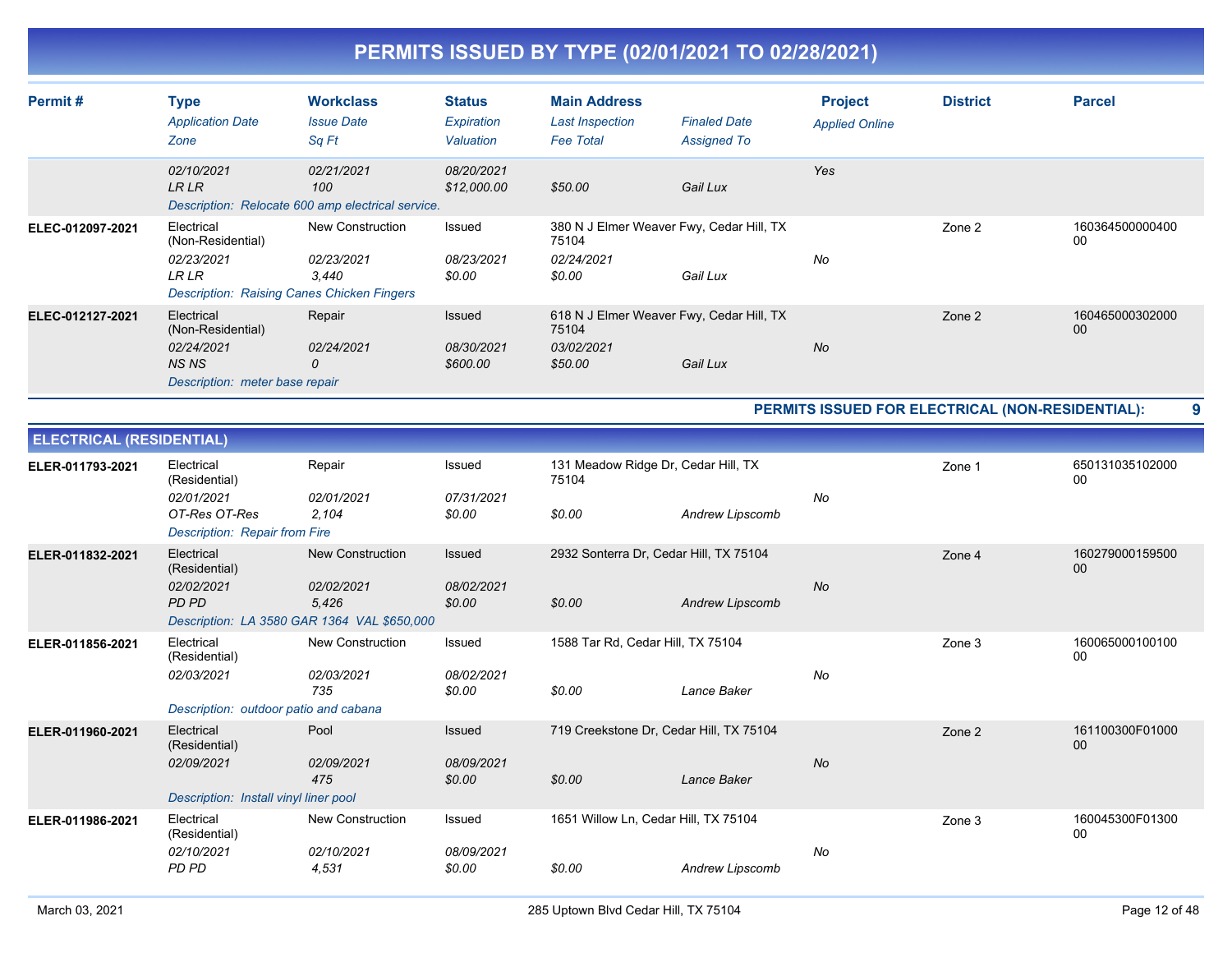| Permit#          | <b>Type</b><br><b>Application Date</b><br>Zone                                           | <b>Workclass</b><br><b>Issue Date</b><br>Sq Ft                                               | <b>Status</b><br>Expiration<br>Valuation | <b>Main Address</b><br><b>Last Inspection</b><br><b>Fee Total</b> | <b>Finaled Date</b><br><b>Assigned To</b>            | <b>Project</b><br><b>Applied Online</b> | <b>District</b> | <b>Parcel</b>         |
|------------------|------------------------------------------------------------------------------------------|----------------------------------------------------------------------------------------------|------------------------------------------|-------------------------------------------------------------------|------------------------------------------------------|-----------------------------------------|-----------------|-----------------------|
|                  | 02/10/2021<br>LR LR                                                                      | 02/21/2021<br>100<br>Description: Relocate 600 amp electrical service.                       | 08/20/2021<br>\$12,000.00                | \$50.00                                                           | Gail Lux                                             | Yes                                     |                 |                       |
| ELEC-012097-2021 | Electrical<br>(Non-Residential)<br>02/23/2021<br><b>LR LR</b>                            | New Construction<br>02/23/2021<br>3.440<br><b>Description: Raising Canes Chicken Fingers</b> | Issued<br>08/23/2021<br>\$0.00           | 75104<br>02/24/2021<br>\$0.00                                     | 380 N J Elmer Weaver Fwy, Cedar Hill, TX<br>Gail Lux | No                                      | Zone 2          | 160364500000400<br>00 |
| ELEC-012127-2021 | Electrical<br>(Non-Residential)<br>02/24/2021<br>NS NS<br>Description: meter base repair | Repair<br>02/24/2021<br>0                                                                    | Issued<br>08/30/2021<br>\$600.00         | 75104<br>03/02/2021<br>\$50.00                                    | 618 N J Elmer Weaver Fwy, Cedar Hill, TX<br>Gail Lux | <b>No</b>                               | Zone 2          | 160465000302000<br>00 |

**PERMITS ISSUED FOR ELECTRICAL (NON-RESIDENTIAL): 9**

| <b>ELECTRICAL (RESIDENTIAL)</b> |                                                                                             |                                                                                        |                                       |                                                        |                        |    |        |                       |
|---------------------------------|---------------------------------------------------------------------------------------------|----------------------------------------------------------------------------------------|---------------------------------------|--------------------------------------------------------|------------------------|----|--------|-----------------------|
| ELER-011793-2021                | Electrical<br>(Residential)<br>02/01/2021<br>OT-Res OT-Res<br>Description: Repair from Fire | Repair<br>02/01/2021<br>2,104                                                          | Issued<br>07/31/2021<br>\$0.00        | 131 Meadow Ridge Dr, Cedar Hill, TX<br>75104<br>\$0.00 | <b>Andrew Lipscomb</b> | No | Zone 1 | 650131035102000<br>00 |
| ELER-011832-2021                | Electrical<br>(Residential)<br>02/02/2021<br>PD PD                                          | New Construction<br>02/02/2021<br>5,426<br>Description: LA 3580 GAR 1364 VAL \$650,000 | <b>Issued</b><br>08/02/2021<br>\$0.00 | 2932 Sonterra Dr, Cedar Hill, TX 75104<br>\$0.00       | Andrew Lipscomb        | No | Zone 4 | 160279000159500<br>00 |
| ELER-011856-2021                | Electrical<br>(Residential)<br>02/03/2021<br>Description: outdoor patio and cabana          | <b>New Construction</b><br>02/03/2021<br>735                                           | Issued<br>08/02/2021<br>\$0.00        | 1588 Tar Rd, Cedar Hill, TX 75104<br>\$0.00            | Lance Baker            | No | Zone 3 | 160065000100100<br>00 |
| ELER-011960-2021                | Electrical<br>(Residential)<br>02/09/2021<br>Description: Install vinyl liner pool          | Pool<br>02/09/2021<br>475                                                              | Issued<br>08/09/2021<br>\$0.00        | 719 Creekstone Dr, Cedar Hill, TX 75104<br>\$0.00      | Lance Baker            | No | Zone 2 | 161100300F01000<br>00 |
| ELER-011986-2021                | Electrical<br>(Residential)<br>02/10/2021<br>PD PD                                          | <b>New Construction</b><br>02/10/2021<br>4,531                                         | Issued<br>08/09/2021<br>\$0.00        | 1651 Willow Ln, Cedar Hill, TX 75104<br>\$0.00         | Andrew Lipscomb        | No | Zone 3 | 160045300F01300<br>00 |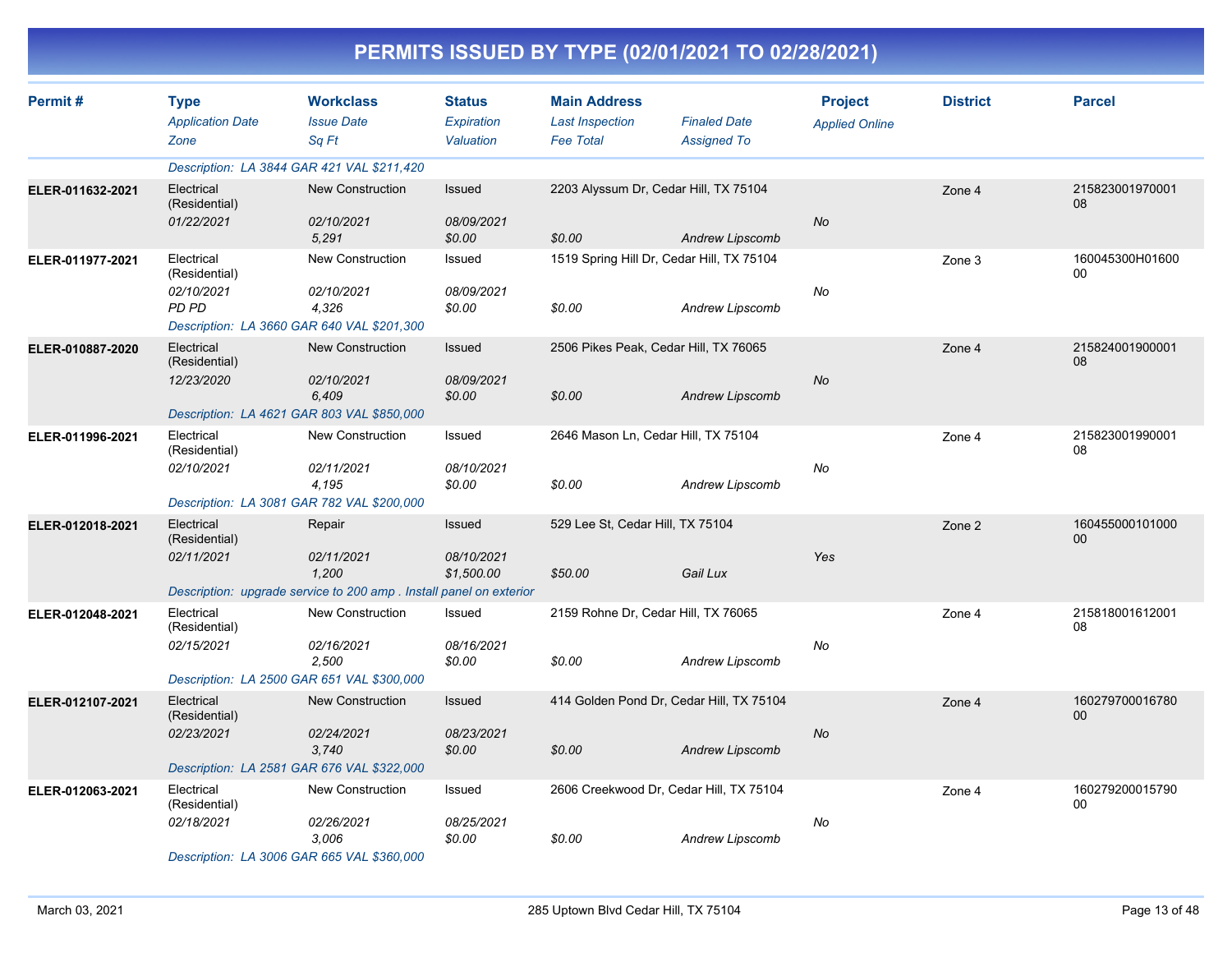|                  | PERMITS ISSUED BY TYPE (02/01/2021 TO 02/28/2021)         |                                                                                                     |                                          |                                                                   |                                                              |                                         |                 |                       |  |  |
|------------------|-----------------------------------------------------------|-----------------------------------------------------------------------------------------------------|------------------------------------------|-------------------------------------------------------------------|--------------------------------------------------------------|-----------------------------------------|-----------------|-----------------------|--|--|
| Permit#          | <b>Type</b><br><b>Application Date</b><br>Zone            | <b>Workclass</b><br><b>Issue Date</b><br>Sq Ft                                                      | <b>Status</b><br>Expiration<br>Valuation | <b>Main Address</b><br><b>Last Inspection</b><br><b>Fee Total</b> | <b>Finaled Date</b><br><b>Assigned To</b>                    | <b>Project</b><br><b>Applied Online</b> | <b>District</b> | <b>Parcel</b>         |  |  |
|                  |                                                           | Description: LA 3844 GAR 421 VAL \$211,420                                                          |                                          |                                                                   |                                                              |                                         |                 |                       |  |  |
| ELER-011632-2021 | Electrical<br>(Residential)<br>01/22/2021                 | <b>New Construction</b><br>02/10/2021<br>5,291                                                      | Issued<br>08/09/2021<br>\$0.00           | 2203 Alyssum Dr, Cedar Hill, TX 75104<br>\$0.00                   | <b>Andrew Lipscomb</b>                                       | <b>No</b>                               | Zone 4          | 215823001970001<br>08 |  |  |
| ELER-011977-2021 | Electrical<br>(Residential)<br>02/10/2021<br><b>PD PD</b> | New Construction<br>02/10/2021<br>4,326<br>Description: LA 3660 GAR 640 VAL \$201,300               | Issued<br>08/09/2021<br>\$0.00           | \$0.00                                                            | 1519 Spring Hill Dr, Cedar Hill, TX 75104<br>Andrew Lipscomb | No                                      | Zone 3          | 160045300H01600<br>00 |  |  |
| ELER-010887-2020 | Electrical<br>(Residential)<br>12/23/2020                 | <b>New Construction</b><br>02/10/2021<br>6,409<br>Description: LA 4621 GAR 803 VAL \$850,000        | Issued<br>08/09/2021<br>\$0.00           | 2506 Pikes Peak, Cedar Hill, TX 76065<br>\$0.00                   | Andrew Lipscomb                                              | No                                      | Zone 4          | 215824001900001<br>08 |  |  |
| ELER-011996-2021 | Electrical<br>(Residential)<br>02/10/2021                 | <b>New Construction</b><br>02/11/2021<br>4,195<br>Description: LA 3081 GAR 782 VAL \$200,000        | Issued<br>08/10/2021<br>\$0.00           | 2646 Mason Ln, Cedar Hill, TX 75104<br>\$0.00                     | Andrew Lipscomb                                              | No                                      | Zone 4          | 215823001990001<br>08 |  |  |
| ELER-012018-2021 | Electrical<br>(Residential)<br>02/11/2021                 | Repair<br>02/11/2021<br>1,200<br>Description: upgrade service to 200 amp. Install panel on exterior | Issued<br>08/10/2021<br>\$1,500.00       | 529 Lee St, Cedar Hill, TX 75104<br>\$50.00                       | Gail Lux                                                     | Yes                                     | Zone 2          | 160455000101000<br>00 |  |  |
| ELER-012048-2021 | Electrical<br>(Residential)<br>02/15/2021                 | New Construction<br>02/16/2021<br>2,500<br>Description: LA 2500 GAR 651 VAL \$300,000               | Issued<br>08/16/2021<br>\$0.00           | 2159 Rohne Dr, Cedar Hill, TX 76065<br>\$0.00                     | Andrew Lipscomb                                              | No                                      | Zone 4          | 215818001612001<br>08 |  |  |
| ELER-012107-2021 | Electrical<br>(Residential)<br>02/23/2021                 | <b>New Construction</b><br>02/24/2021<br>3,740<br>Description: LA 2581 GAR 676 VAL \$322,000        | <b>Issued</b><br>08/23/2021<br>\$0.00    | \$0.00                                                            | 414 Golden Pond Dr, Cedar Hill, TX 75104<br>Andrew Lipscomb  | No                                      | Zone 4          | 160279700016780<br>00 |  |  |
| ELER-012063-2021 | Electrical<br>(Residential)<br>02/18/2021                 | New Construction<br>02/26/2021<br>3,006<br>Description: LA 3006 GAR 665 VAL \$360,000               | Issued<br>08/25/2021<br>\$0.00           | \$0.00                                                            | 2606 Creekwood Dr, Cedar Hill, TX 75104<br>Andrew Lipscomb   | No                                      | Zone 4          | 160279200015790<br>00 |  |  |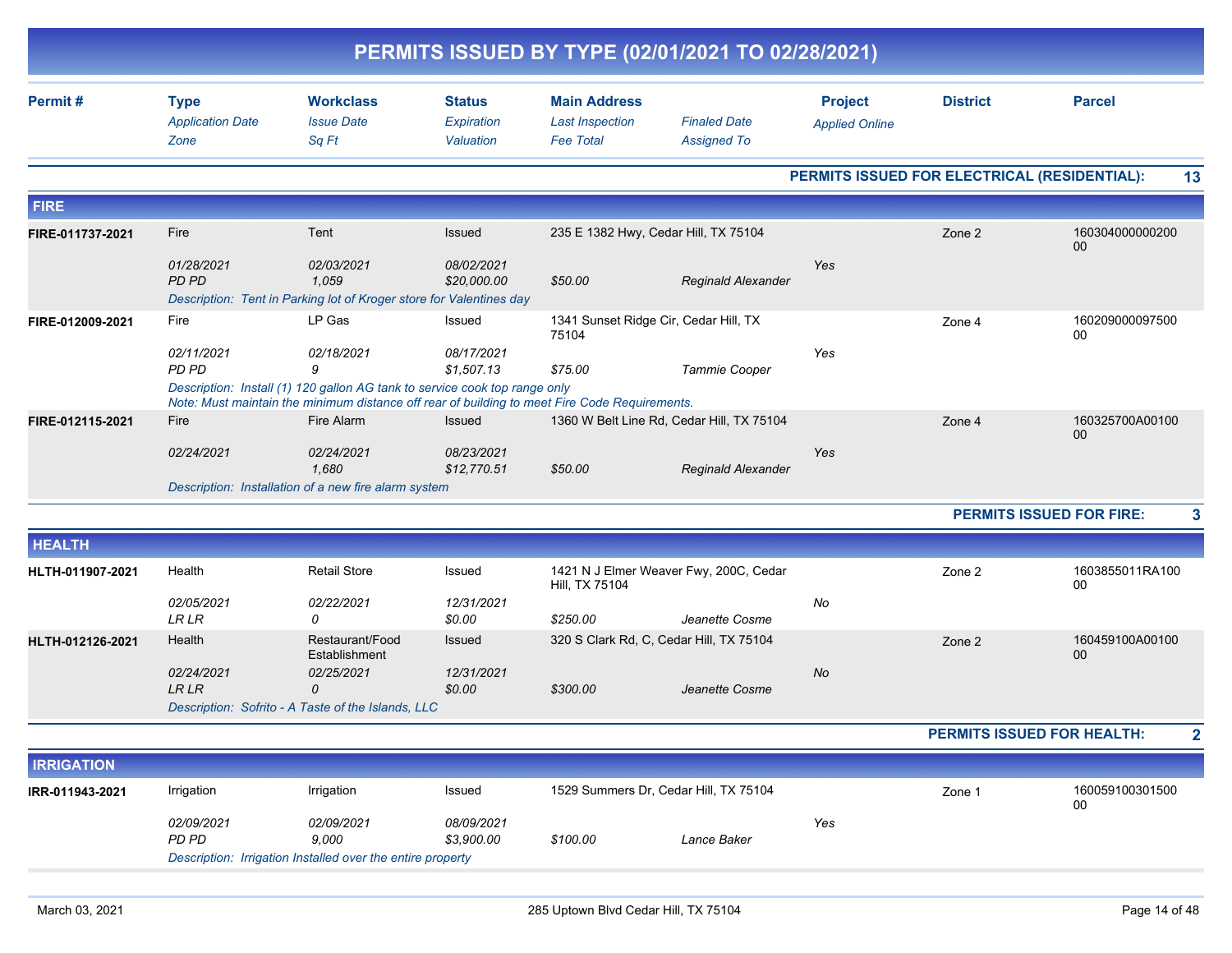|                  |                                                |                                                                                                                                                                             |                                          |                                                                   | PERMITS ISSUED BY TYPE (02/01/2021 TO 02/28/2021) |                                              |                 |                                 |
|------------------|------------------------------------------------|-----------------------------------------------------------------------------------------------------------------------------------------------------------------------------|------------------------------------------|-------------------------------------------------------------------|---------------------------------------------------|----------------------------------------------|-----------------|---------------------------------|
| Permit#          | <b>Type</b><br><b>Application Date</b><br>Zone | <b>Workclass</b><br><b>Issue Date</b><br>Sq Ft                                                                                                                              | <b>Status</b><br>Expiration<br>Valuation | <b>Main Address</b><br><b>Last Inspection</b><br><b>Fee Total</b> | <b>Finaled Date</b><br><b>Assigned To</b>         | <b>Project</b><br><b>Applied Online</b>      | <b>District</b> | <b>Parcel</b>                   |
|                  |                                                |                                                                                                                                                                             |                                          |                                                                   |                                                   | PERMITS ISSUED FOR ELECTRICAL (RESIDENTIAL): |                 | 13                              |
| <b>FIRE</b>      |                                                |                                                                                                                                                                             |                                          |                                                                   |                                                   |                                              |                 |                                 |
| FIRE-011737-2021 | Fire                                           | Tent                                                                                                                                                                        | Issued                                   | 235 E 1382 Hwy, Cedar Hill, TX 75104                              |                                                   |                                              | Zone 2          | 160304000000200<br>$00\,$       |
|                  | 01/28/2021<br><b>PD PD</b>                     | 02/03/2021<br>1.059<br>Description: Tent in Parking lot of Kroger store for Valentines day                                                                                  | 08/02/2021<br>\$20,000.00                | \$50.00                                                           | <b>Reginald Alexander</b>                         | Yes                                          |                 |                                 |
| FIRE-012009-2021 | Fire                                           | LP Gas                                                                                                                                                                      | Issued                                   | 1341 Sunset Ridge Cir, Cedar Hill, TX<br>75104                    |                                                   |                                              | Zone 4          | 160209000097500<br>00           |
|                  | 02/11/2021<br>PD PD                            | 02/18/2021<br>9                                                                                                                                                             | 08/17/2021<br>\$1,507.13                 | \$75.00                                                           | Tammie Cooper                                     | Yes                                          |                 |                                 |
|                  |                                                | Description: Install (1) 120 gallon AG tank to service cook top range only<br>Note: Must maintain the minimum distance off rear of building to meet Fire Code Requirements. |                                          |                                                                   |                                                   |                                              |                 |                                 |
| FIRE-012115-2021 | Fire                                           | Fire Alarm                                                                                                                                                                  | <b>Issued</b>                            |                                                                   | 1360 W Belt Line Rd, Cedar Hill, TX 75104         |                                              | Zone 4          | 160325700A00100<br>00           |
|                  | 02/24/2021                                     | 02/24/2021<br>1,680                                                                                                                                                         | 08/23/2021<br>\$12,770.51                | \$50.00                                                           | <b>Reginald Alexander</b>                         | Yes                                          |                 |                                 |
|                  |                                                | Description: Installation of a new fire alarm system                                                                                                                        |                                          |                                                                   |                                                   |                                              |                 |                                 |
|                  |                                                |                                                                                                                                                                             |                                          |                                                                   |                                                   |                                              |                 | <b>PERMITS ISSUED FOR FIRE:</b> |
| <b>HEALTH</b>    |                                                |                                                                                                                                                                             |                                          |                                                                   |                                                   |                                              |                 |                                 |
| HLTH-011907-2021 | Health                                         | <b>Retail Store</b>                                                                                                                                                         | Issued                                   | Hill, TX 75104                                                    | 1421 N J Elmer Weaver Fwy, 200C, Cedar            |                                              | Zone 2          | 1603855011RA100<br>$00\,$       |
|                  | 02/05/2021<br><b>LRLR</b>                      | 02/22/2021<br>$\Omega$                                                                                                                                                      | 12/31/2021<br>\$0.00                     | \$250.00                                                          | Jeanette Cosme                                    | No                                           |                 |                                 |
| HLTH-012126-2021 | Health                                         | Restaurant/Food<br>Establishment                                                                                                                                            | <b>Issued</b>                            |                                                                   | 320 S Clark Rd, C, Cedar Hill, TX 75104           |                                              | Zone 2          | 160459100A00100<br>00           |
|                  | 02/24/2021<br><b>LRLR</b>                      | 02/25/2021<br>$\Omega$<br>Description: Sofrito - A Taste of the Islands, LLC                                                                                                | 12/31/2021<br>\$0.00                     | \$300.00                                                          | Jeanette Cosme                                    | No                                           |                 |                                 |

**PERMITS ISSUED FOR HEALTH: 2**

| <b>IRRIGATION</b> |                     |                                                            |                          |          |                                       |     |                                            |  |  |  |
|-------------------|---------------------|------------------------------------------------------------|--------------------------|----------|---------------------------------------|-----|--------------------------------------------|--|--|--|
| IRR-011943-2021   | Irrigation          | Irrigation                                                 | Issued                   |          | 1529 Summers Dr. Cedar Hill, TX 75104 |     | 160059100301500<br>Zone <sup>-</sup><br>00 |  |  |  |
|                   | 02/09/2021<br>PD PD | 02/09/2021<br>9.000                                        | 08/09/2021<br>\$3.900.00 | \$100.00 | Lance Baker                           | Yes |                                            |  |  |  |
|                   |                     | Description: Irrigation Installed over the entire property |                          |          |                                       |     |                                            |  |  |  |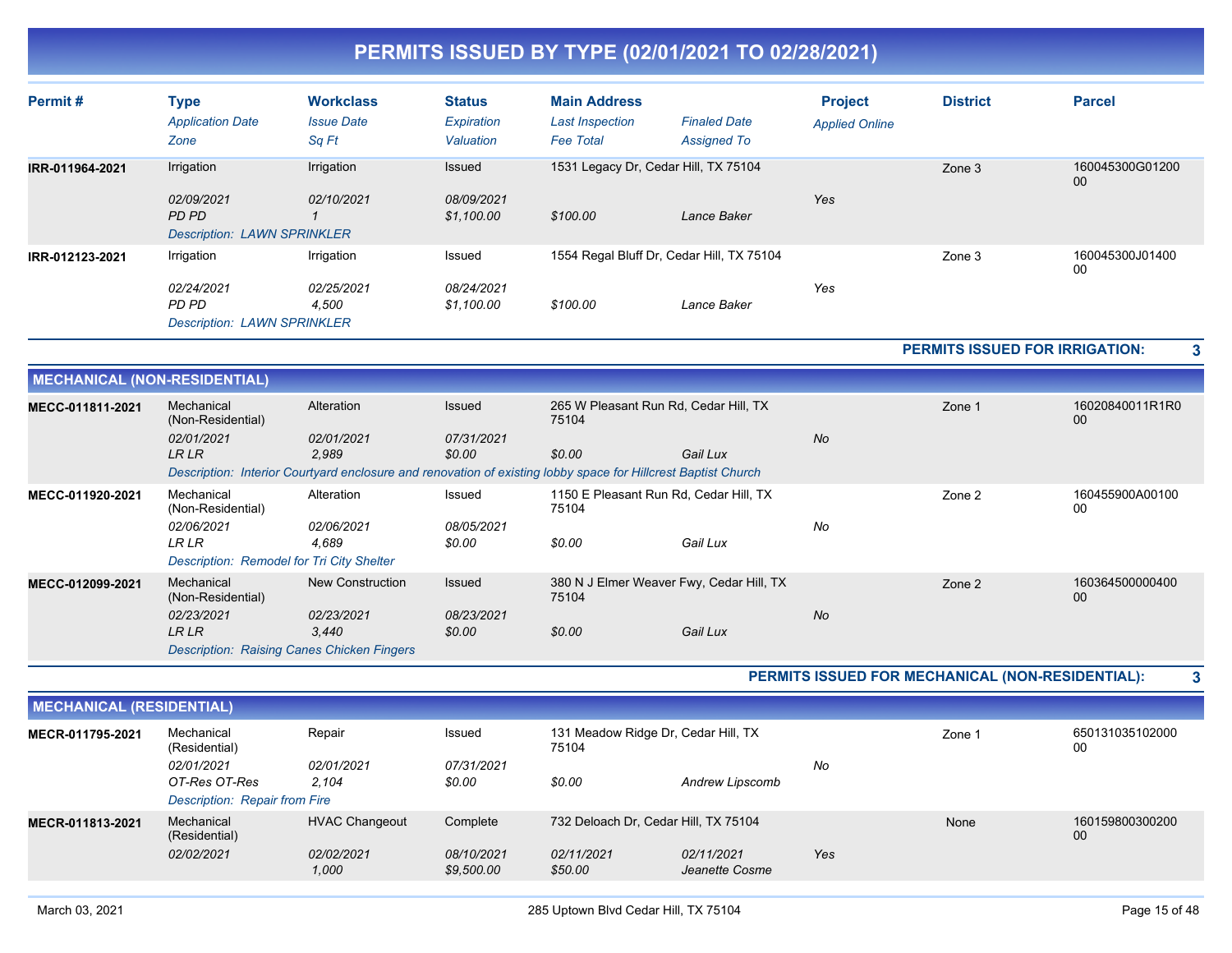| Permit#         | Type                                                      | <b>Workclass</b>           | <b>Status</b>            | <b>Main Address</b>                        |                                           | <b>Project</b>        | <b>District</b> | <b>Parcel</b>         |
|-----------------|-----------------------------------------------------------|----------------------------|--------------------------|--------------------------------------------|-------------------------------------------|-----------------------|-----------------|-----------------------|
|                 | <b>Application Date</b><br>Zone                           | <b>Issue Date</b><br>Sq Ft | Expiration<br>Valuation  | <b>Last Inspection</b><br><b>Fee Total</b> | <b>Finaled Date</b><br><b>Assigned To</b> | <b>Applied Online</b> |                 |                       |
| IRR-011964-2021 | Irrigation                                                | Irrigation                 | Issued                   |                                            | 1531 Legacy Dr. Cedar Hill, TX 75104      |                       | Zone 3          | 160045300G01200<br>00 |
|                 | 02/09/2021<br>PD PD<br><b>Description: LAWN SPRINKLER</b> | 02/10/2021                 | 08/09/2021<br>\$1,100.00 | \$100.00                                   | Lance Baker                               | Yes                   |                 |                       |
| IRR-012123-2021 | Irrigation                                                | Irrigation                 | Issued                   |                                            | 1554 Regal Bluff Dr, Cedar Hill, TX 75104 |                       | Zone 3          | 160045300J01400<br>00 |
|                 | 02/24/2021<br>PD PD<br><b>Description: LAWN SPRINKLER</b> | 02/25/2021<br>4,500        | 08/24/2021<br>\$1,100.00 | \$100.00                                   | Lance Baker                               | Yes                   |                 |                       |

**PERMITS ISSUED FOR IRRIGATION: 3**

|                  | <b>MECHANICAL (NON-RESIDENTIAL)</b>                                                                           |                     |                      |                                                   |          |           |                       |                       |  |  |
|------------------|---------------------------------------------------------------------------------------------------------------|---------------------|----------------------|---------------------------------------------------|----------|-----------|-----------------------|-----------------------|--|--|
| MECC-011811-2021 | Mechanical<br>(Non-Residential)                                                                               | Alteration          | Issued               | 265 W Pleasant Run Rd, Cedar Hill, TX<br>75104    |          |           | Zone 1                | 16020840011R1R0<br>00 |  |  |
|                  | 02/01/2021<br><b>LRLR</b>                                                                                     | 02/01/2021<br>2,989 | 07/31/2021<br>\$0.00 | \$0.00                                            | Gail Lux | <b>No</b> |                       |                       |  |  |
|                  | Description: Interior Courtyard enclosure and renovation of existing lobby space for Hillcrest Baptist Church |                     |                      |                                                   |          |           |                       |                       |  |  |
| MECC-011920-2021 | Mechanical<br>(Non-Residential)                                                                               | Alteration          | Issued               | 1150 E Pleasant Run Rd, Cedar Hill, TX<br>75104   |          | Zone 2    | 160455900A00100<br>00 |                       |  |  |
|                  | 02/06/2021                                                                                                    | 02/06/2021          | 08/05/2021           |                                                   |          | No        |                       |                       |  |  |
|                  | <b>LR LR</b>                                                                                                  | 4.689               | \$0.00               | \$0.00                                            | Gail Lux |           |                       |                       |  |  |
|                  | Description: Remodel for Tri City Shelter                                                                     |                     |                      |                                                   |          |           |                       |                       |  |  |
| MECC-012099-2021 | Mechanical<br>(Non-Residential)                                                                               | New Construction    | Issued               | 380 N J Elmer Weaver Fwy, Cedar Hill, TX<br>75104 |          |           | Zone 2                | 160364500000400<br>00 |  |  |
|                  | 02/23/2021                                                                                                    | 02/23/2021          | 08/23/2021           |                                                   |          | <b>No</b> |                       |                       |  |  |
|                  | LR LR                                                                                                         | 3,440               | \$0.00               | \$0.00                                            | Gail Lux |           |                       |                       |  |  |
|                  | <b>Description: Raising Canes Chicken Fingers</b>                                                             |                     |                      |                                                   |          |           |                       |                       |  |  |

**PERMITS ISSUED FOR MECHANICAL (NON-RESIDENTIAL): 3**

|                  | <b>MECHANICAL (RESIDENTIAL)</b>                              |                                              |                                      |                                                               |                              |     |        |                       |  |  |  |
|------------------|--------------------------------------------------------------|----------------------------------------------|--------------------------------------|---------------------------------------------------------------|------------------------------|-----|--------|-----------------------|--|--|--|
| MECR-011795-2021 | Mechanical<br>(Residential)                                  | Repair                                       | Issued                               | 131 Meadow Ridge Dr, Cedar Hill, TX<br>75104                  |                              |     | Zone 1 | 650131035102000<br>00 |  |  |  |
|                  | 02/01/2021<br>OT-Res OT-Res<br>Description: Repair from Fire | 02/01/2021<br>2,104                          | 07/31/2021<br>\$0.00                 | \$0.00                                                        | Andrew Lipscomb              | No  |        |                       |  |  |  |
| MECR-011813-2021 | Mechanical<br>(Residential)<br>02/02/2021                    | <b>HVAC Changeout</b><br>02/02/2021<br>1,000 | Complete<br>08/10/2021<br>\$9,500.00 | 732 Deloach Dr. Cedar Hill, TX 75104<br>02/11/2021<br>\$50.00 | 02/11/2021<br>Jeanette Cosme | Yes | None   | 160159800300200<br>00 |  |  |  |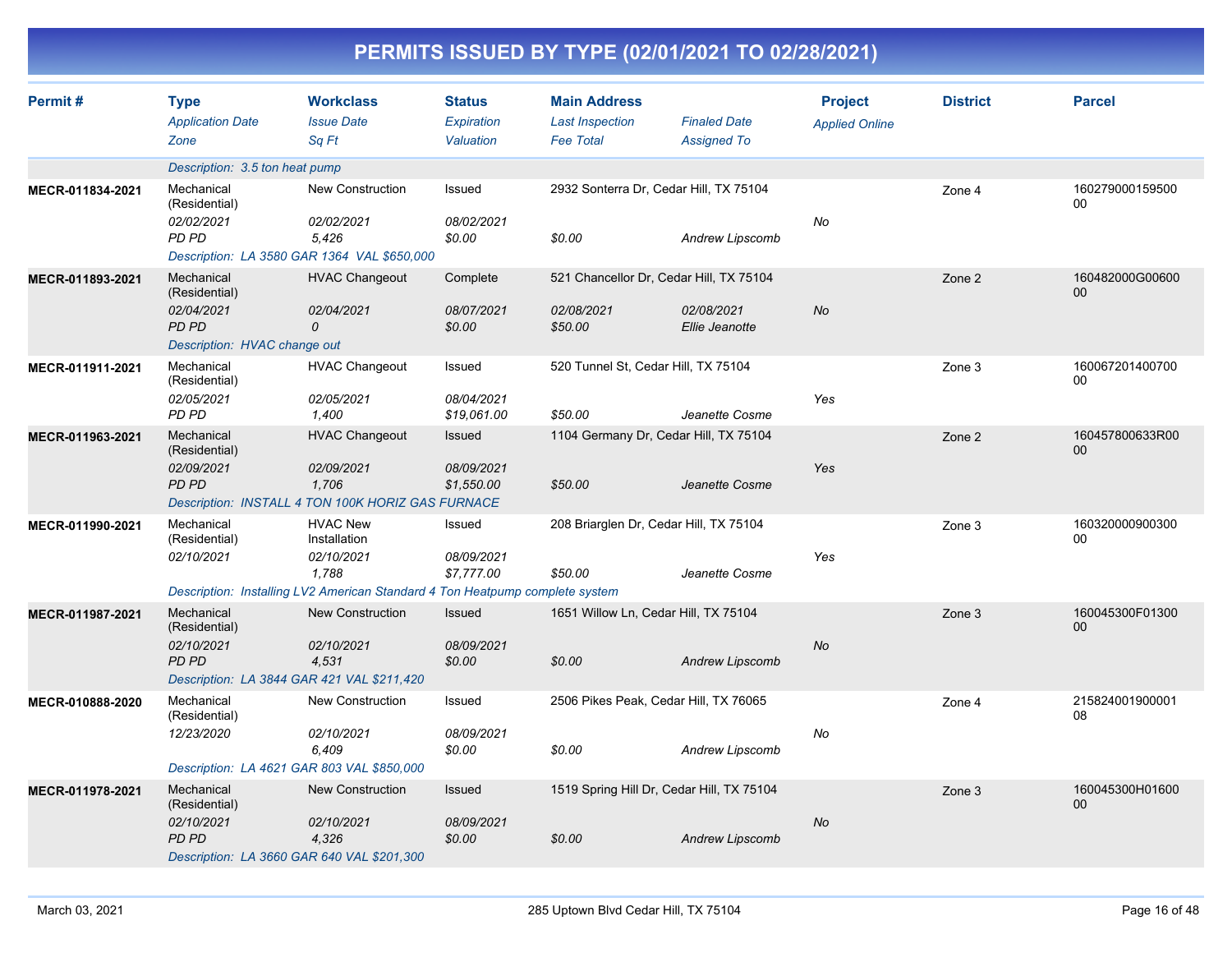|                  | PERMITS ISSUED BY TYPE (02/01/2021 TO 02/28/2021)                                  |                                                                                                                                        |                                           |                                                                   |                                                                         |                                         |                 |                           |  |  |
|------------------|------------------------------------------------------------------------------------|----------------------------------------------------------------------------------------------------------------------------------------|-------------------------------------------|-------------------------------------------------------------------|-------------------------------------------------------------------------|-----------------------------------------|-----------------|---------------------------|--|--|
| Permit#          | <b>Type</b><br><b>Application Date</b><br>Zone                                     | <b>Workclass</b><br><b>Issue Date</b><br>Sq Ft                                                                                         | <b>Status</b><br>Expiration<br>Valuation  | <b>Main Address</b><br><b>Last Inspection</b><br><b>Fee Total</b> | <b>Finaled Date</b><br><b>Assigned To</b>                               | <b>Project</b><br><b>Applied Online</b> | <b>District</b> | <b>Parcel</b>             |  |  |
|                  | Description: 3.5 ton heat pump                                                     |                                                                                                                                        |                                           |                                                                   |                                                                         |                                         |                 |                           |  |  |
| MECR-011834-2021 | Mechanical<br>(Residential)<br>02/02/2021<br>PD PD                                 | New Construction<br>02/02/2021<br>5,426<br>Description: LA 3580 GAR 1364 VAL \$650,000                                                 | Issued<br>08/02/2021<br>\$0.00            | 2932 Sonterra Dr, Cedar Hill, TX 75104<br>\$0.00                  | Andrew Lipscomb                                                         | No                                      | Zone 4          | 160279000159500<br>00     |  |  |
| MECR-011893-2021 | Mechanical<br>(Residential)<br>02/04/2021<br>PD PD<br>Description: HVAC change out | <b>HVAC Changeout</b><br>02/04/2021<br>0                                                                                               | Complete<br>08/07/2021<br>\$0.00          | 02/08/2021<br>\$50.00                                             | 521 Chancellor Dr, Cedar Hill, TX 75104<br>02/08/2021<br>Ellie Jeanotte | No                                      | Zone 2          | 160482000G00600<br>$00\,$ |  |  |
| MECR-011911-2021 | Mechanical<br>(Residential)<br>02/05/2021<br>PD PD                                 | <b>HVAC Changeout</b><br>02/05/2021<br>1,400                                                                                           | Issued<br>08/04/2021<br>\$19,061.00       | 520 Tunnel St, Cedar Hill, TX 75104<br>\$50.00                    | Jeanette Cosme                                                          | Yes                                     | Zone 3          | 160067201400700<br>00     |  |  |
| MECR-011963-2021 | Mechanical<br>(Residential)<br>02/09/2021<br>PD PD                                 | <b>HVAC Changeout</b><br>02/09/2021<br>1,706<br>Description: INSTALL 4 TON 100K HORIZ GAS FURNACE                                      | <b>Issued</b><br>08/09/2021<br>\$1,550.00 | \$50.00                                                           | 1104 Germany Dr, Cedar Hill, TX 75104<br>Jeanette Cosme                 | Yes                                     | Zone 2          | 160457800633R00<br>$00\,$ |  |  |
| MECR-011990-2021 | Mechanical<br>(Residential)<br>02/10/2021                                          | <b>HVAC New</b><br>Installation<br>02/10/2021<br>1,788<br>Description: Installing LV2 American Standard 4 Ton Heatpump complete system | Issued<br>08/09/2021<br>\$7,777.00        | 208 Briarglen Dr, Cedar Hill, TX 75104<br>\$50.00                 | Jeanette Cosme                                                          | Yes                                     | Zone 3          | 160320000900300<br>00     |  |  |
| MECR-011987-2021 | Mechanical<br>(Residential)<br>02/10/2021<br>PD PD                                 | <b>New Construction</b><br>02/10/2021<br>4,531<br>Description: LA 3844 GAR 421 VAL \$211,420                                           | <b>Issued</b><br>08/09/2021<br>\$0.00     | 1651 Willow Ln, Cedar Hill, TX 75104<br>\$0.00                    | <b>Andrew Lipscomb</b>                                                  | No                                      | Zone 3          | 160045300F01300<br>$00\,$ |  |  |
| MECR-010888-2020 | Mechanical<br>(Residential)<br>12/23/2020                                          | New Construction<br>02/10/2021<br>6,409<br>Description: LA 4621 GAR 803 VAL \$850,000                                                  | Issued<br>08/09/2021<br>\$0.00            | 2506 Pikes Peak, Cedar Hill, TX 76065<br>\$0.00                   | Andrew Lipscomb                                                         | No                                      | Zone 4          | 215824001900001<br>08     |  |  |
| MECR-011978-2021 | Mechanical<br>(Residential)<br>02/10/2021<br>PD PD                                 | <b>New Construction</b><br>02/10/2021<br>4,326<br>Description: LA 3660 GAR 640 VAL \$201,300                                           | Issued<br>08/09/2021<br>\$0.00            | \$0.00                                                            | 1519 Spring Hill Dr, Cedar Hill, TX 75104<br>Andrew Lipscomb            | No                                      | Zone 3          | 160045300H01600<br>00     |  |  |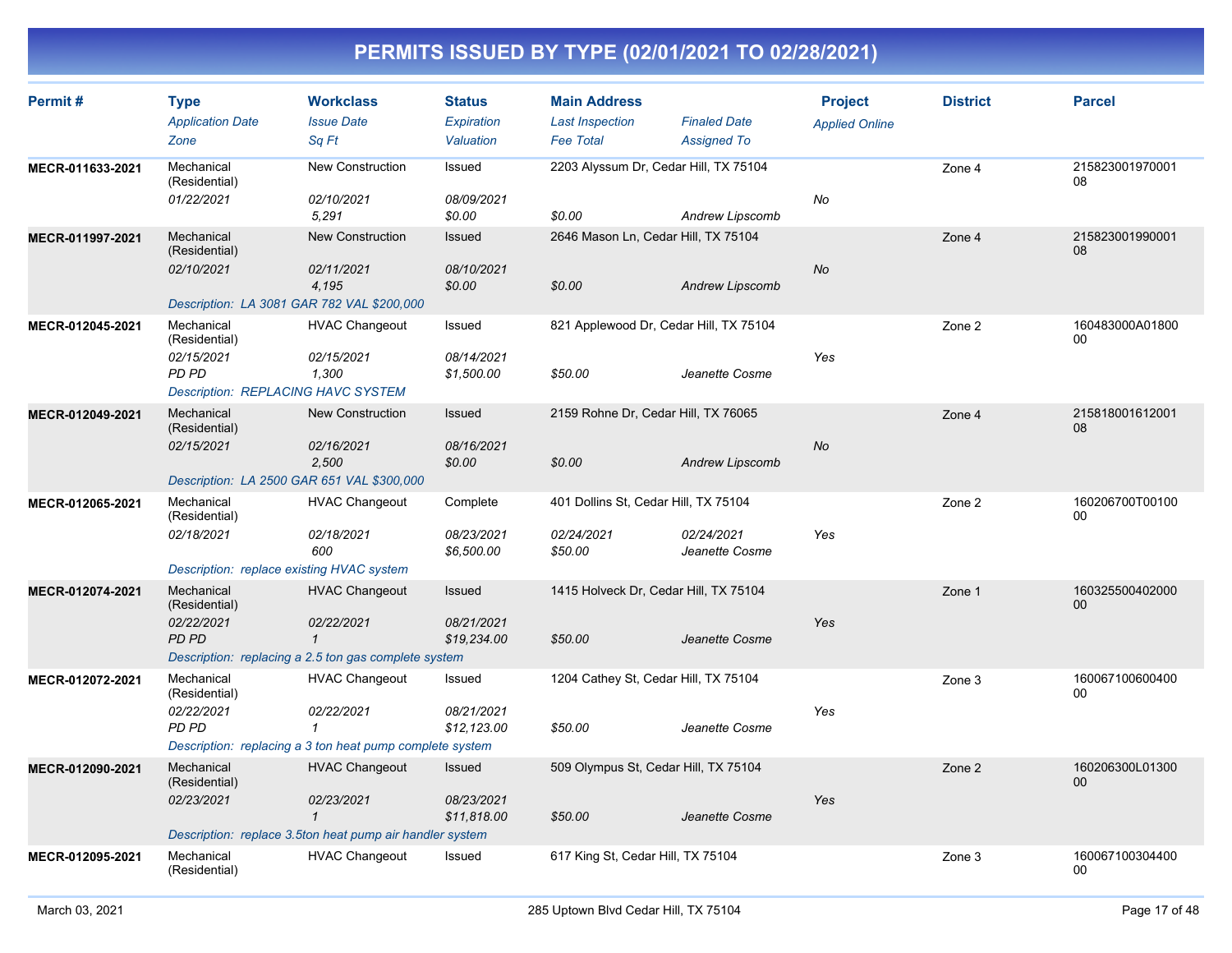| Permit#          | <b>Type</b><br><b>Application Date</b><br>Zone                                                  | <b>Workclass</b><br><b>Issue Date</b><br>Sa Ft                                                                  | <b>Status</b><br>Expiration<br>Valuation   | <b>Main Address</b><br><b>Last Inspection</b><br><b>Fee Total</b> | <b>Finaled Date</b><br><b>Assigned To</b> | <b>Project</b><br><b>Applied Online</b> | <b>District</b> | <b>Parcel</b>         |
|------------------|-------------------------------------------------------------------------------------------------|-----------------------------------------------------------------------------------------------------------------|--------------------------------------------|-------------------------------------------------------------------|-------------------------------------------|-----------------------------------------|-----------------|-----------------------|
| MECR-011633-2021 | Mechanical<br>(Residential)<br>01/22/2021                                                       | New Construction<br>02/10/2021<br>5,291                                                                         | Issued<br>08/09/2021<br>\$0.00             | 2203 Alyssum Dr, Cedar Hill, TX 75104<br>\$0.00                   | Andrew Lipscomb                           | No                                      | Zone 4          | 215823001970001<br>08 |
| MECR-011997-2021 | Mechanical<br>(Residential)<br>02/10/2021<br>Description: LA 3081 GAR 782 VAL \$200,000         | New Construction<br>02/11/2021<br>4,195                                                                         | <b>Issued</b><br>08/10/2021<br>\$0.00      | 2646 Mason Ln, Cedar Hill, TX 75104<br>\$0.00                     | <b>Andrew Lipscomb</b>                    | <b>No</b>                               | Zone 4          | 215823001990001<br>08 |
| MECR-012045-2021 | Mechanical<br>(Residential)<br>02/15/2021<br>PD PD<br><b>Description: REPLACING HAVC SYSTEM</b> | <b>HVAC Changeout</b><br>02/15/2021<br>1,300                                                                    | Issued<br>08/14/2021<br>\$1,500.00         | 821 Applewood Dr, Cedar Hill, TX 75104<br>\$50.00                 | Jeanette Cosme                            | Yes                                     | Zone 2          | 160483000A01800<br>00 |
| MECR-012049-2021 | Mechanical<br>(Residential)<br>02/15/2021<br>Description: LA 2500 GAR 651 VAL \$300,000         | <b>New Construction</b><br>02/16/2021<br>2,500                                                                  | Issued<br>08/16/2021<br>\$0.00             | 2159 Rohne Dr, Cedar Hill, TX 76065<br>\$0.00                     | <b>Andrew Lipscomb</b>                    | <b>No</b>                               | Zone 4          | 215818001612001<br>08 |
| MECR-012065-2021 | Mechanical<br>(Residential)<br>02/18/2021<br>Description: replace existing HVAC system          | <b>HVAC Changeout</b><br>02/18/2021<br>600                                                                      | Complete<br>08/23/2021<br>\$6,500.00       | 401 Dollins St, Cedar Hill, TX 75104<br>02/24/2021<br>\$50.00     | 02/24/2021<br>Jeanette Cosme              | Yes                                     | Zone 2          | 160206700T00100<br>00 |
| MECR-012074-2021 | Mechanical<br>(Residential)<br>02/22/2021<br><b>PD PD</b>                                       | <b>HVAC Changeout</b><br>02/22/2021<br>$\overline{1}$<br>Description: replacing a 2.5 ton gas complete system   | Issued<br>08/21/2021<br>\$19,234.00        | 1415 Holveck Dr, Cedar Hill, TX 75104<br>\$50.00                  | Jeanette Cosme                            | Yes                                     | Zone 1          | 160325500402000<br>00 |
| MECR-012072-2021 | Mechanical<br>(Residential)<br>02/22/2021<br><b>PD PD</b>                                       | <b>HVAC Changeout</b><br>02/22/2021<br>$\mathbf{1}$<br>Description: replacing a 3 ton heat pump complete system | Issued<br>08/21/2021<br>\$12,123.00        | 1204 Cathey St, Cedar Hill, TX 75104<br>\$50.00                   | Jeanette Cosme                            | Yes                                     | Zone 3          | 160067100600400<br>00 |
| MECR-012090-2021 | Mechanical<br>(Residential)<br>02/23/2021                                                       | <b>HVAC Changeout</b><br>02/23/2021<br>$\mathbf{1}$<br>Description: replace 3.5ton heat pump air handler system | <b>Issued</b><br>08/23/2021<br>\$11,818.00 | 509 Olympus St, Cedar Hill, TX 75104<br>\$50.00                   | Jeanette Cosme                            | Yes                                     | Zone 2          | 160206300L01300<br>00 |
| MECR-012095-2021 | Mechanical<br>(Residential)                                                                     | <b>HVAC Changeout</b>                                                                                           | Issued                                     | 617 King St, Cedar Hill, TX 75104                                 |                                           |                                         | Zone 3          | 160067100304400<br>00 |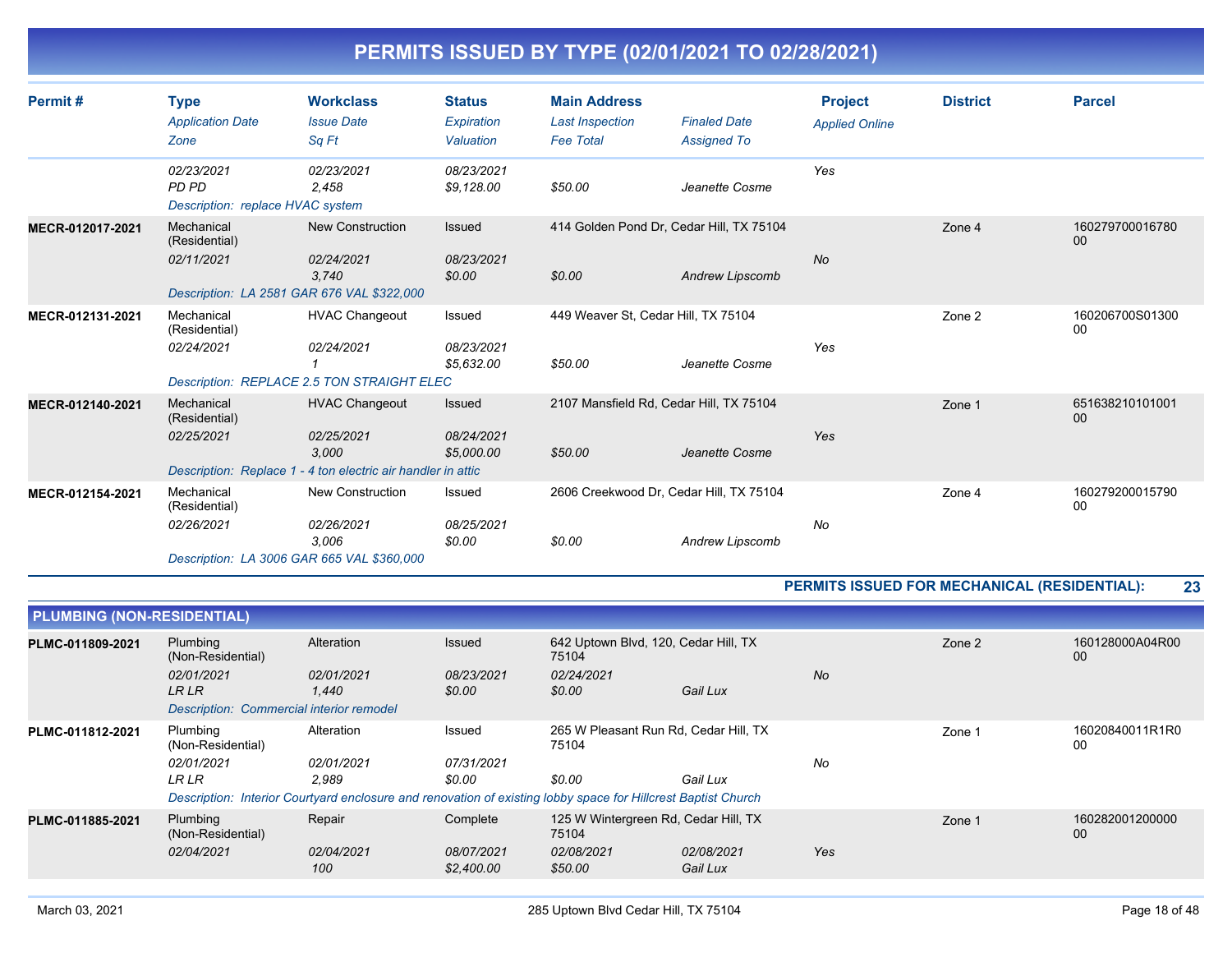| Permit#          | <b>Type</b><br><b>Application Date</b><br>Zone          | <b>Workclass</b><br><b>Issue Date</b><br>Sa Ft                                                               | <b>Status</b><br>Expiration<br>Valuation  | <b>Main Address</b><br><b>Last Inspection</b><br><b>Fee Total</b> | <b>Finaled Date</b><br><b>Assigned To</b>                   | <b>Project</b><br><b>Applied Online</b> | <b>District</b> | <b>Parcel</b>         |
|------------------|---------------------------------------------------------|--------------------------------------------------------------------------------------------------------------|-------------------------------------------|-------------------------------------------------------------------|-------------------------------------------------------------|-----------------------------------------|-----------------|-----------------------|
|                  | 02/23/2021<br>PD PD<br>Description: replace HVAC system | 02/23/2021<br>2,458                                                                                          | 08/23/2021<br>\$9,128.00                  | \$50.00                                                           | Jeanette Cosme                                              | Yes                                     |                 |                       |
| MECR-012017-2021 | Mechanical<br>(Residential)<br>02/11/2021               | <b>New Construction</b><br>02/24/2021<br>3.740<br>Description: LA 2581 GAR 676 VAL \$322,000                 | Issued<br>08/23/2021<br>\$0.00            | \$0.00                                                            | 414 Golden Pond Dr, Cedar Hill, TX 75104<br>Andrew Lipscomb | <b>No</b>                               | Zone 4          | 160279700016780<br>00 |
| MECR-012131-2021 | Mechanical<br>(Residential)<br>02/24/2021               | <b>HVAC Changeout</b><br>02/24/2021<br><b>Description: REPLACE 2.5 TON STRAIGHT ELEC</b>                     | Issued<br>08/23/2021<br>\$5,632.00        | 449 Weaver St, Cedar Hill, TX 75104<br>\$50.00                    | Jeanette Cosme                                              | Yes                                     | Zone 2          | 160206700S01300<br>00 |
| MECR-012140-2021 | Mechanical<br>(Residential)<br>02/25/2021               | <b>HVAC Changeout</b><br>02/25/2021<br>3,000<br>Description: Replace 1 - 4 ton electric air handler in attic | <b>Issued</b><br>08/24/2021<br>\$5,000.00 | \$50.00                                                           | 2107 Mansfield Rd, Cedar Hill, TX 75104<br>Jeanette Cosme   | Yes                                     | Zone 1          | 651638210101001<br>00 |
| MECR-012154-2021 | Mechanical<br>(Residential)<br>02/26/2021               | <b>New Construction</b><br>02/26/2021<br>3.006<br>Description: LA 3006 GAR 665 VAL \$360,000                 | Issued<br>08/25/2021<br>\$0.00            | \$0.00                                                            | 2606 Creekwood Dr, Cedar Hill, TX 75104<br>Andrew Lipscomb  | No                                      | Zone 4          | 160279200015790<br>00 |

#### **PERMITS ISSUED FOR MECHANICAL (RESIDENTIAL): 23**

| <b>PLUMBING (NON-RESIDENTIAL)</b> |                                          |                                                                                                               |                          |                                                |                        |           |        |                       |
|-----------------------------------|------------------------------------------|---------------------------------------------------------------------------------------------------------------|--------------------------|------------------------------------------------|------------------------|-----------|--------|-----------------------|
| PLMC-011809-2021                  | Plumbing<br>(Non-Residential)            | Alteration                                                                                                    | <b>Issued</b>            | 642 Uptown Blvd, 120, Cedar Hill, TX<br>75104  |                        |           | Zone 2 | 160128000A04R00<br>00 |
|                                   | 02/01/2021<br><b>LRLR</b>                | 02/01/2021<br>1.440                                                                                           | 08/23/2021<br>\$0.00     | 02/24/2021<br>\$0.00                           | Gail Lux               | <b>No</b> |        |                       |
|                                   | Description: Commercial interior remodel |                                                                                                               |                          |                                                |                        |           |        |                       |
| PLMC-011812-2021                  | Plumbing<br>(Non-Residential)            | Alteration                                                                                                    | Issued                   | 265 W Pleasant Run Rd, Cedar Hill, TX<br>75104 |                        |           | Zone 1 | 16020840011R1R0<br>00 |
|                                   | 02/01/2021                               | 02/01/2021                                                                                                    | 07/31/2021               |                                                |                        | No        |        |                       |
|                                   | LR LR                                    | 2.989                                                                                                         | \$0.00                   | \$0.00                                         | Gail Lux               |           |        |                       |
|                                   |                                          | Description: Interior Courtyard enclosure and renovation of existing lobby space for Hillcrest Baptist Church |                          |                                                |                        |           |        |                       |
| PLMC-011885-2021                  | Plumbing<br>(Non-Residential)            | Repair                                                                                                        | Complete                 | 125 W Wintergreen Rd, Cedar Hill, TX<br>75104  |                        |           | Zone 1 | 160282001200000<br>00 |
|                                   | 02/04/2021                               | 02/04/2021<br>100                                                                                             | 08/07/2021<br>\$2,400.00 | 02/08/2021<br>\$50.00                          | 02/08/2021<br>Gail Lux | Yes       |        |                       |
|                                   |                                          |                                                                                                               |                          |                                                |                        |           |        |                       |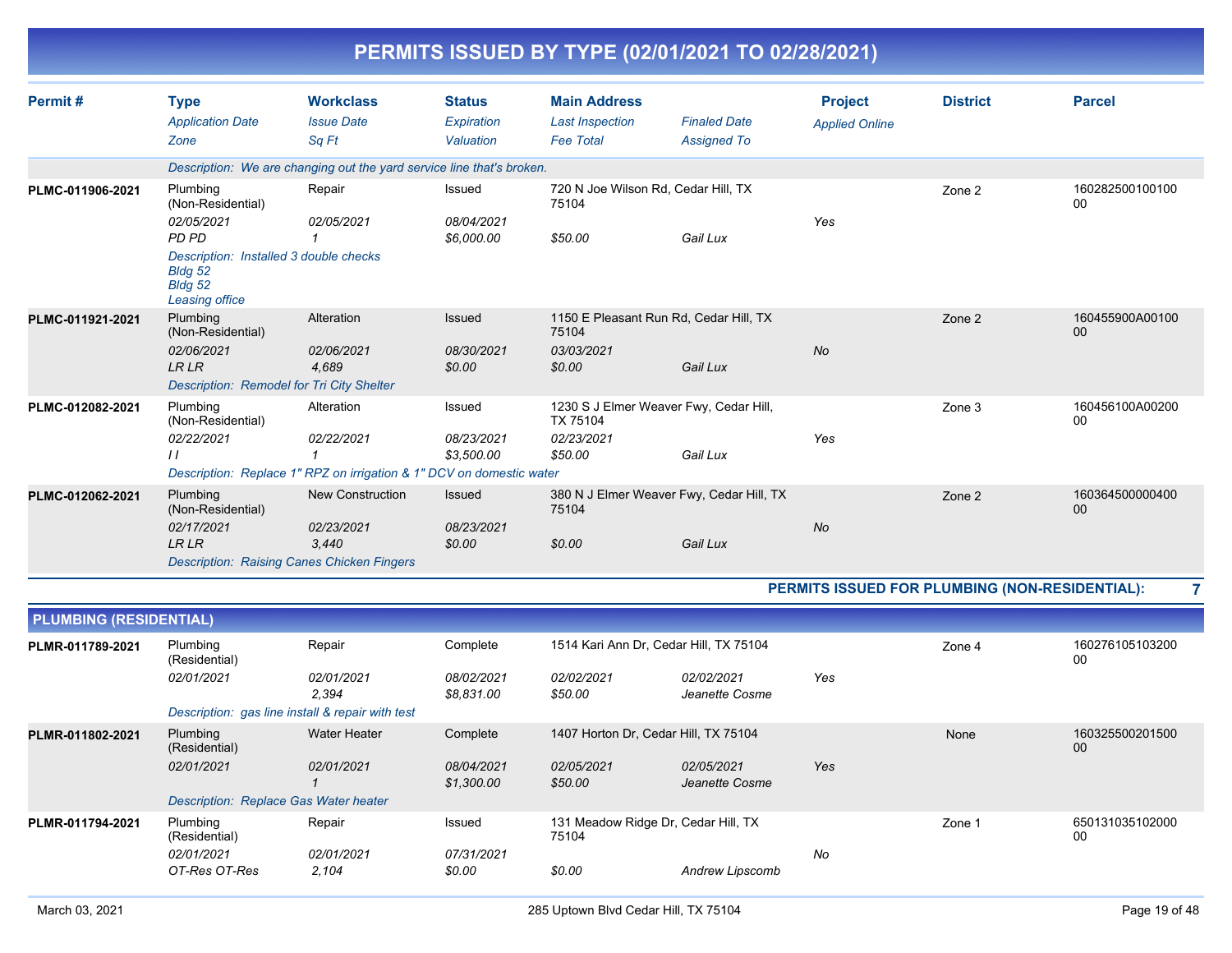|                  |                                                                                                                                        |                                                                                                                  |                                          |                                                                             | PERMITS ISSUED BY TYPE (02/01/2021 TO 02/28/2021)    |                                         |                 |                           |
|------------------|----------------------------------------------------------------------------------------------------------------------------------------|------------------------------------------------------------------------------------------------------------------|------------------------------------------|-----------------------------------------------------------------------------|------------------------------------------------------|-----------------------------------------|-----------------|---------------------------|
| Permit#          | <b>Type</b><br><b>Application Date</b><br>Zone                                                                                         | <b>Workclass</b><br><b>Issue Date</b><br>Sa Ft                                                                   | <b>Status</b><br>Expiration<br>Valuation | <b>Main Address</b><br><b>Last Inspection</b><br><b>Fee Total</b>           | <b>Finaled Date</b><br><b>Assigned To</b>            | <b>Project</b><br><b>Applied Online</b> | <b>District</b> | <b>Parcel</b>             |
|                  |                                                                                                                                        | Description: We are changing out the yard service line that's broken.                                            |                                          |                                                                             |                                                      |                                         |                 |                           |
| PLMC-011906-2021 | Plumbing<br>(Non-Residential)<br>02/05/2021<br>PD PD<br>Description: Installed 3 double checks<br>Bldg 52<br>Bldg 52<br>Leasing office | Repair<br>02/05/2021                                                                                             | Issued<br>08/04/2021<br>\$6,000.00       | 720 N Joe Wilson Rd, Cedar Hill, TX<br>75104<br>\$50.00                     | Gail Lux                                             | Yes                                     | Zone 2          | 160282500100100<br>$00\,$ |
| PLMC-011921-2021 | Plumbing<br>(Non-Residential)<br>02/06/2021<br><b>LR LR</b><br><b>Description: Remodel for Tri City Shelter</b>                        | Alteration<br>02/06/2021<br>4,689                                                                                | Issued<br>08/30/2021<br>\$0.00           | 1150 E Pleasant Run Rd, Cedar Hill, TX<br>75104<br>03/03/2021<br>\$0.00     | Gail Lux                                             | <b>No</b>                               | Zone 2          | 160455900A00100<br>00     |
| PLMC-012082-2021 | Plumbing<br>(Non-Residential)<br>02/22/2021<br>$\prime$                                                                                | Alteration<br>02/22/2021<br>$\mathbf{1}$<br>Description: Replace 1" RPZ on irrigation & 1" DCV on domestic water | Issued<br>08/23/2021<br>\$3.500.00       | 1230 S J Elmer Weaver Fwy, Cedar Hill,<br>TX 75104<br>02/23/2021<br>\$50.00 | Gail Lux                                             | Yes                                     | Zone 3          | 160456100A00200<br>00     |
| PLMC-012062-2021 | Plumbing<br>(Non-Residential)<br>02/17/2021<br><b>LR LR</b>                                                                            | <b>New Construction</b><br>02/23/2021<br>3.440<br><b>Description: Raising Canes Chicken Fingers</b>              | Issued<br>08/23/2021<br>\$0.00           | 75104<br>\$0.00                                                             | 380 N J Elmer Weaver Fwy, Cedar Hill, TX<br>Gail Lux | No                                      | Zone 2          | 160364500000400<br>00     |

#### **PERMITS ISSUED FOR PLUMBING (NON-RESIDENTIAL): 7**

| <b>PLUMBING (RESIDENTIAL)</b> |                                                  |                     |                          |                                              |                              |     |        |                       |
|-------------------------------|--------------------------------------------------|---------------------|--------------------------|----------------------------------------------|------------------------------|-----|--------|-----------------------|
| PLMR-011789-2021              | Plumbing<br>(Residential)                        | Repair              | Complete                 | 1514 Kari Ann Dr, Cedar Hill, TX 75104       |                              |     | Zone 4 | 160276105103200<br>00 |
|                               | 02/01/2021                                       | 02/01/2021<br>2.394 | 08/02/2021<br>\$8,831.00 | 02/02/2021<br>\$50.00                        | 02/02/2021<br>Jeanette Cosme | Yes |        |                       |
|                               | Description: gas line install & repair with test |                     |                          |                                              |                              |     |        |                       |
| PLMR-011802-2021              | Plumbing<br>(Residential)                        | <b>Water Heater</b> | Complete                 | 1407 Horton Dr, Cedar Hill, TX 75104         |                              |     | None   | 160325500201500<br>00 |
|                               | 02/01/2021                                       | 02/01/2021          | 08/04/2021<br>\$1,300.00 | 02/05/2021<br>\$50.00                        | 02/05/2021<br>Jeanette Cosme | Yes |        |                       |
|                               | Description: Replace Gas Water heater            |                     |                          |                                              |                              |     |        |                       |
| PLMR-011794-2021              | Plumbing<br>(Residential)                        | Repair              | Issued                   | 131 Meadow Ridge Dr, Cedar Hill, TX<br>75104 |                              |     | Zone 1 | 650131035102000<br>00 |
|                               | 02/01/2021<br>OT-Res OT-Res                      | 02/01/2021<br>2,104 | 07/31/2021<br>\$0.00     | \$0.00                                       | Andrew Lipscomb              | No  |        |                       |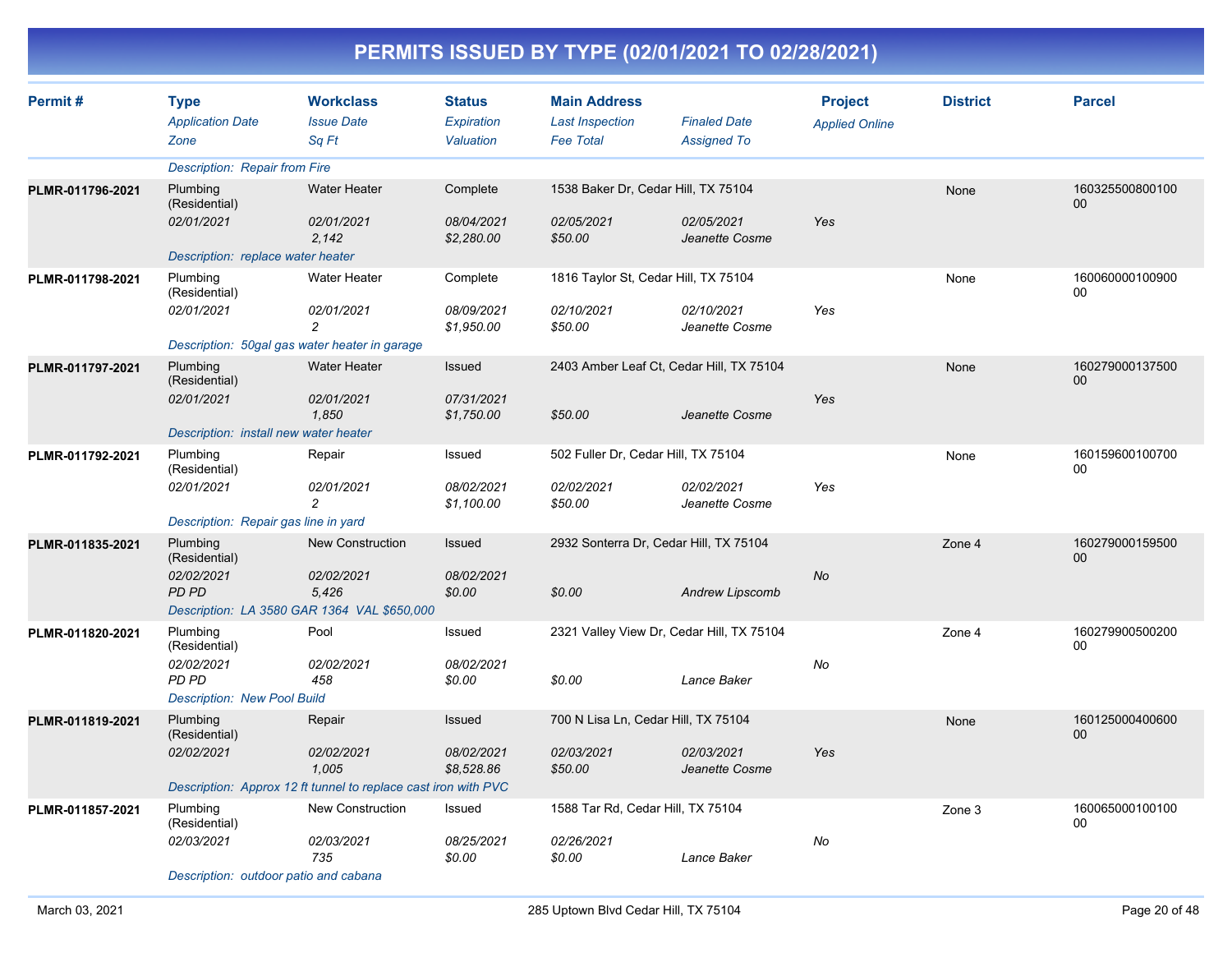| Permit#          | <b>Type</b><br><b>Application Date</b><br>Zone                                         | <b>Workclass</b><br><b>Issue Date</b><br>Sa Ft                                        | <b>Status</b><br><b>Expiration</b><br>Valuation | <b>Main Address</b><br><b>Last Inspection</b><br><b>Fee Total</b> | <b>Finaled Date</b><br><b>Assigned To</b>                | <b>Project</b><br><b>Applied Online</b> | <b>District</b> | <b>Parcel</b>         |
|------------------|----------------------------------------------------------------------------------------|---------------------------------------------------------------------------------------|-------------------------------------------------|-------------------------------------------------------------------|----------------------------------------------------------|-----------------------------------------|-----------------|-----------------------|
|                  | Description: Repair from Fire                                                          |                                                                                       |                                                 |                                                                   |                                                          |                                         |                 |                       |
| PLMR-011796-2021 | Plumbing<br>(Residential)<br>02/01/2021                                                | <b>Water Heater</b><br>02/01/2021<br>2.142                                            | Complete<br>08/04/2021<br>\$2,280.00            | 1538 Baker Dr, Cedar Hill, TX 75104<br>02/05/2021<br>\$50.00      | 02/05/2021<br>Jeanette Cosme                             | Yes                                     | None            | 160325500800100<br>00 |
|                  | Description: replace water heater                                                      |                                                                                       |                                                 |                                                                   |                                                          |                                         |                 |                       |
| PLMR-011798-2021 | Plumbing<br>(Residential)<br>02/01/2021                                                | Water Heater<br>02/01/2021<br>$\overline{c}$                                          | Complete<br>08/09/2021<br>\$1,950.00            | 1816 Taylor St, Cedar Hill, TX 75104<br>02/10/2021<br>\$50.00     | 02/10/2021<br>Jeanette Cosme                             | Yes                                     | None            | 160060000100900<br>00 |
|                  |                                                                                        | Description: 50gal gas water heater in garage                                         |                                                 |                                                                   |                                                          |                                         |                 |                       |
| PLMR-011797-2021 | Plumbing<br>(Residential)<br>02/01/2021                                                | <b>Water Heater</b><br>02/01/2021                                                     | Issued<br>07/31/2021                            |                                                                   | 2403 Amber Leaf Ct, Cedar Hill, TX 75104                 | Yes                                     | None            | 160279000137500<br>00 |
|                  |                                                                                        | 1.850                                                                                 | \$1,750.00                                      | \$50.00                                                           | Jeanette Cosme                                           |                                         |                 |                       |
| PLMR-011792-2021 | Description: install new water heater<br>Plumbing                                      | Repair                                                                                | Issued                                          | 502 Fuller Dr, Cedar Hill, TX 75104                               |                                                          |                                         | None            | 160159600100700       |
|                  | (Residential)<br>02/01/2021<br>Description: Repair gas line in yard                    | 02/01/2021<br>$\overline{c}$                                                          | 08/02/2021<br>\$1,100.00                        | 02/02/2021<br>\$50.00                                             | 02/02/2021<br>Jeanette Cosme                             | Yes                                     |                 | 00                    |
| PLMR-011835-2021 | Plumbing                                                                               | <b>New Construction</b>                                                               | Issued                                          |                                                                   | 2932 Sonterra Dr, Cedar Hill, TX 75104                   |                                         | Zone 4          | 160279000159500       |
|                  | (Residential)<br>02/02/2021<br><b>PD PD</b>                                            | 02/02/2021<br>5,426<br>Description: LA 3580 GAR 1364 VAL \$650,000                    | 08/02/2021<br>\$0.00                            | \$0.00                                                            | <b>Andrew Lipscomb</b>                                   | No                                      |                 | 00                    |
| PLMR-011820-2021 | Plumbing<br>(Residential)<br>02/02/2021<br>PD PD<br><b>Description: New Pool Build</b> | Pool<br>02/02/2021<br>458                                                             | Issued<br>08/02/2021<br>\$0.00                  | \$0.00                                                            | 2321 Valley View Dr, Cedar Hill, TX 75104<br>Lance Baker | No                                      | Zone 4          | 160279900500200<br>00 |
| PLMR-011819-2021 | Plumbing                                                                               | Repair                                                                                | Issued                                          | 700 N Lisa Ln, Cedar Hill, TX 75104                               |                                                          |                                         | None            | 160125000400600       |
|                  | (Residential)<br>02/02/2021                                                            | 02/02/2021<br>1,005<br>Description: Approx 12 ft tunnel to replace cast iron with PVC | 08/02/2021<br>\$8,528.86                        | 02/03/2021<br>\$50.00                                             | 02/03/2021<br>Jeanette Cosme                             | Yes                                     |                 | 00                    |
| PLMR-011857-2021 | Plumbing                                                                               | New Construction                                                                      | Issued                                          | 1588 Tar Rd, Cedar Hill, TX 75104                                 |                                                          |                                         | Zone 3          | 160065000100100       |
|                  | (Residential)<br>02/03/2021<br>Description: outdoor patio and cabana                   | 02/03/2021<br>735                                                                     | 08/25/2021<br>\$0.00                            | 02/26/2021<br>\$0.00                                              | Lance Baker                                              | No                                      |                 | 00                    |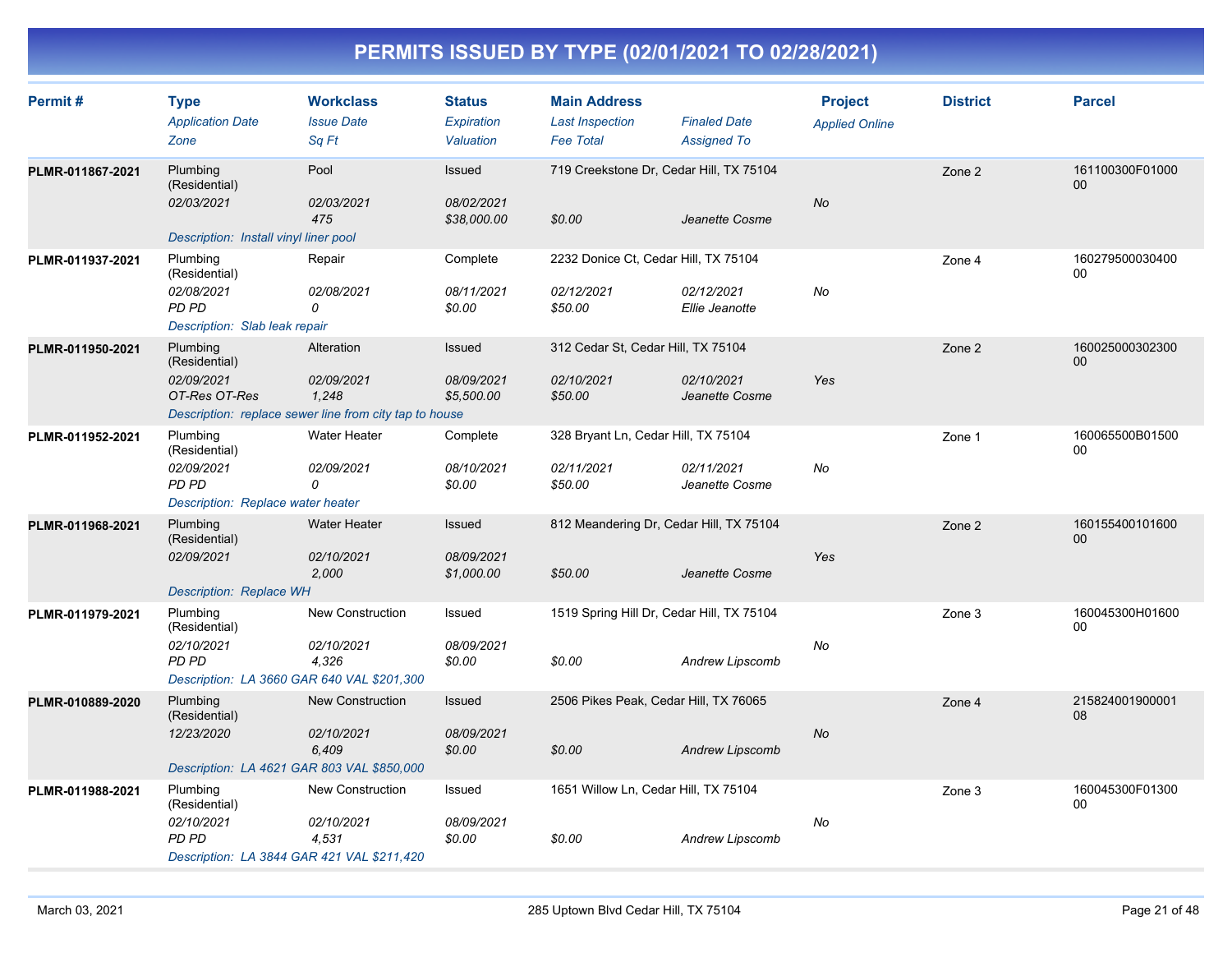| Permit#          | <b>Type</b><br><b>Application Date</b><br>Zone                                                 | <b>Workclass</b><br><b>Issue Date</b><br>Sq Ft                                              | <b>Status</b><br>Expiration<br>Valuation | <b>Main Address</b><br><b>Last Inspection</b><br><b>Fee Total</b> | <b>Finaled Date</b><br><b>Assigned To</b> | <b>Project</b><br><b>Applied Online</b> | <b>District</b> | <b>Parcel</b>         |
|------------------|------------------------------------------------------------------------------------------------|---------------------------------------------------------------------------------------------|------------------------------------------|-------------------------------------------------------------------|-------------------------------------------|-----------------------------------------|-----------------|-----------------------|
| PLMR-011867-2021 | Plumbing<br>(Residential)<br>02/03/2021<br>Description: Install vinyl liner pool               | Pool<br>02/03/2021<br>475                                                                   | Issued<br>08/02/2021<br>\$38,000.00      | 719 Creekstone Dr, Cedar Hill, TX 75104<br>\$0.00                 | Jeanette Cosme                            | <b>No</b>                               | Zone 2          | 161100300F01000<br>00 |
| PLMR-011937-2021 | Plumbing<br>(Residential)<br>02/08/2021<br><b>PD PD</b><br>Description: Slab leak repair       | Repair<br>02/08/2021<br>0                                                                   | Complete<br>08/11/2021<br>\$0.00         | 2232 Donice Ct, Cedar Hill, TX 75104<br>02/12/2021<br>\$50.00     | 02/12/2021<br>Ellie Jeanotte              | No                                      | Zone 4          | 160279500030400<br>00 |
| PLMR-011950-2021 | Plumbing<br>(Residential)<br>02/09/2021<br>OT-Res OT-Res                                       | Alteration<br>02/09/2021<br>1.248<br>Description: replace sewer line from city tap to house | Issued<br>08/09/2021<br>\$5,500.00       | 312 Cedar St, Cedar Hill, TX 75104<br>02/10/2021<br>\$50.00       | 02/10/2021<br>Jeanette Cosme              | Yes                                     | Zone 2          | 160025000302300<br>00 |
| PLMR-011952-2021 | Plumbing<br>(Residential)<br>02/09/2021<br><b>PD PD</b><br>Description: Replace water heater   | <b>Water Heater</b><br>02/09/2021<br>0                                                      | Complete<br>08/10/2021<br>\$0.00         | 328 Bryant Ln, Cedar Hill, TX 75104<br>02/11/2021<br>\$50.00      | 02/11/2021<br>Jeanette Cosme              | No                                      | Zone 1          | 160065500B01500<br>00 |
| PLMR-011968-2021 | Plumbing<br>(Residential)<br>02/09/2021<br>Description: Replace WH                             | <b>Water Heater</b><br>02/10/2021<br>2,000                                                  | Issued<br>08/09/2021<br>\$1,000.00       | 812 Meandering Dr, Cedar Hill, TX 75104<br>\$50.00                | Jeanette Cosme                            | Yes                                     | Zone 2          | 160155400101600<br>00 |
| PLMR-011979-2021 | Plumbing<br>(Residential)<br>02/10/2021<br>PD PD<br>Description: LA 3660 GAR 640 VAL \$201,300 | <b>New Construction</b><br>02/10/2021<br>4,326                                              | Issued<br>08/09/2021<br>\$0.00           | 1519 Spring Hill Dr, Cedar Hill, TX 75104<br>\$0.00               | Andrew Lipscomb                           | No                                      | Zone 3          | 160045300H01600<br>00 |
| PLMR-010889-2020 | Plumbing<br>(Residential)<br>12/23/2020<br>Description: LA 4621 GAR 803 VAL \$850,000          | <b>New Construction</b><br>02/10/2021<br>6,409                                              | Issued<br>08/09/2021<br>\$0.00           | 2506 Pikes Peak, Cedar Hill, TX 76065<br>\$0.00                   | <b>Andrew Lipscomb</b>                    | No                                      | Zone 4          | 215824001900001<br>08 |
| PLMR-011988-2021 | Plumbing<br>(Residential)<br>02/10/2021<br>PD PD<br>Description: LA 3844 GAR 421 VAL \$211,420 | <b>New Construction</b><br>02/10/2021<br>4,531                                              | Issued<br>08/09/2021<br>\$0.00           | 1651 Willow Ln, Cedar Hill, TX 75104<br>\$0.00                    | <b>Andrew Lipscomb</b>                    | No                                      | Zone 3          | 160045300F01300<br>00 |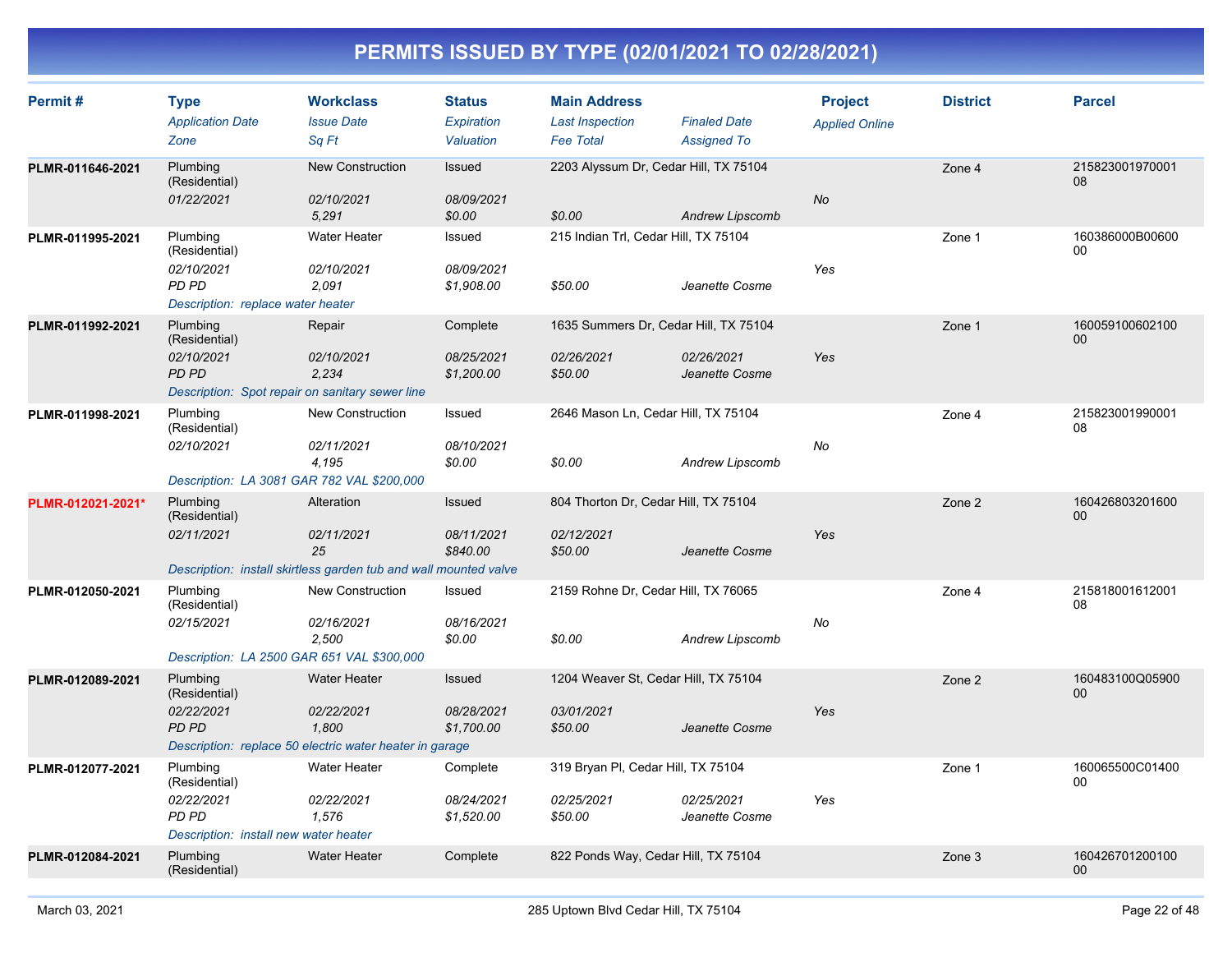| Permit#           | <b>Type</b>                                              | <b>Workclass</b>                                                       | <b>Status</b>            | <b>Main Address</b>                        |                                           | <b>Project</b>        | <b>District</b> | <b>Parcel</b>             |
|-------------------|----------------------------------------------------------|------------------------------------------------------------------------|--------------------------|--------------------------------------------|-------------------------------------------|-----------------------|-----------------|---------------------------|
|                   | <b>Application Date</b><br>Zone                          | <b>Issue Date</b><br>Sa Ft                                             | Expiration<br>Valuation  | <b>Last Inspection</b><br><b>Fee Total</b> | <b>Finaled Date</b><br><b>Assigned To</b> | <b>Applied Online</b> |                 |                           |
| PLMR-011646-2021  | Plumbing<br>(Residential)                                | <b>New Construction</b>                                                | Issued                   | 2203 Alyssum Dr, Cedar Hill, TX 75104      |                                           |                       | Zone 4          | 215823001970001<br>08     |
|                   | 01/22/2021                                               | 02/10/2021<br>5,291                                                    | 08/09/2021<br>\$0.00     | \$0.00                                     | <b>Andrew Lipscomb</b>                    | No                    |                 |                           |
| PLMR-011995-2021  | Plumbing<br>(Residential)                                | <b>Water Heater</b>                                                    | Issued                   | 215 Indian Trl, Cedar Hill, TX 75104       |                                           |                       | Zone 1          | 160386000B00600<br>$00\,$ |
|                   | 02/10/2021<br>PD PD<br>Description: replace water heater | 02/10/2021<br>2,091                                                    | 08/09/2021<br>\$1,908.00 | \$50.00                                    | Jeanette Cosme                            | Yes                   |                 |                           |
| PLMR-011992-2021  | Plumbing<br>(Residential)                                | Repair                                                                 | Complete                 | 1635 Summers Dr, Cedar Hill, TX 75104      |                                           |                       | Zone 1          | 160059100602100<br>00     |
|                   | 02/10/2021<br>PD PD                                      | 02/10/2021<br>2,234<br>Description: Spot repair on sanitary sewer line | 08/25/2021<br>\$1,200.00 | 02/26/2021<br>\$50.00                      | 02/26/2021<br>Jeanette Cosme              | Yes                   |                 |                           |
| PLMR-011998-2021  | Plumbing<br>(Residential)                                | <b>New Construction</b>                                                | Issued                   | 2646 Mason Ln, Cedar Hill, TX 75104        |                                           |                       | Zone 4          | 215823001990001<br>08     |
|                   | 02/10/2021<br>Description: LA 3081 GAR 782 VAL \$200,000 | 02/11/2021<br>4,195                                                    | 08/10/2021<br>\$0.00     | \$0.00                                     | <b>Andrew Lipscomb</b>                    | No                    |                 |                           |
| PLMR-012021-2021* | Plumbing<br>(Residential)                                | Alteration                                                             | Issued                   | 804 Thorton Dr, Cedar Hill, TX 75104       |                                           |                       | Zone 2          | 160426803201600<br>00     |
|                   | 02/11/2021                                               | 02/11/2021<br>25                                                       | 08/11/2021<br>\$840.00   | 02/12/2021<br>\$50.00                      | Jeanette Cosme                            | Yes                   |                 |                           |
|                   |                                                          | Description: install skirtless garden tub and wall mounted valve       |                          |                                            |                                           |                       |                 |                           |
| PLMR-012050-2021  | Plumbing<br>(Residential)                                | <b>New Construction</b>                                                | Issued                   | 2159 Rohne Dr, Cedar Hill, TX 76065        |                                           |                       | Zone 4          | 215818001612001<br>08     |
|                   | 02/15/2021<br>Description: LA 2500 GAR 651 VAL \$300,000 | 02/16/2021<br>2.500                                                    | 08/16/2021<br>\$0.00     | \$0.00                                     | <b>Andrew Lipscomb</b>                    | No                    |                 |                           |
| PLMR-012089-2021  | Plumbing<br>(Residential)                                | <b>Water Heater</b>                                                    | Issued                   | 1204 Weaver St, Cedar Hill, TX 75104       |                                           |                       | Zone 2          | 160483100Q05900<br>00     |
|                   | 02/22/2021<br><b>PD PD</b>                               | 02/22/2021<br>1,800                                                    | 08/28/2021<br>\$1,700.00 | 03/01/2021<br>\$50.00                      | Jeanette Cosme                            | Yes                   |                 |                           |
|                   |                                                          | Description: replace 50 electric water heater in garage                |                          |                                            |                                           |                       |                 |                           |
| PLMR-012077-2021  | Plumbing<br>(Residential)                                | <b>Water Heater</b>                                                    | Complete                 | 319 Bryan PI, Cedar Hill, TX 75104         |                                           |                       | Zone 1          | 160065500C01400<br>$00\,$ |
|                   | 02/22/2021<br>PD PD                                      | 02/22/2021<br>1,576                                                    | 08/24/2021<br>\$1,520.00 | 02/25/2021<br>\$50.00                      | 02/25/2021<br>Jeanette Cosme              | Yes                   |                 |                           |
|                   | Description: install new water heater                    |                                                                        |                          |                                            |                                           |                       |                 |                           |
| PLMR-012084-2021  | Plumbing<br>(Residential)                                | <b>Water Heater</b>                                                    | Complete                 | 822 Ponds Way, Cedar Hill, TX 75104        |                                           |                       | Zone 3          | 160426701200100<br>00     |
|                   |                                                          |                                                                        |                          |                                            |                                           |                       |                 |                           |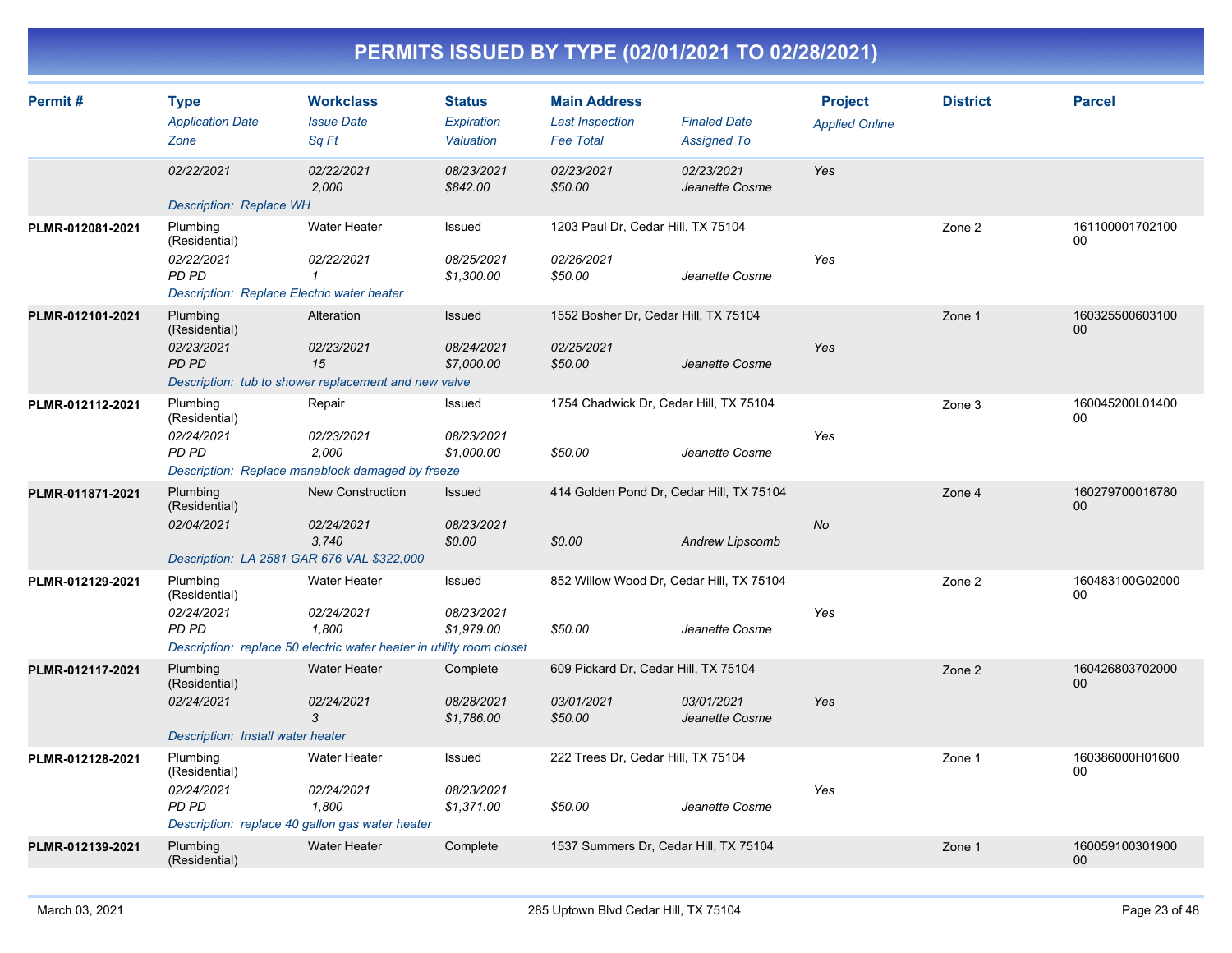| Permit#          | <b>Type</b><br><b>Application Date</b><br>Zone                                                        | <b>Workclass</b><br><b>Issue Date</b><br>Sq Ft                                                              | <b>Status</b><br>Expiration<br>Valuation | <b>Main Address</b><br><b>Last Inspection</b><br><b>Fee Total</b> | <b>Finaled Date</b><br><b>Assigned To</b> | <b>Project</b><br><b>Applied Online</b> | <b>District</b> | <b>Parcel</b>             |
|------------------|-------------------------------------------------------------------------------------------------------|-------------------------------------------------------------------------------------------------------------|------------------------------------------|-------------------------------------------------------------------|-------------------------------------------|-----------------------------------------|-----------------|---------------------------|
|                  | 02/22/2021<br>Description: Replace WH                                                                 | 02/22/2021<br>2.000                                                                                         | 08/23/2021<br>\$842.00                   | 02/23/2021<br>\$50.00                                             | 02/23/2021<br>Jeanette Cosme              | Yes                                     |                 |                           |
| PLMR-012081-2021 | Plumbing<br>(Residential)<br>02/22/2021<br><b>PD PD</b><br>Description: Replace Electric water heater | Water Heater<br>02/22/2021<br>$\mathcal I$                                                                  | Issued<br>08/25/2021<br>\$1,300.00       | 1203 Paul Dr, Cedar Hill, TX 75104<br>02/26/2021<br>\$50.00       | Jeanette Cosme                            | Yes                                     | Zone 2          | 161100001702100<br>$00\,$ |
| PLMR-012101-2021 | Plumbing<br>(Residential)<br>02/23/2021<br><b>PD PD</b>                                               | Alteration<br>02/23/2021<br>15<br>Description: tub to shower replacement and new valve                      | Issued<br>08/24/2021<br>\$7,000.00       | 1552 Bosher Dr, Cedar Hill, TX 75104<br>02/25/2021<br>\$50.00     | Jeanette Cosme                            | Yes                                     | Zone 1          | 160325500603100<br>$00\,$ |
| PLMR-012112-2021 | Plumbing<br>(Residential)<br>02/24/2021<br><b>PD PD</b>                                               | Repair<br>02/23/2021<br>2,000<br>Description: Replace manablock damaged by freeze                           | Issued<br>08/23/2021<br>\$1,000.00       | 1754 Chadwick Dr, Cedar Hill, TX 75104<br>\$50.00                 | Jeanette Cosme                            | Yes                                     | Zone 3          | 160045200L01400<br>00     |
| PLMR-011871-2021 | Plumbing<br>(Residential)<br>02/04/2021<br>Description: LA 2581 GAR 676 VAL \$322,000                 | <b>New Construction</b><br>02/24/2021<br>3.740                                                              | <b>Issued</b><br>08/23/2021<br>\$0.00    | 414 Golden Pond Dr, Cedar Hill, TX 75104<br>\$0.00                | <b>Andrew Lipscomb</b>                    | No                                      | Zone 4          | 160279700016780<br>00     |
| PLMR-012129-2021 | Plumbing<br>(Residential)<br>02/24/2021<br>PD PD                                                      | Water Heater<br>02/24/2021<br>1,800<br>Description: replace 50 electric water heater in utility room closet | Issued<br>08/23/2021<br>\$1,979.00       | 852 Willow Wood Dr, Cedar Hill, TX 75104<br>\$50.00               | Jeanette Cosme                            | Yes                                     | Zone 2          | 160483100G02000<br>00     |
| PLMR-012117-2021 | Plumbing<br>(Residential)<br>02/24/2021<br>Description: Install water heater                          | Water Heater<br>02/24/2021<br>3                                                                             | Complete<br>08/28/2021<br>\$1,786.00     | 609 Pickard Dr, Cedar Hill, TX 75104<br>03/01/2021<br>\$50.00     | 03/01/2021<br>Jeanette Cosme              | Yes                                     | Zone 2          | 160426803702000<br>00     |
| PLMR-012128-2021 | Plumbing<br>(Residential)<br>02/24/2021<br><b>PD PD</b>                                               | <b>Water Heater</b><br>02/24/2021<br>1,800<br>Description: replace 40 gallon gas water heater               | Issued<br>08/23/2021<br>\$1,371.00       | 222 Trees Dr, Cedar Hill, TX 75104<br>\$50.00                     | Jeanette Cosme                            | Yes                                     | Zone 1          | 160386000H01600<br>00     |
| PLMR-012139-2021 | Plumbing<br>(Residential)                                                                             | <b>Water Heater</b>                                                                                         | Complete                                 | 1537 Summers Dr, Cedar Hill, TX 75104                             |                                           |                                         | Zone 1          | 160059100301900<br>00     |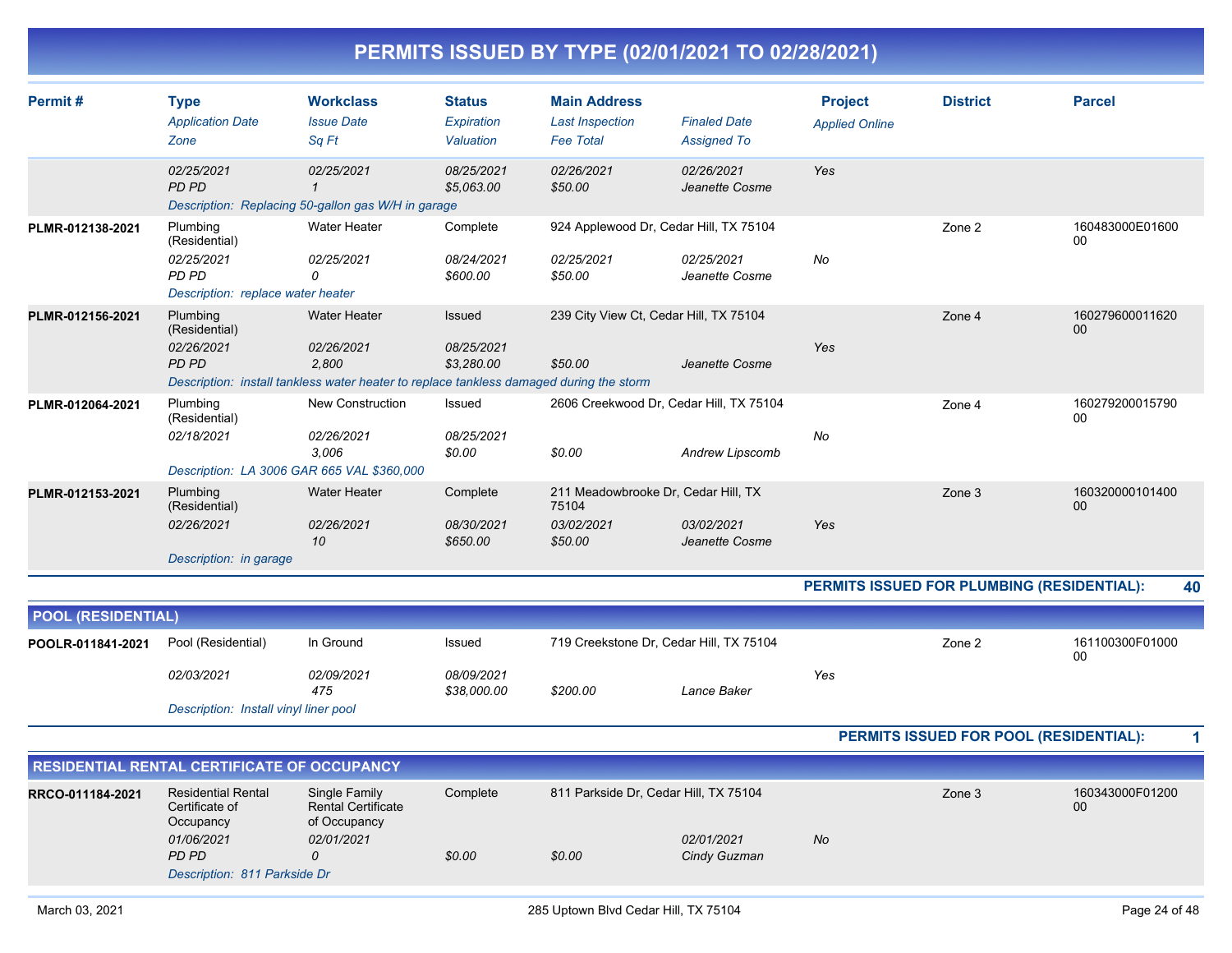|  | PERMITS ISSUED BY TYPE (02/01/2021 TO 02/28/2021) |
|--|---------------------------------------------------|
|  |                                                   |

| Permit#                   | <b>Type</b><br><b>Application Date</b><br>Zone                                        | <b>Workclass</b><br><b>Issue Date</b><br>Sq Ft                                                                                        | <b>Status</b><br>Expiration<br>Valuation  | <b>Main Address</b><br><b>Last Inspection</b><br><b>Fee Total</b>     | <b>Finaled Date</b><br><b>Assigned To</b>                              | <b>Project</b><br><b>Applied Online</b> | <b>District</b>                            | <b>Parcel</b>             |    |
|---------------------------|---------------------------------------------------------------------------------------|---------------------------------------------------------------------------------------------------------------------------------------|-------------------------------------------|-----------------------------------------------------------------------|------------------------------------------------------------------------|-----------------------------------------|--------------------------------------------|---------------------------|----|
|                           | 02/25/2021<br>PD PD                                                                   | 02/25/2021<br>Description: Replacing 50-gallon gas W/H in garage                                                                      | 08/25/2021<br>\$5,063.00                  | 02/26/2021<br>\$50.00                                                 | 02/26/2021<br>Jeanette Cosme                                           | Yes                                     |                                            |                           |    |
| PLMR-012138-2021          | Plumbing<br>(Residential)<br>02/25/2021<br>PD PD<br>Description: replace water heater | <b>Water Heater</b><br>02/25/2021<br>0                                                                                                | Complete<br>08/24/2021<br>\$600.00        | 02/25/2021<br>\$50.00                                                 | 924 Applewood Dr, Cedar Hill, TX 75104<br>02/25/2021<br>Jeanette Cosme | <b>No</b>                               | Zone 2                                     | 160483000E01600<br>$00\,$ |    |
| PLMR-012156-2021          | Plumbing<br>(Residential)<br>02/26/2021<br><b>PD PD</b>                               | <b>Water Heater</b><br>02/26/2021<br>2,800<br>Description: install tankless water heater to replace tankless damaged during the storm | <b>Issued</b><br>08/25/2021<br>\$3,280.00 | 239 City View Ct, Cedar Hill, TX 75104<br>\$50.00                     | Jeanette Cosme                                                         | Yes                                     | Zone 4                                     | 160279600011620<br>00     |    |
| PLMR-012064-2021          | Plumbing<br>(Residential)<br>02/18/2021                                               | New Construction<br>02/26/2021<br>3.006<br>Description: LA 3006 GAR 665 VAL \$360,000                                                 | Issued<br>08/25/2021<br>\$0.00            | \$0.00                                                                | 2606 Creekwood Dr, Cedar Hill, TX 75104<br>Andrew Lipscomb             | No                                      | Zone 4                                     | 160279200015790<br>00     |    |
| PLMR-012153-2021          | Plumbing<br>(Residential)<br>02/26/2021<br>Description: in garage                     | <b>Water Heater</b><br>02/26/2021<br>10                                                                                               | Complete<br>08/30/2021<br>\$650.00        | 211 Meadowbrooke Dr, Cedar Hill, TX<br>75104<br>03/02/2021<br>\$50.00 | 03/02/2021<br>Jeanette Cosme                                           | Yes                                     | Zone 3                                     | 160320000101400<br>00     |    |
|                           |                                                                                       |                                                                                                                                       |                                           |                                                                       |                                                                        |                                         | PERMITS ISSUED FOR PLUMBING (RESIDENTIAL): |                           | 40 |
| <b>POOL (RESIDENTIAL)</b> |                                                                                       |                                                                                                                                       |                                           |                                                                       |                                                                        |                                         |                                            |                           |    |
| POOLR-011841-2021         | Pool (Residential)<br>02/03/2021<br>Description: Install vinyl liner pool             | In Ground<br>02/09/2021<br>475                                                                                                        | Issued<br>08/09/2021<br>\$38,000.00       | \$200.00                                                              | 719 Creekstone Dr, Cedar Hill, TX 75104<br>Lance Baker                 | Yes                                     | Zone 2                                     | 161100300F01000<br>00     |    |
|                           |                                                                                       |                                                                                                                                       |                                           |                                                                       |                                                                        |                                         | PERMITS ISSUED FOR POOL (RESIDENTIAL):     |                           | 1  |
|                           | RESIDENTIAL RENTAL CERTIFICATE OF OCCUPANCY                                           |                                                                                                                                       |                                           |                                                                       |                                                                        |                                         |                                            |                           |    |
|                           |                                                                                       |                                                                                                                                       |                                           |                                                                       |                                                                        |                                         |                                            |                           |    |

| RRCO-011184-2021 | <b>Residential Rental</b><br>Certificate of<br>Occupancy | Single Family<br><b>Rental Certificate</b><br>of Occupancy | Complete |        | 811 Parkside Dr. Cedar Hill, TX 75104 |    | Zone 3 | 160343000F01200<br>00 |
|------------------|----------------------------------------------------------|------------------------------------------------------------|----------|--------|---------------------------------------|----|--------|-----------------------|
|                  | 01/06/2021                                               | 02/01/2021                                                 |          |        | 02/01/2021                            | No |        |                       |
|                  | PD PD                                                    |                                                            | \$0.00   | \$0.00 | Cindy Guzman                          |    |        |                       |
|                  |                                                          | Description: 811 Parkside Dr                               |          |        |                                       |    |        |                       |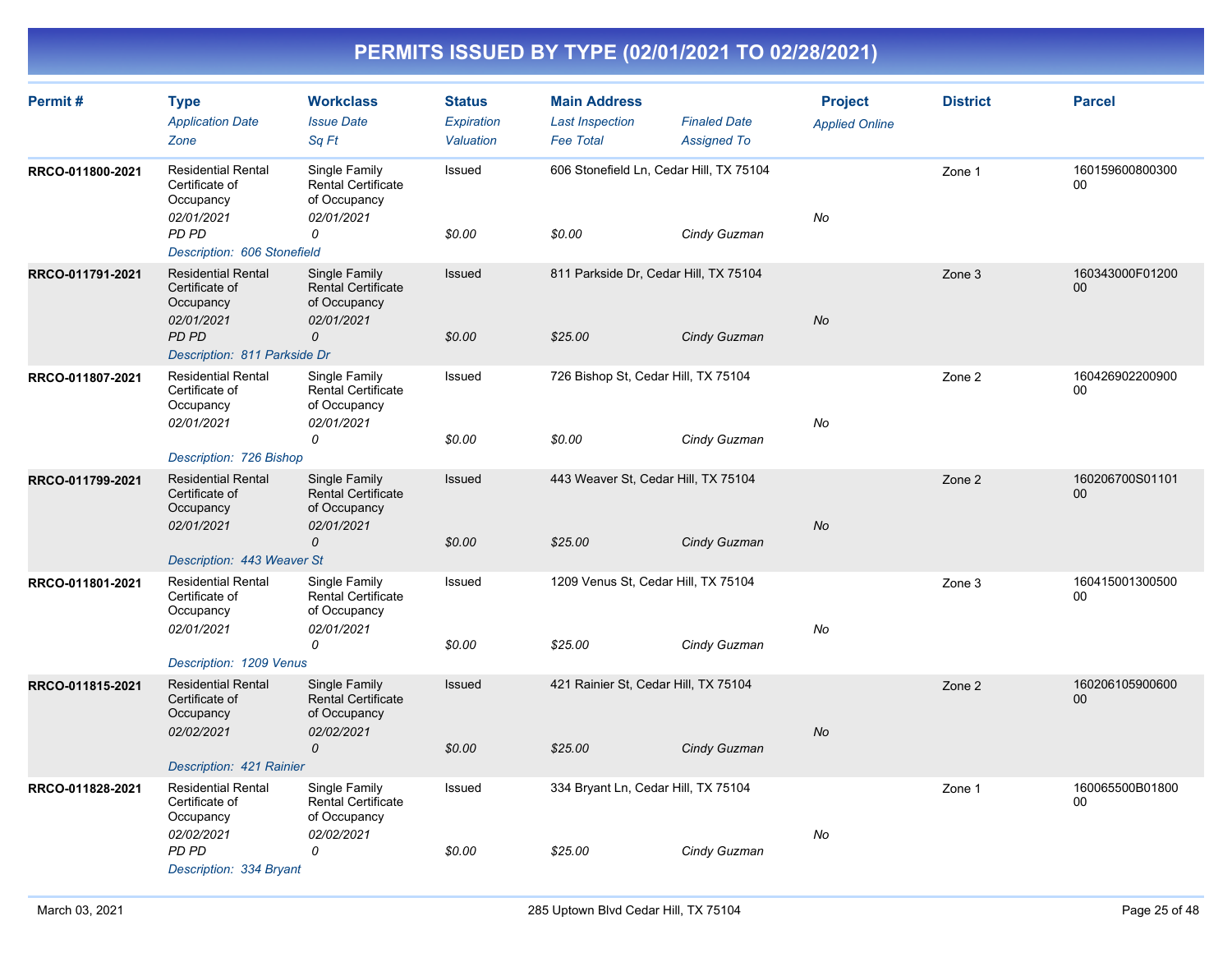| Permit#          | <b>Type</b><br><b>Application Date</b><br>Zone                                         | <b>Workclass</b><br><b>Issue Date</b><br>Sq Ft                           | <b>Status</b><br>Expiration<br>Valuation | <b>Main Address</b><br><b>Last Inspection</b><br><b>Fee Total</b> | <b>Finaled Date</b><br><b>Assigned To</b> | <b>Project</b><br><b>Applied Online</b> | <b>District</b> | <b>Parcel</b>             |
|------------------|----------------------------------------------------------------------------------------|--------------------------------------------------------------------------|------------------------------------------|-------------------------------------------------------------------|-------------------------------------------|-----------------------------------------|-----------------|---------------------------|
| RRCO-011800-2021 | <b>Residential Rental</b><br>Certificate of<br>Occupancy<br>02/01/2021                 | Single Family<br><b>Rental Certificate</b><br>of Occupancy<br>02/01/2021 | Issued                                   | 606 Stonefield Ln, Cedar Hill, TX 75104                           |                                           | No                                      | Zone 1          | 160159600800300<br>00     |
|                  | <b>PD PD</b><br>Description: 606 Stonefield                                            | 0                                                                        | \$0.00                                   | \$0.00                                                            | Cindy Guzman                              |                                         |                 |                           |
| RRCO-011791-2021 | <b>Residential Rental</b><br>Certificate of<br>Occupancy<br>02/01/2021                 | Single Family<br><b>Rental Certificate</b><br>of Occupancy<br>02/01/2021 | Issued                                   | 811 Parkside Dr, Cedar Hill, TX 75104                             |                                           | No                                      | Zone 3          | 160343000F01200<br>$00\,$ |
|                  | PD PD<br>Description: 811 Parkside Dr                                                  | 0                                                                        | \$0.00                                   | \$25.00                                                           | Cindy Guzman                              |                                         |                 |                           |
| RRCO-011807-2021 | <b>Residential Rental</b><br>Certificate of<br>Occupancy<br>02/01/2021                 | Single Family<br><b>Rental Certificate</b><br>of Occupancy<br>02/01/2021 | Issued                                   | 726 Bishop St, Cedar Hill, TX 75104                               |                                           | No                                      | Zone 2          | 160426902200900<br>00     |
|                  |                                                                                        | 0                                                                        | \$0.00                                   | \$0.00                                                            | Cindy Guzman                              |                                         |                 |                           |
|                  | Description: 726 Bishop                                                                |                                                                          |                                          |                                                                   |                                           |                                         |                 |                           |
| RRCO-011799-2021 | <b>Residential Rental</b><br>Certificate of<br>Occupancy<br>02/01/2021                 | Single Family<br><b>Rental Certificate</b><br>of Occupancy<br>02/01/2021 | Issued                                   | 443 Weaver St, Cedar Hill, TX 75104                               |                                           | No                                      | Zone 2          | 160206700S01101<br>00     |
|                  |                                                                                        | 0                                                                        | \$0.00                                   | \$25.00                                                           | Cindy Guzman                              |                                         |                 |                           |
| RRCO-011801-2021 | Description: 443 Weaver St<br><b>Residential Rental</b><br>Certificate of<br>Occupancy | Single Family<br>Rental Certificate<br>of Occupancy                      | Issued                                   | 1209 Venus St, Cedar Hill, TX 75104                               |                                           |                                         | Zone 3          | 160415001300500<br>00     |
|                  | 02/01/2021<br>Description: 1209 Venus                                                  | 02/01/2021<br>0                                                          | \$0.00                                   | \$25.00                                                           | Cindy Guzman                              | No                                      |                 |                           |
| RRCO-011815-2021 | <b>Residential Rental</b><br>Certificate of<br>Occupancy                               | Single Family<br><b>Rental Certificate</b><br>of Occupancy               | Issued                                   | 421 Rainier St, Cedar Hill, TX 75104                              |                                           |                                         | Zone 2          | 160206105900600<br>00     |
|                  | 02/02/2021                                                                             | 02/02/2021<br>$\mathcal{O}$                                              | \$0.00                                   | \$25.00                                                           | Cindy Guzman                              | No                                      |                 |                           |
| RRCO-011828-2021 | Description: 421 Rainier<br><b>Residential Rental</b>                                  | Single Family                                                            | Issued                                   | 334 Bryant Ln, Cedar Hill, TX 75104                               |                                           |                                         | Zone 1          | 160065500B01800           |
|                  | Certificate of<br>Occupancy<br>02/02/2021                                              | <b>Rental Certificate</b><br>of Occupancy<br>02/02/2021                  |                                          |                                                                   |                                           | No                                      |                 | 00                        |
|                  | PD PD<br>Description: 334 Bryant                                                       | 0                                                                        | \$0.00                                   | \$25.00                                                           | Cindy Guzman                              |                                         |                 |                           |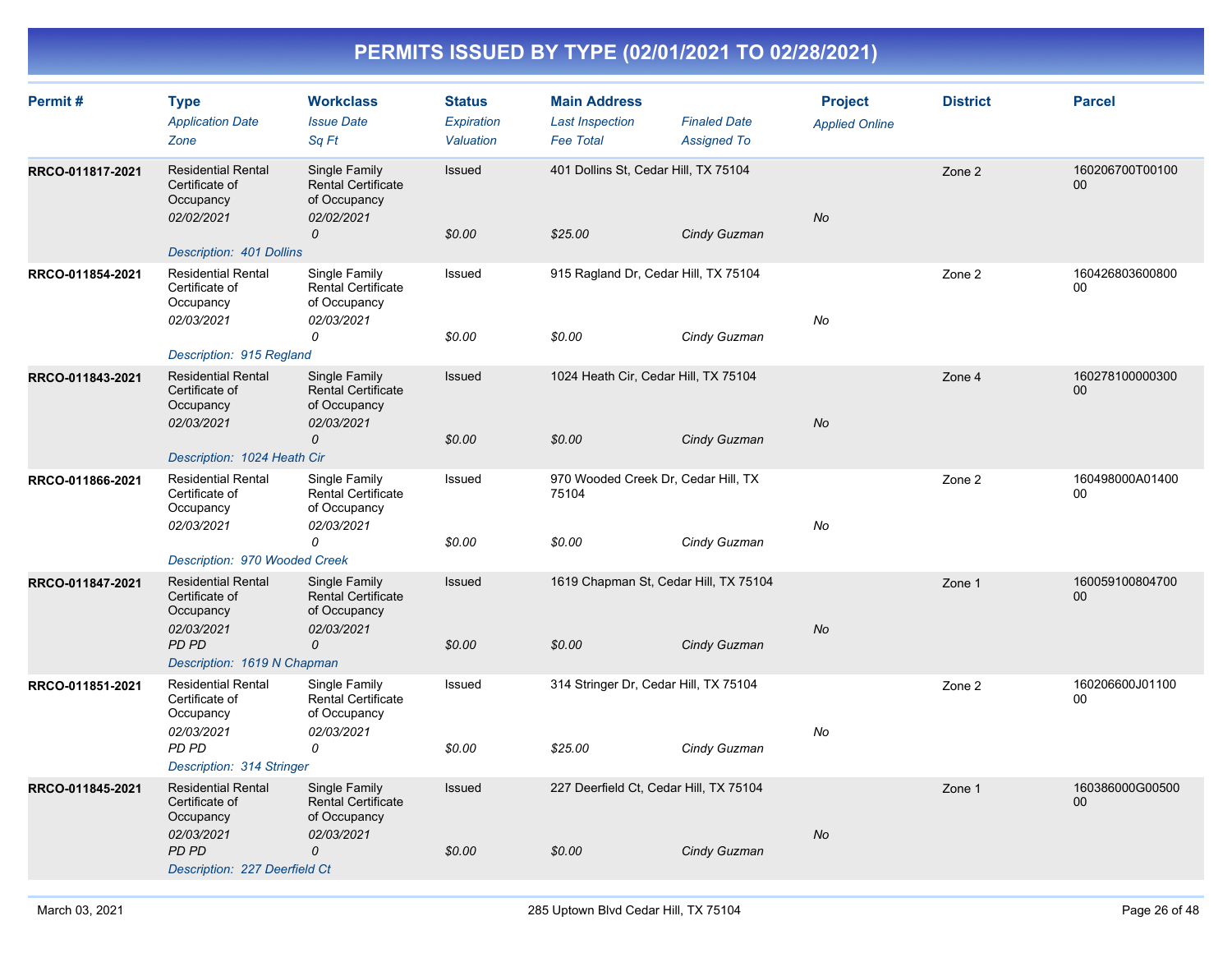| Permit#          | <b>Type</b><br><b>Application Date</b><br>Zone                                                                          | <b>Workclass</b><br><b>Issue Date</b><br>Sq Ft                                            | <b>Status</b><br>Expiration<br>Valuation | <b>Main Address</b><br><b>Last Inspection</b><br><b>Fee Total</b> | <b>Finaled Date</b><br><b>Assigned To</b> | <b>Project</b><br><b>Applied Online</b> | <b>District</b> | <b>Parcel</b>                      |
|------------------|-------------------------------------------------------------------------------------------------------------------------|-------------------------------------------------------------------------------------------|------------------------------------------|-------------------------------------------------------------------|-------------------------------------------|-----------------------------------------|-----------------|------------------------------------|
| RRCO-011817-2021 | <b>Residential Rental</b><br>Certificate of<br>Occupancy<br>02/02/2021<br>Description: 401 Dollins                      | Single Family<br><b>Rental Certificate</b><br>of Occupancy<br>02/02/2021<br>0             | Issued<br>\$0.00                         | 401 Dollins St, Cedar Hill, TX 75104<br>\$25.00                   | Cindy Guzman                              | No                                      | Zone 2          | 160206700T00100<br>$00\,$          |
| RRCO-011854-2021 | <b>Residential Rental</b><br>Certificate of<br>Occupancy<br>02/03/2021<br>Description: 915 Regland                      | Single Family<br>Rental Certificate<br>of Occupancy<br>02/03/2021<br>0                    | Issued<br>\$0.00                         | 915 Ragland Dr, Cedar Hill, TX 75104<br>\$0.00                    | Cindy Guzman                              | No                                      | Zone 2          | 160426803600800<br>$00\,$          |
| RRCO-011843-2021 | <b>Residential Rental</b><br>Certificate of<br>Occupancy<br>02/03/2021<br>Description: 1024 Heath Cir                   | Single Family<br>Rental Certificate<br>of Occupancy<br>02/03/2021<br>$\mathcal{O}$        | Issued<br>\$0.00                         | 1024 Heath Cir, Cedar Hill, TX 75104<br>\$0.00                    | Cindy Guzman                              | No                                      | Zone 4          | 160278100000300<br>$00\,$          |
| RRCO-011866-2021 | <b>Residential Rental</b><br>Certificate of<br>Occupancy<br>02/03/2021<br>Description: 970 Wooded Creek                 | Single Family<br>Rental Certificate<br>of Occupancy<br>02/03/2021<br>0                    | Issued<br>\$0.00                         | 970 Wooded Creek Dr, Cedar Hill, TX<br>75104<br>\$0.00            | Cindy Guzman                              | No                                      | Zone 2          | 160498000A01400<br>$00\,$          |
| RRCO-011847-2021 | <b>Residential Rental</b><br>Certificate of<br>Occupancy<br>02/03/2021<br><b>PD PD</b><br>Description: 1619 N Chapman   | Single Family<br><b>Rental Certificate</b><br>of Occupancy<br>02/03/2021<br>$\mathcal{O}$ | Issued<br>\$0.00                         | 1619 Chapman St, Cedar Hill, TX 75104<br>\$0.00                   | Cindy Guzman                              | No                                      | Zone 1          | 160059100804700<br>00 <sub>0</sub> |
| RRCO-011851-2021 | <b>Residential Rental</b><br>Certificate of<br>Occupancy<br>02/03/2021<br>PD PD<br>Description: 314 Stringer            | Single Family<br><b>Rental Certificate</b><br>of Occupancy<br>02/03/2021<br>0             | Issued<br>\$0.00                         | 314 Stringer Dr, Cedar Hill, TX 75104<br>\$25.00                  | Cindy Guzman                              | No                                      | Zone 2          | 160206600J01100<br>$00\,$          |
| RRCO-011845-2021 | <b>Residential Rental</b><br>Certificate of<br>Occupancy<br>02/03/2021<br><b>PD PD</b><br>Description: 227 Deerfield Ct | Single Family<br><b>Rental Certificate</b><br>of Occupancy<br>02/03/2021<br>$\mathcal{O}$ | Issued<br>\$0.00                         | 227 Deerfield Ct, Cedar Hill, TX 75104<br>\$0.00                  | Cindy Guzman                              | <b>No</b>                               | Zone 1          | 160386000G00500<br>$00\,$          |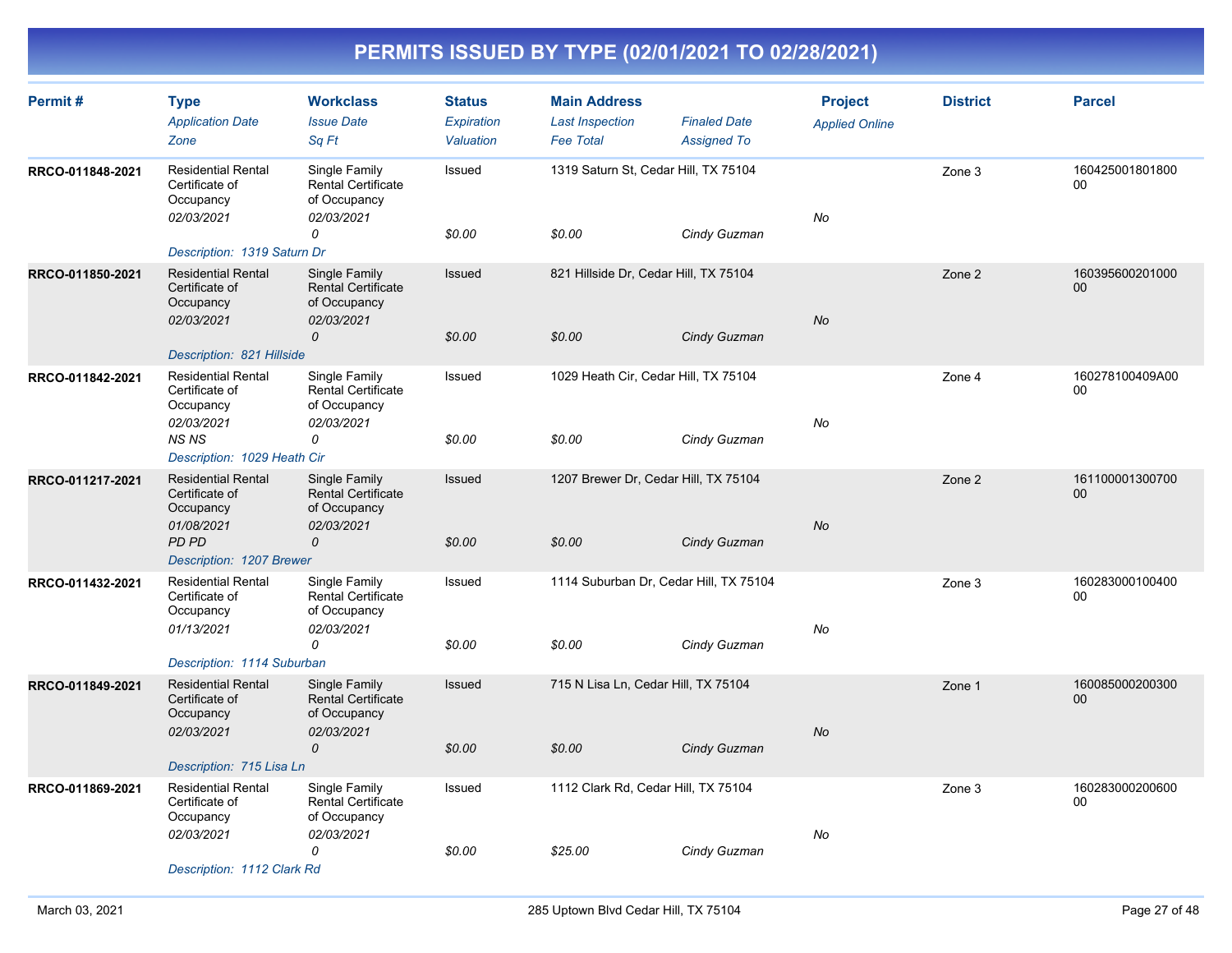| Permit#          | <b>Type</b><br><b>Application Date</b><br>Zone                         | <b>Workclass</b><br><b>Issue Date</b><br>Sq Ft                           | <b>Status</b><br>Expiration<br>Valuation | <b>Main Address</b><br><b>Last Inspection</b><br><b>Fee Total</b> | <b>Finaled Date</b><br><b>Assigned To</b> | <b>Project</b><br><b>Applied Online</b> | <b>District</b> | <b>Parcel</b>         |
|------------------|------------------------------------------------------------------------|--------------------------------------------------------------------------|------------------------------------------|-------------------------------------------------------------------|-------------------------------------------|-----------------------------------------|-----------------|-----------------------|
| RRCO-011848-2021 | <b>Residential Rental</b><br>Certificate of<br>Occupancy<br>02/03/2021 | Single Family<br><b>Rental Certificate</b><br>of Occupancy<br>02/03/2021 | Issued                                   | 1319 Saturn St, Cedar Hill, TX 75104                              |                                           | No                                      | Zone 3          | 160425001801800<br>00 |
|                  | Description: 1319 Saturn Dr                                            | 0                                                                        | \$0.00                                   | \$0.00                                                            | Cindy Guzman                              |                                         |                 |                       |
| RRCO-011850-2021 | <b>Residential Rental</b><br>Certificate of<br>Occupancy<br>02/03/2021 | Single Family<br><b>Rental Certificate</b><br>of Occupancy<br>02/03/2021 | Issued                                   | 821 Hillside Dr, Cedar Hill, TX 75104                             |                                           | No                                      | Zone 2          | 160395600201000<br>00 |
|                  | Description: 821 Hillside                                              | 0                                                                        | \$0.00                                   | \$0.00                                                            | Cindy Guzman                              |                                         |                 |                       |
| RRCO-011842-2021 | <b>Residential Rental</b><br>Certificate of<br>Occupancy<br>02/03/2021 | Single Family<br><b>Rental Certificate</b><br>of Occupancy<br>02/03/2021 | Issued                                   | 1029 Heath Cir, Cedar Hill, TX 75104                              |                                           | No                                      | Zone 4          | 160278100409A00<br>00 |
|                  | <b>NSNS</b><br>Description: 1029 Heath Cir                             | 0                                                                        | \$0.00                                   | \$0.00                                                            | Cindy Guzman                              |                                         |                 |                       |
| RRCO-011217-2021 | <b>Residential Rental</b><br>Certificate of<br>Occupancy<br>01/08/2021 | Single Family<br><b>Rental Certificate</b><br>of Occupancy<br>02/03/2021 | Issued                                   | 1207 Brewer Dr, Cedar Hill, TX 75104                              |                                           | No                                      | Zone 2          | 161100001300700<br>00 |
|                  | <b>PD PD</b><br>Description: 1207 Brewer                               | 0                                                                        | \$0.00                                   | \$0.00                                                            | Cindy Guzman                              |                                         |                 |                       |
| RRCO-011432-2021 | <b>Residential Rental</b><br>Certificate of<br>Occupancy               | Single Family<br><b>Rental Certificate</b><br>of Occupancy               | Issued                                   | 1114 Suburban Dr, Cedar Hill, TX 75104                            |                                           |                                         | Zone 3          | 160283000100400<br>00 |
|                  | 01/13/2021<br>Description: 1114 Suburban                               | 02/03/2021<br>0                                                          | \$0.00                                   | \$0.00                                                            | Cindy Guzman                              | No                                      |                 |                       |
| RRCO-011849-2021 | <b>Residential Rental</b><br>Certificate of<br>Occupancy               | Single Family<br><b>Rental Certificate</b><br>of Occupancy               | Issued                                   | 715 N Lisa Ln, Cedar Hill, TX 75104                               |                                           |                                         | Zone 1          | 160085000200300<br>00 |
|                  | 02/03/2021<br>Description: 715 Lisa Ln                                 | 02/03/2021<br>$\mathcal{O}$                                              | \$0.00                                   | \$0.00                                                            | Cindy Guzman                              | <b>No</b>                               |                 |                       |
| RRCO-011869-2021 | <b>Residential Rental</b><br>Certificate of<br>Occupancy               | Single Family<br>Rental Certificate<br>of Occupancy                      | Issued                                   | 1112 Clark Rd, Cedar Hill, TX 75104                               |                                           |                                         | Zone 3          | 160283000200600<br>00 |
|                  | 02/03/2021<br>Description: 1112 Clark Rd                               | 02/03/2021<br>0                                                          | \$0.00                                   | \$25.00                                                           | Cindy Guzman                              | No                                      |                 |                       |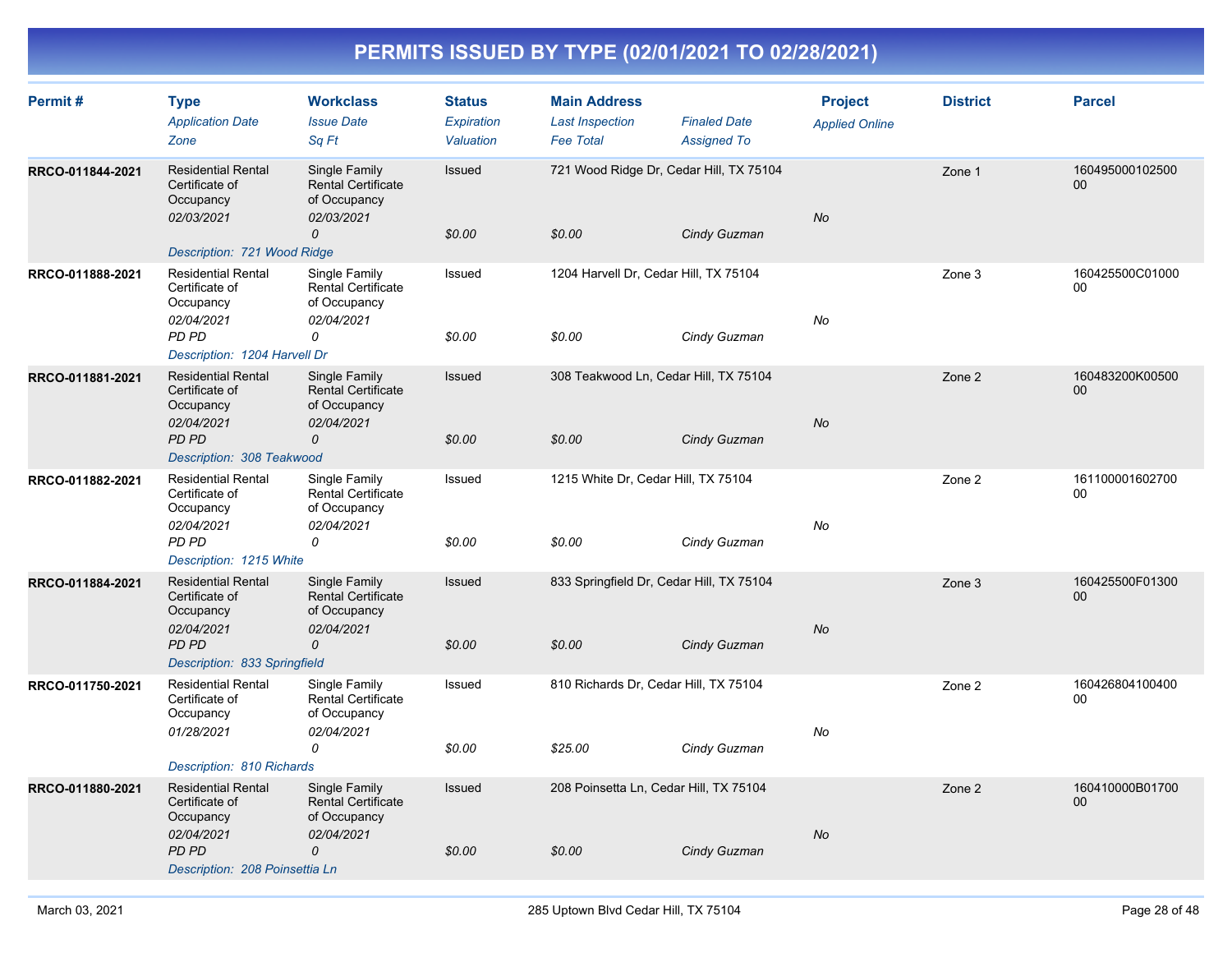| Permit#          | <b>Type</b><br><b>Application Date</b><br>Zone                                                                                                 | <b>Workclass</b><br><b>Issue Date</b><br>Sq Ft                                            | <b>Status</b><br>Expiration<br>Valuation | <b>Main Address</b><br><b>Last Inspection</b><br><b>Fee Total</b> | <b>Finaled Date</b><br><b>Assigned To</b> | <b>Project</b><br><b>Applied Online</b> | <b>District</b> | <b>Parcel</b>         |
|------------------|------------------------------------------------------------------------------------------------------------------------------------------------|-------------------------------------------------------------------------------------------|------------------------------------------|-------------------------------------------------------------------|-------------------------------------------|-----------------------------------------|-----------------|-----------------------|
| RRCO-011844-2021 | <b>Residential Rental</b><br>Certificate of<br>Occupancy<br>02/03/2021<br>Description: 721 Wood Ridge                                          | Single Family<br><b>Rental Certificate</b><br>of Occupancy<br>02/03/2021<br>0             | Issued<br>\$0.00                         | 721 Wood Ridge Dr, Cedar Hill, TX 75104<br>\$0.00                 | Cindy Guzman                              | No                                      | Zone 1          | 160495000102500<br>00 |
| RRCO-011888-2021 | <b>Residential Rental</b><br>Certificate of<br>Occupancy<br>02/04/2021<br>PD PD<br>Description: 1204 Harvell Dr                                | Single Family<br><b>Rental Certificate</b><br>of Occupancy<br>02/04/2021<br>0             | Issued<br>\$0.00                         | 1204 Harvell Dr, Cedar Hill, TX 75104<br>\$0.00                   | Cindy Guzman                              | No                                      | Zone 3          | 160425500C01000<br>00 |
| RRCO-011881-2021 | <b>Residential Rental</b><br>Certificate of<br>Occupancy<br>02/04/2021<br>PD PD<br>Description: 308 Teakwood                                   | Single Family<br>Rental Certificate<br>of Occupancy<br>02/04/2021<br>0                    | Issued<br>\$0.00                         | 308 Teakwood Ln, Cedar Hill, TX 75104<br>\$0.00                   | Cindy Guzman                              | No                                      | Zone 2          | 160483200K00500<br>00 |
| RRCO-011882-2021 | <b>Residential Rental</b><br>Certificate of<br>Occupancy<br>02/04/2021<br>PD PD<br>Description: 1215 White                                     | Single Family<br><b>Rental Certificate</b><br>of Occupancy<br>02/04/2021<br>0             | Issued<br>\$0.00                         | 1215 White Dr, Cedar Hill, TX 75104<br>\$0.00                     | Cindy Guzman                              | No                                      | Zone 2          | 161100001602700<br>00 |
| RRCO-011884-2021 | <b>Residential Rental</b><br>Certificate of<br>Occupancy<br>02/04/2021<br>PD PD<br>Description: 833 Springfield                                | Single Family<br><b>Rental Certificate</b><br>of Occupancy<br>02/04/2021<br>$\mathcal{O}$ | Issued<br>\$0.00                         | 833 Springfield Dr, Cedar Hill, TX 75104<br>\$0.00                | Cindy Guzman                              | No                                      | Zone 3          | 160425500F01300<br>00 |
| RRCO-011750-2021 | <b>Residential Rental</b><br>Certificate of<br>Occupancy<br>01/28/2021                                                                         | Single Family<br><b>Rental Certificate</b><br>of Occupancy<br>02/04/2021<br>0             | Issued<br>\$0.00                         | 810 Richards Dr, Cedar Hill, TX 75104<br>\$25.00                  | Cindy Guzman                              | No                                      | Zone 2          | 160426804100400<br>00 |
| RRCO-011880-2021 | Description: 810 Richards<br><b>Residential Rental</b><br>Certificate of<br>Occupancy<br>02/04/2021<br>PD PD<br>Description: 208 Poinsettia Ln | Single Family<br><b>Rental Certificate</b><br>of Occupancy<br>02/04/2021<br>0             | Issued<br>\$0.00                         | 208 Poinsetta Ln, Cedar Hill, TX 75104<br>\$0.00                  | Cindy Guzman                              | <b>No</b>                               | Zone 2          | 160410000B01700<br>00 |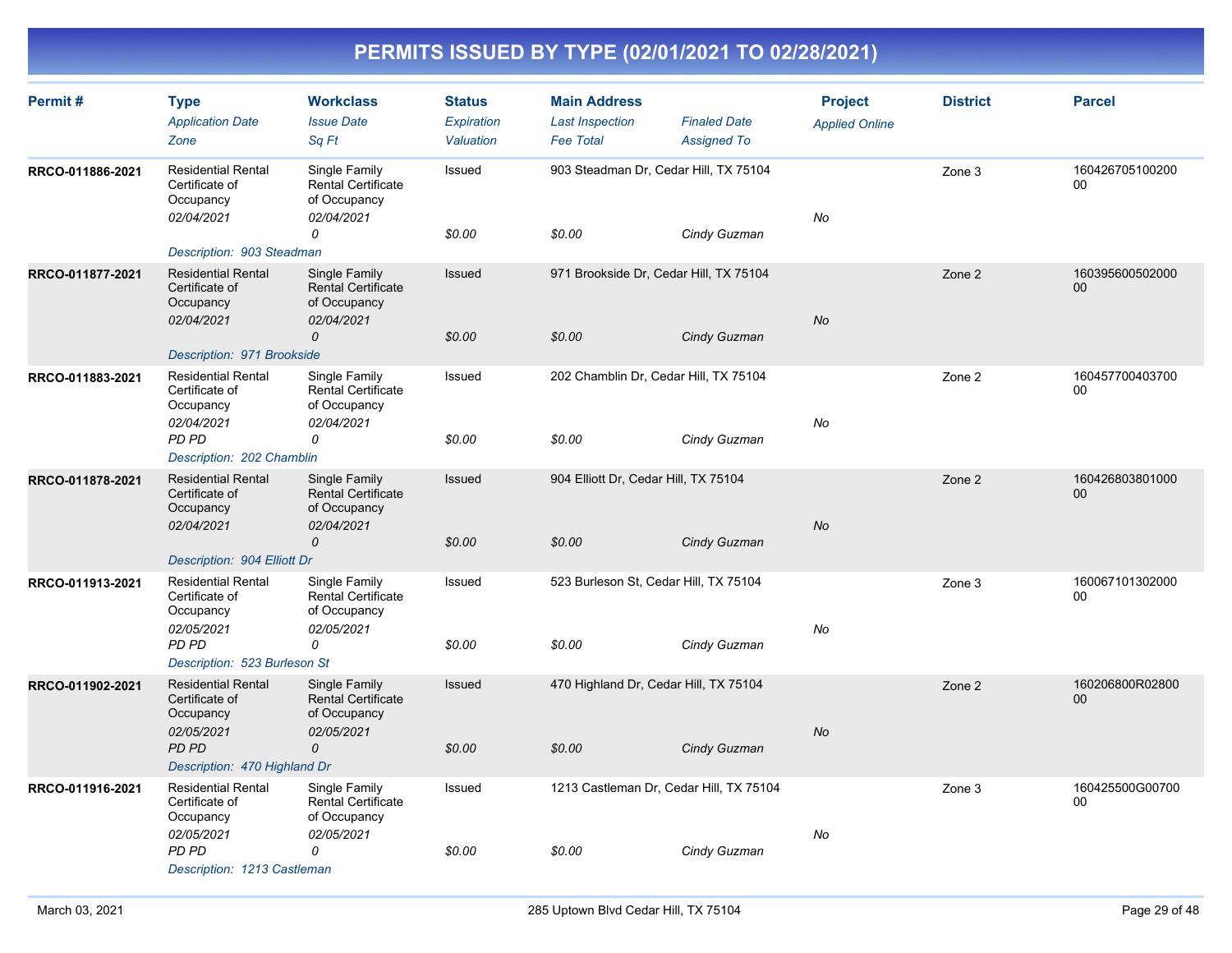| Permit#          | <b>Type</b><br><b>Application Date</b>                                 | <b>Workclass</b><br><b>Issue Date</b>                                    | <b>Status</b><br>Expiration | <b>Main Address</b><br><b>Last Inspection</b> | <b>Finaled Date</b>                                         | <b>Project</b><br><b>Applied Online</b> | <b>District</b> | <b>Parcel</b>         |
|------------------|------------------------------------------------------------------------|--------------------------------------------------------------------------|-----------------------------|-----------------------------------------------|-------------------------------------------------------------|-----------------------------------------|-----------------|-----------------------|
| RRCO-011886-2021 | Zone<br><b>Residential Rental</b><br>Certificate of<br>Occupancy       | Sq Ft<br>Single Family<br><b>Rental Certificate</b><br>of Occupancy      | Valuation<br>Issued         | <b>Fee Total</b>                              | <b>Assigned To</b><br>903 Steadman Dr, Cedar Hill, TX 75104 |                                         | Zone 3          | 160426705100200<br>00 |
|                  | 02/04/2021<br>Description: 903 Steadman                                | 02/04/2021<br>0                                                          | \$0.00                      | \$0.00                                        | Cindy Guzman                                                | No                                      |                 |                       |
| RRCO-011877-2021 | <b>Residential Rental</b><br>Certificate of<br>Occupancy<br>02/04/2021 | Single Family<br><b>Rental Certificate</b><br>of Occupancy<br>02/04/2021 | <b>Issued</b>               |                                               | 971 Brookside Dr, Cedar Hill, TX 75104                      | No                                      | Zone 2          | 160395600502000<br>00 |
|                  | Description: 971 Brookside                                             | 0                                                                        | \$0.00                      | \$0.00                                        | Cindy Guzman                                                |                                         |                 |                       |
| RRCO-011883-2021 | <b>Residential Rental</b><br>Certificate of<br>Occupancy<br>02/04/2021 | Single Family<br><b>Rental Certificate</b><br>of Occupancy<br>02/04/2021 | Issued                      |                                               | 202 Chamblin Dr, Cedar Hill, TX 75104                       | No                                      | Zone 2          | 160457700403700<br>00 |
|                  | <b>PD PD</b><br>Description: 202 Chamblin                              | 0                                                                        | \$0.00                      | \$0.00                                        | Cindy Guzman                                                |                                         |                 |                       |
| RRCO-011878-2021 | <b>Residential Rental</b><br>Certificate of<br>Occupancy<br>02/04/2021 | Single Family<br><b>Rental Certificate</b><br>of Occupancy<br>02/04/2021 | Issued                      | 904 Elliott Dr, Cedar Hill, TX 75104          |                                                             | <b>No</b>                               | Zone 2          | 160426803801000<br>00 |
|                  | Description: 904 Elliott Dr                                            | 0                                                                        | \$0.00                      | \$0.00                                        | Cindy Guzman                                                |                                         |                 |                       |
| RRCO-011913-2021 | <b>Residential Rental</b><br>Certificate of<br>Occupancy               | Single Family<br><b>Rental Certificate</b><br>of Occupancy               | Issued                      |                                               | 523 Burleson St, Cedar Hill, TX 75104                       |                                         | Zone 3          | 160067101302000<br>00 |
|                  | 02/05/2021<br>PD PD<br>Description: 523 Burleson St                    | 02/05/2021<br>0                                                          | \$0.00                      | \$0.00                                        | Cindy Guzman                                                | No                                      |                 |                       |
| RRCO-011902-2021 | <b>Residential Rental</b><br>Certificate of<br>Occupancy               | Single Family<br><b>Rental Certificate</b><br>of Occupancy               | <b>Issued</b>               |                                               | 470 Highland Dr, Cedar Hill, TX 75104                       |                                         | Zone 2          | 160206800R02800<br>00 |
|                  | 02/05/2021<br>PD PD<br>Description: 470 Highland Dr                    | 02/05/2021<br>$\mathcal{O}$                                              | \$0.00                      | \$0.00                                        | Cindy Guzman                                                | <b>No</b>                               |                 |                       |
| RRCO-011916-2021 | <b>Residential Rental</b><br>Certificate of<br>Occupancy               | Single Family<br><b>Rental Certificate</b><br>of Occupancy               | Issued                      |                                               | 1213 Castleman Dr, Cedar Hill, TX 75104                     |                                         | Zone 3          | 160425500G00700<br>00 |
|                  | 02/05/2021<br><b>PD PD</b><br>Description: 1213 Castleman              | 02/05/2021<br>0                                                          | \$0.00                      | \$0.00                                        | Cindy Guzman                                                | No                                      |                 |                       |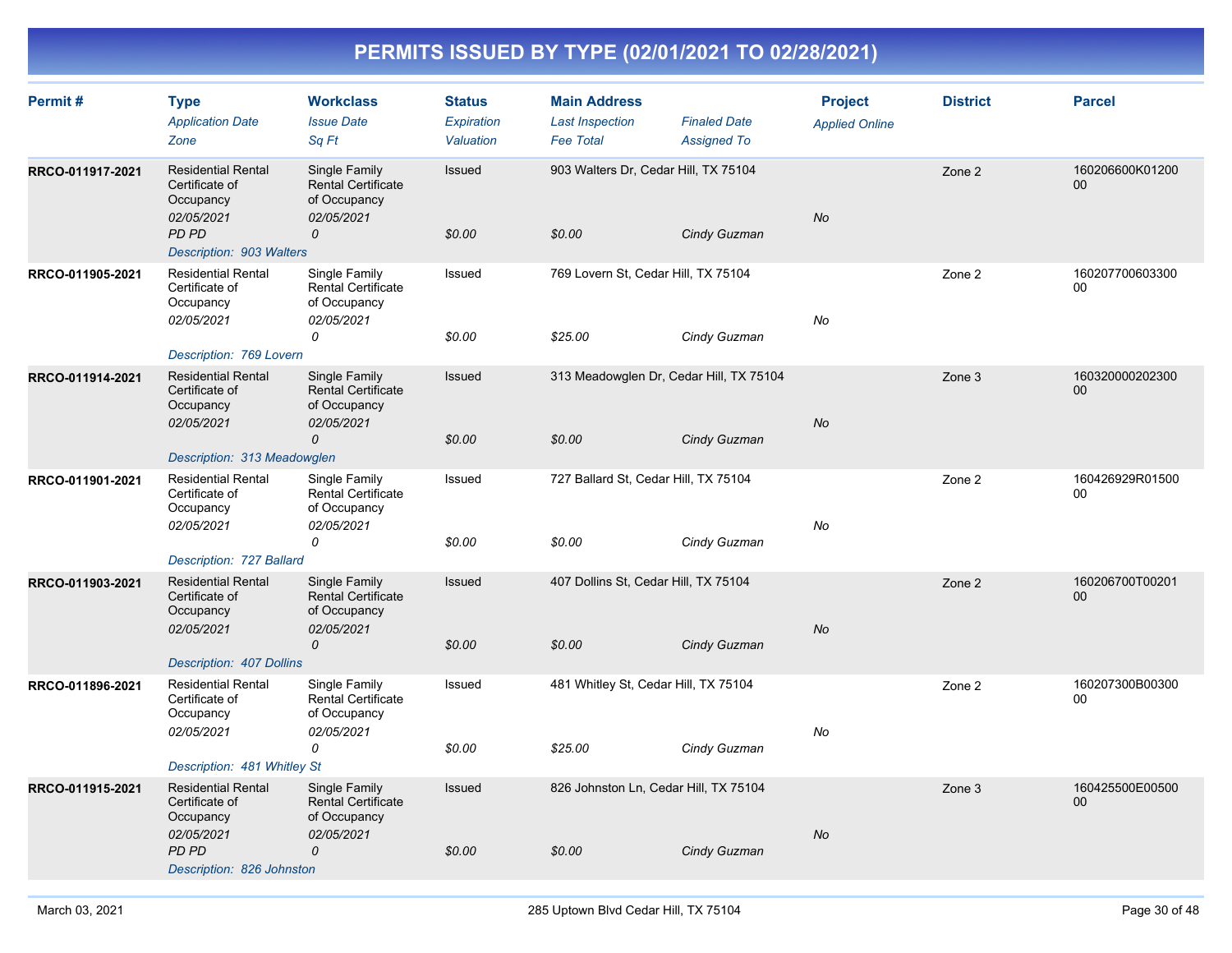| Permit#          | <b>Type</b><br><b>Application Date</b><br>Zone                                                                      | <b>Workclass</b><br><b>Issue Date</b><br>Sq Ft                                            | <b>Status</b><br>Expiration<br>Valuation | <b>Main Address</b><br><b>Last Inspection</b><br><b>Fee Total</b> | <b>Finaled Date</b><br><b>Assigned To</b> | <b>Project</b><br><b>Applied Online</b> | <b>District</b> | <b>Parcel</b>             |
|------------------|---------------------------------------------------------------------------------------------------------------------|-------------------------------------------------------------------------------------------|------------------------------------------|-------------------------------------------------------------------|-------------------------------------------|-----------------------------------------|-----------------|---------------------------|
| RRCO-011917-2021 | <b>Residential Rental</b><br>Certificate of<br>Occupancy<br>02/05/2021<br><b>PD PD</b><br>Description: 903 Walters  | Single Family<br><b>Rental Certificate</b><br>of Occupancy<br>02/05/2021<br>0             | Issued<br>\$0.00                         | 903 Walters Dr, Cedar Hill, TX 75104<br>\$0.00                    | Cindy Guzman                              | No                                      | Zone 2          | 160206600K01200<br>$00\,$ |
| RRCO-011905-2021 | <b>Residential Rental</b><br>Certificate of<br>Occupancy<br>02/05/2021<br>Description: 769 Lovern                   | Single Family<br><b>Rental Certificate</b><br>of Occupancy<br>02/05/2021<br>0             | Issued<br>\$0.00                         | 769 Lovern St, Cedar Hill, TX 75104<br>\$25.00                    | Cindy Guzman                              | No                                      | Zone 2          | 160207700603300<br>00     |
| RRCO-011914-2021 | <b>Residential Rental</b><br>Certificate of<br>Occupancy<br>02/05/2021<br>Description: 313 Meadowglen               | Single Family<br>Rental Certificate<br>of Occupancy<br>02/05/2021<br>$\mathcal{O}$        | Issued<br>\$0.00                         | 313 Meadowglen Dr, Cedar Hill, TX 75104<br>\$0.00                 | Cindy Guzman                              | No                                      | Zone 3          | 160320000202300<br>$00\,$ |
| RRCO-011901-2021 | <b>Residential Rental</b><br>Certificate of<br>Occupancy<br>02/05/2021<br>Description: 727 Ballard                  | Single Family<br><b>Rental Certificate</b><br>of Occupancy<br>02/05/2021<br>0             | Issued<br>\$0.00                         | 727 Ballard St, Cedar Hill, TX 75104<br>\$0.00                    | Cindy Guzman                              | No                                      | Zone 2          | 160426929R01500<br>00     |
| RRCO-011903-2021 | <b>Residential Rental</b><br>Certificate of<br>Occupancy<br>02/05/2021<br>Description: 407 Dollins                  | Single Family<br><b>Rental Certificate</b><br>of Occupancy<br>02/05/2021<br>$\mathcal{O}$ | Issued<br>\$0.00                         | 407 Dollins St, Cedar Hill, TX 75104<br>\$0.00                    | Cindy Guzman                              | No                                      | Zone 2          | 160206700T00201<br>$00\,$ |
| RRCO-011896-2021 | <b>Residential Rental</b><br>Certificate of<br>Occupancy<br>02/05/2021<br>Description: 481 Whitley St               | Single Family<br><b>Rental Certificate</b><br>of Occupancy<br>02/05/2021<br>0             | Issued<br>\$0.00                         | 481 Whitley St, Cedar Hill, TX 75104<br>\$25.00                   | Cindy Guzman                              | No                                      | Zone 2          | 160207300B00300<br>00     |
| RRCO-011915-2021 | <b>Residential Rental</b><br>Certificate of<br>Occupancy<br>02/05/2021<br><b>PD PD</b><br>Description: 826 Johnston | Single Family<br><b>Rental Certificate</b><br>of Occupancy<br>02/05/2021<br>$\mathcal{O}$ | Issued<br>\$0.00                         | 826 Johnston Ln, Cedar Hill, TX 75104<br>\$0.00                   | Cindy Guzman                              | No                                      | Zone 3          | 160425500E00500<br>00     |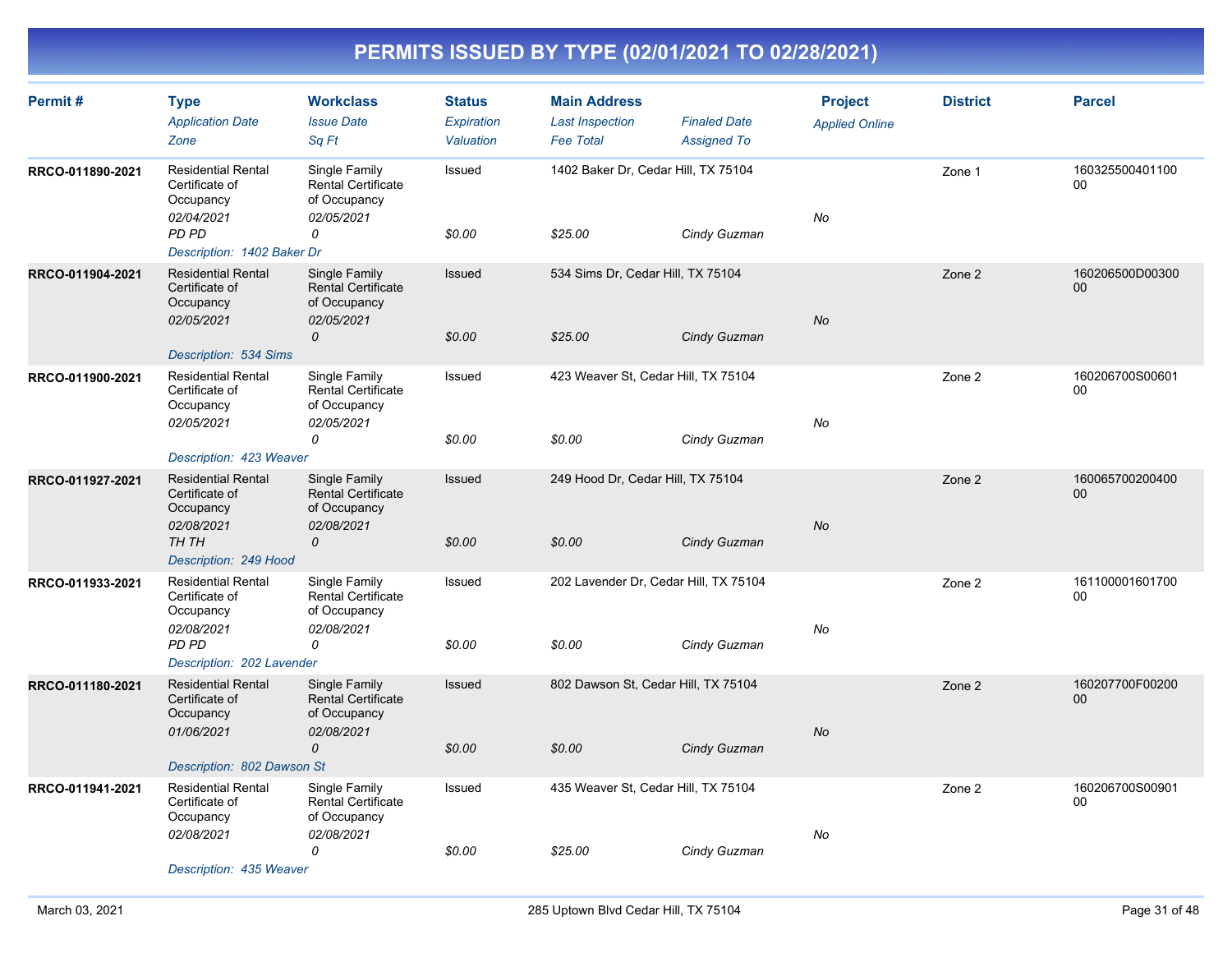| Permit#          | <b>Type</b><br><b>Application Date</b><br>Zone                         | <b>Workclass</b><br><b>Issue Date</b><br>Sq Ft                           | <b>Status</b><br>Expiration<br>Valuation | <b>Main Address</b><br><b>Last Inspection</b><br><b>Fee Total</b> | <b>Finaled Date</b><br><b>Assigned To</b> | <b>Project</b><br><b>Applied Online</b> | <b>District</b> | <b>Parcel</b>             |
|------------------|------------------------------------------------------------------------|--------------------------------------------------------------------------|------------------------------------------|-------------------------------------------------------------------|-------------------------------------------|-----------------------------------------|-----------------|---------------------------|
| RRCO-011890-2021 | <b>Residential Rental</b><br>Certificate of<br>Occupancy<br>02/04/2021 | Single Family<br><b>Rental Certificate</b><br>of Occupancy<br>02/05/2021 | Issued                                   | 1402 Baker Dr, Cedar Hill, TX 75104                               |                                           | No                                      | Zone 1          | 160325500401100<br>00     |
|                  | <b>PD PD</b><br>Description: 1402 Baker Dr                             | 0                                                                        | \$0.00                                   | \$25.00                                                           | Cindy Guzman                              |                                         |                 |                           |
| RRCO-011904-2021 | <b>Residential Rental</b><br>Certificate of<br>Occupancy<br>02/05/2021 | Single Family<br><b>Rental Certificate</b><br>of Occupancy<br>02/05/2021 | Issued                                   | 534 Sims Dr, Cedar Hill, TX 75104                                 |                                           | <b>No</b>                               | Zone 2          | 160206500D00300<br>$00\,$ |
|                  | Description: 534 Sims                                                  | 0                                                                        | \$0.00                                   | \$25.00                                                           | Cindy Guzman                              |                                         |                 |                           |
| RRCO-011900-2021 | <b>Residential Rental</b><br>Certificate of<br>Occupancy<br>02/05/2021 | Single Family<br><b>Rental Certificate</b><br>of Occupancy<br>02/05/2021 | Issued                                   | 423 Weaver St, Cedar Hill, TX 75104                               |                                           | No                                      | Zone 2          | 160206700S00601<br>00     |
|                  |                                                                        | 0                                                                        | \$0.00                                   | \$0.00                                                            | Cindy Guzman                              |                                         |                 |                           |
|                  | Description: 423 Weaver<br><b>Residential Rental</b>                   |                                                                          | Issued                                   |                                                                   |                                           |                                         |                 | 160065700200400           |
| RRCO-011927-2021 | Certificate of<br>Occupancy<br>02/08/2021                              | Single Family<br><b>Rental Certificate</b><br>of Occupancy<br>02/08/2021 |                                          | 249 Hood Dr, Cedar Hill, TX 75104                                 |                                           | <b>No</b>                               | Zone 2          | 00 <sup>°</sup>           |
|                  | TH TH<br>Description: 249 Hood                                         | $\mathcal{O}$                                                            | \$0.00                                   | \$0.00                                                            | Cindy Guzman                              |                                         |                 |                           |
| RRCO-011933-2021 | <b>Residential Rental</b><br>Certificate of<br>Occupancy               | Single Family<br><b>Rental Certificate</b><br>of Occupancy               | Issued                                   | 202 Lavender Dr, Cedar Hill, TX 75104                             |                                           |                                         | Zone 2          | 161100001601700<br>00     |
|                  | 02/08/2021<br>PD PD<br>Description: 202 Lavender                       | 02/08/2021<br>0                                                          | \$0.00                                   | \$0.00                                                            | Cindy Guzman                              | No                                      |                 |                           |
| RRCO-011180-2021 | <b>Residential Rental</b><br>Certificate of<br>Occupancy               | Single Family<br><b>Rental Certificate</b><br>of Occupancy               | <b>Issued</b>                            | 802 Dawson St, Cedar Hill, TX 75104                               |                                           |                                         | Zone 2          | 160207700F00200<br>00     |
|                  | 01/06/2021                                                             | 02/08/2021<br>$\mathcal{O}$                                              | \$0.00                                   | \$0.00                                                            | Cindy Guzman                              | <b>No</b>                               |                 |                           |
|                  | Description: 802 Dawson St                                             |                                                                          |                                          |                                                                   |                                           |                                         |                 |                           |
| RRCO-011941-2021 | <b>Residential Rental</b><br>Certificate of<br>Occupancy<br>02/08/2021 | Single Family<br>Rental Certificate<br>of Occupancy<br>02/08/2021        | Issued                                   | 435 Weaver St, Cedar Hill, TX 75104                               |                                           | No                                      | Zone 2          | 160206700S00901<br>00     |
|                  | Description: 435 Weaver                                                | 0                                                                        | \$0.00                                   | \$25.00                                                           | Cindy Guzman                              |                                         |                 |                           |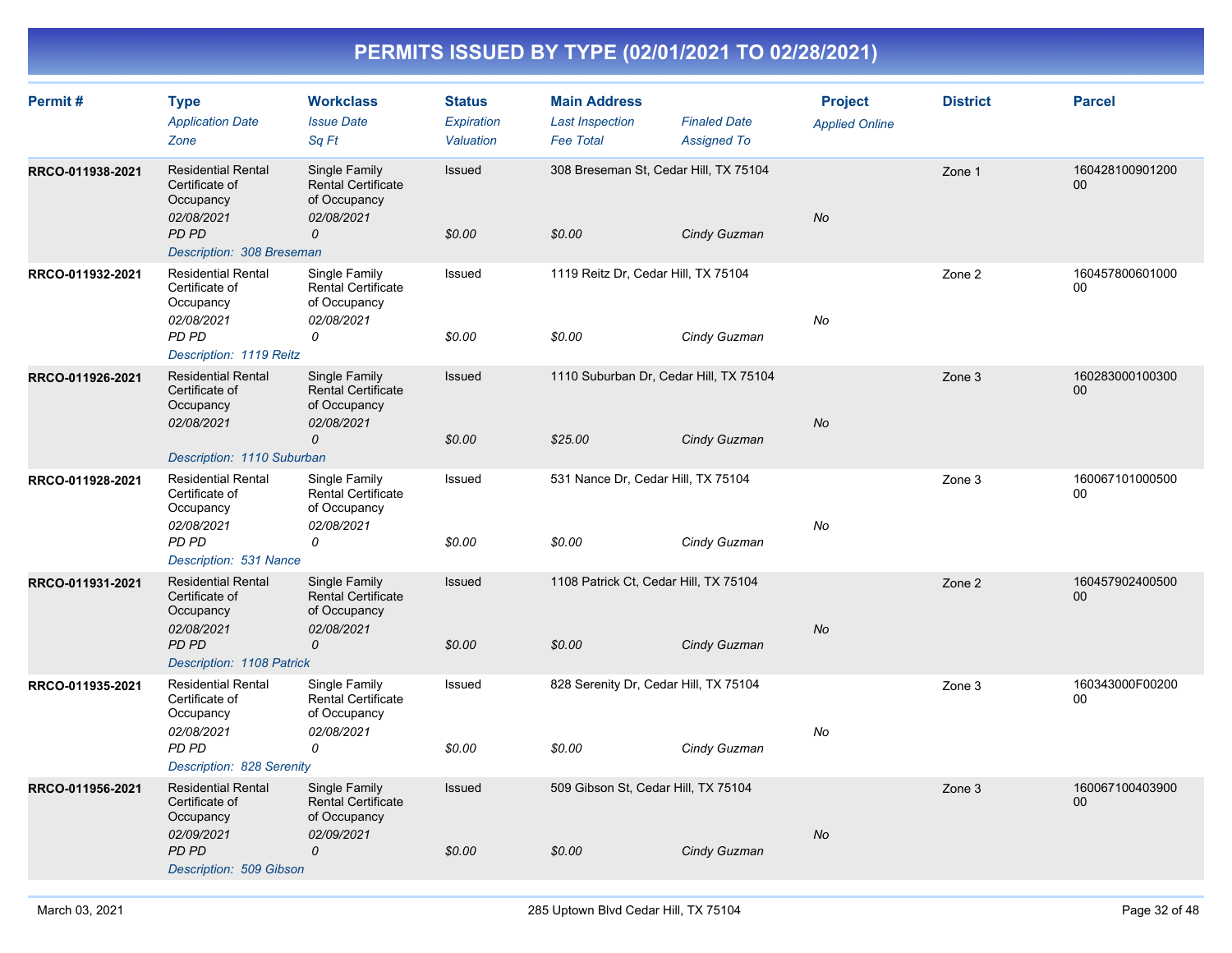| Permit#          | <b>Type</b><br><b>Application Date</b><br>Zone                                                                      | <b>Workclass</b><br><b>Issue Date</b><br>Sq Ft                                            | <b>Status</b><br>Expiration<br>Valuation | <b>Main Address</b><br><b>Last Inspection</b><br><b>Fee Total</b> | <b>Finaled Date</b><br><b>Assigned To</b> | <b>Project</b><br><b>Applied Online</b> | <b>District</b> | <b>Parcel</b>             |
|------------------|---------------------------------------------------------------------------------------------------------------------|-------------------------------------------------------------------------------------------|------------------------------------------|-------------------------------------------------------------------|-------------------------------------------|-----------------------------------------|-----------------|---------------------------|
| RRCO-011938-2021 | <b>Residential Rental</b><br>Certificate of<br>Occupancy<br>02/08/2021<br><b>PD PD</b><br>Description: 308 Breseman | Single Family<br><b>Rental Certificate</b><br>of Occupancy<br>02/08/2021<br>0             | Issued<br>\$0.00                         | 308 Breseman St. Cedar Hill, TX 75104<br>\$0.00                   | Cindy Guzman                              | No                                      | Zone 1          | 160428100901200<br>$00\,$ |
| RRCO-011932-2021 | <b>Residential Rental</b><br>Certificate of<br>Occupancy<br>02/08/2021<br>PD PD<br>Description: 1119 Reitz          | Single Family<br><b>Rental Certificate</b><br>of Occupancy<br>02/08/2021<br>0             | Issued<br>\$0.00                         | 1119 Reitz Dr, Cedar Hill, TX 75104<br>\$0.00                     | Cindy Guzman                              | No                                      | Zone 2          | 160457800601000<br>00     |
| RRCO-011926-2021 | <b>Residential Rental</b><br>Certificate of<br>Occupancy<br>02/08/2021<br>Description: 1110 Suburban                | Single Family<br><b>Rental Certificate</b><br>of Occupancy<br>02/08/2021<br>0             | Issued<br>\$0.00                         | 1110 Suburban Dr, Cedar Hill, TX 75104<br>\$25.00                 | Cindy Guzman                              | <b>No</b>                               | Zone 3          | 160283000100300<br>00     |
| RRCO-011928-2021 | <b>Residential Rental</b><br>Certificate of<br>Occupancy<br>02/08/2021<br>PD PD<br>Description: 531 Nance           | Single Family<br><b>Rental Certificate</b><br>of Occupancy<br>02/08/2021<br>0             | Issued<br>\$0.00                         | 531 Nance Dr, Cedar Hill, TX 75104<br>\$0.00                      | Cindy Guzman                              | No                                      | Zone 3          | 160067101000500<br>$00\,$ |
| RRCO-011931-2021 | <b>Residential Rental</b><br>Certificate of<br>Occupancy<br>02/08/2021<br><b>PD PD</b><br>Description: 1108 Patrick | Single Family<br><b>Rental Certificate</b><br>of Occupancy<br>02/08/2021<br>0             | Issued<br>\$0.00                         | 1108 Patrick Ct, Cedar Hill, TX 75104<br>\$0.00                   | Cindy Guzman                              | No                                      | Zone 2          | 160457902400500<br>00     |
| RRCO-011935-2021 | <b>Residential Rental</b><br>Certificate of<br>Occupancy<br>02/08/2021<br>PD PD<br>Description: 828 Serenity        | Single Family<br><b>Rental Certificate</b><br>of Occupancy<br>02/08/2021<br>0             | Issued<br>\$0.00                         | 828 Serenity Dr, Cedar Hill, TX 75104<br>\$0.00                   | Cindy Guzman                              | No                                      | Zone 3          | 160343000F00200<br>00     |
| RRCO-011956-2021 | <b>Residential Rental</b><br>Certificate of<br>Occupancy<br>02/09/2021<br>PD PD<br>Description: 509 Gibson          | Single Family<br><b>Rental Certificate</b><br>of Occupancy<br>02/09/2021<br>$\mathcal{O}$ | Issued<br>\$0.00                         | 509 Gibson St, Cedar Hill, TX 75104<br>\$0.00                     | Cindy Guzman                              | No                                      | Zone 3          | 160067100403900<br>00     |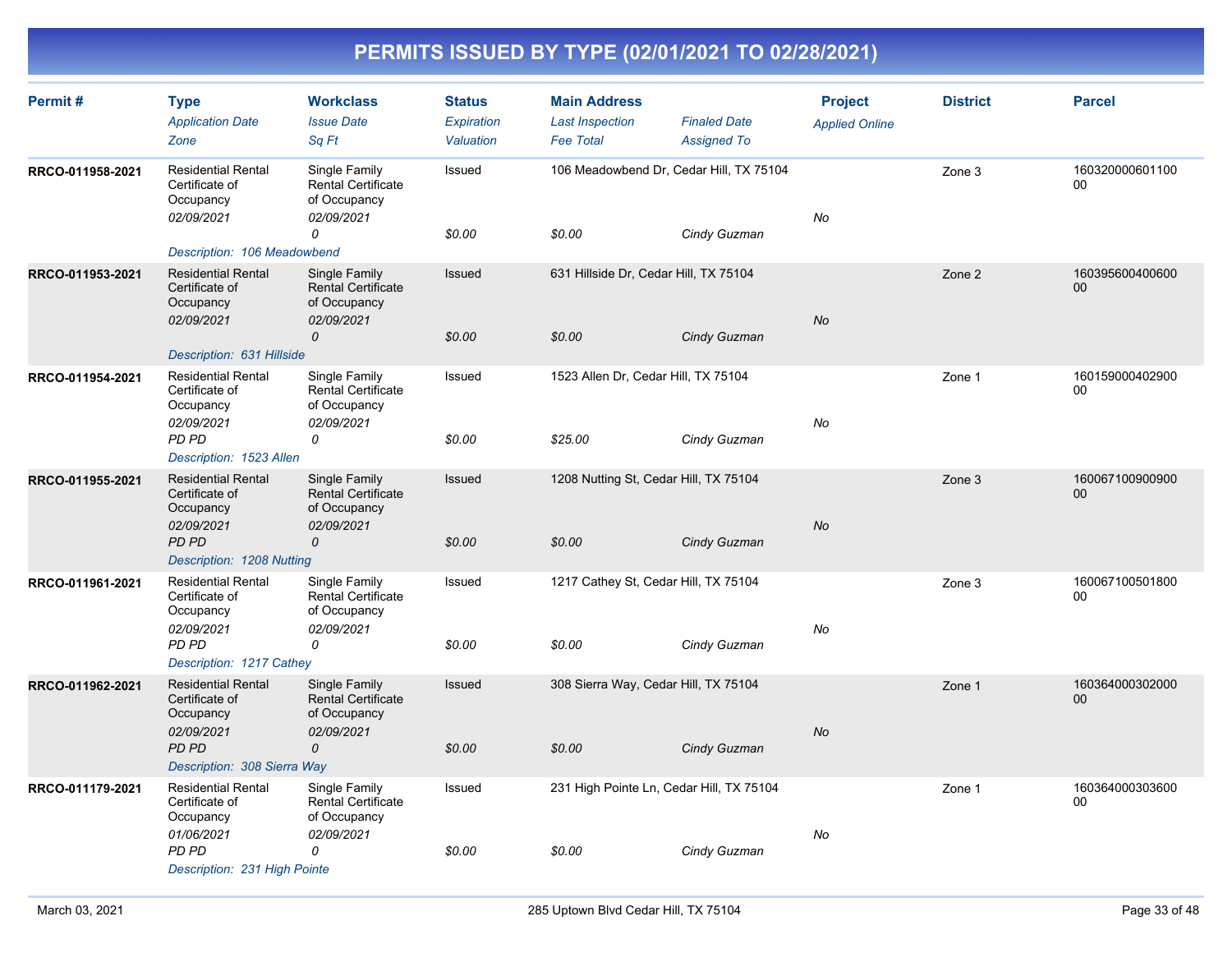| Permit#          | <b>Type</b><br><b>Application Date</b><br>Zone                         | <b>Workclass</b><br><b>Issue Date</b><br>Sq Ft                           | <b>Status</b><br><b>Expiration</b><br>Valuation | <b>Main Address</b><br><b>Last Inspection</b><br><b>Fee Total</b> | <b>Finaled Date</b><br><b>Assigned To</b> | <b>Project</b><br><b>Applied Online</b> | <b>District</b> | <b>Parcel</b>         |
|------------------|------------------------------------------------------------------------|--------------------------------------------------------------------------|-------------------------------------------------|-------------------------------------------------------------------|-------------------------------------------|-----------------------------------------|-----------------|-----------------------|
| RRCO-011958-2021 | <b>Residential Rental</b><br>Certificate of<br>Occupancy<br>02/09/2021 | Single Family<br><b>Rental Certificate</b><br>of Occupancy<br>02/09/2021 | Issued                                          | 106 Meadowbend Dr, Cedar Hill, TX 75104                           |                                           | No                                      | Zone 3          | 160320000601100<br>00 |
|                  | Description: 106 Meadowbend                                            | 0                                                                        | \$0.00                                          | \$0.00                                                            | Cindy Guzman                              |                                         |                 |                       |
| RRCO-011953-2021 | <b>Residential Rental</b><br>Certificate of<br>Occupancy<br>02/09/2021 | Single Family<br><b>Rental Certificate</b><br>of Occupancy<br>02/09/2021 | Issued                                          | 631 Hillside Dr, Cedar Hill, TX 75104                             |                                           | <b>No</b>                               | Zone 2          | 160395600400600<br>00 |
|                  | Description: 631 Hillside                                              | 0                                                                        | \$0.00                                          | \$0.00                                                            | Cindy Guzman                              |                                         |                 |                       |
| RRCO-011954-2021 | <b>Residential Rental</b><br>Certificate of<br>Occupancy<br>02/09/2021 | Single Family<br><b>Rental Certificate</b><br>of Occupancy<br>02/09/2021 | Issued                                          | 1523 Allen Dr, Cedar Hill, TX 75104                               |                                           | No                                      | Zone 1          | 160159000402900<br>00 |
|                  | PD PD<br>Description: 1523 Allen                                       | 0                                                                        | \$0.00                                          | \$25.00                                                           | Cindy Guzman                              |                                         |                 |                       |
| RRCO-011955-2021 | <b>Residential Rental</b><br>Certificate of<br>Occupancy<br>02/09/2021 | Single Family<br>Rental Certificate<br>of Occupancy<br>02/09/2021        | Issued                                          | 1208 Nutting St, Cedar Hill, TX 75104                             |                                           | <b>No</b>                               | Zone 3          | 160067100900900<br>00 |
|                  | PD PD<br>Description: 1208 Nutting                                     | 0                                                                        | \$0.00                                          | \$0.00                                                            | Cindy Guzman                              |                                         |                 |                       |
| RRCO-011961-2021 | <b>Residential Rental</b><br>Certificate of<br>Occupancy               | Single Family<br><b>Rental Certificate</b><br>of Occupancy               | Issued                                          | 1217 Cathey St, Cedar Hill, TX 75104                              |                                           |                                         | Zone 3          | 160067100501800<br>00 |
|                  | 02/09/2021<br>PD PD<br>Description: 1217 Cathey                        | 02/09/2021<br>0                                                          | \$0.00                                          | \$0.00                                                            | Cindy Guzman                              | No                                      |                 |                       |
| RRCO-011962-2021 | <b>Residential Rental</b><br>Certificate of<br>Occupancy               | Single Family<br><b>Rental Certificate</b><br>of Occupancy               | Issued                                          | 308 Sierra Way, Cedar Hill, TX 75104                              |                                           |                                         | Zone 1          | 160364000302000<br>00 |
|                  | 02/09/2021<br>PD PD<br>Description: 308 Sierra Way                     | 02/09/2021<br>$\mathcal{O}$                                              | \$0.00                                          | \$0.00                                                            | Cindy Guzman                              | <b>No</b>                               |                 |                       |
| RRCO-011179-2021 | <b>Residential Rental</b><br>Certificate of<br>Occupancy               | Single Family<br>Rental Certificate<br>of Occupancy                      | Issued                                          | 231 High Pointe Ln, Cedar Hill, TX 75104                          |                                           |                                         | Zone 1          | 160364000303600<br>00 |
|                  | 01/06/2021<br>PD PD<br>Description: 231 High Pointe                    | 02/09/2021<br>0                                                          | \$0.00                                          | \$0.00                                                            | Cindy Guzman                              | No                                      |                 |                       |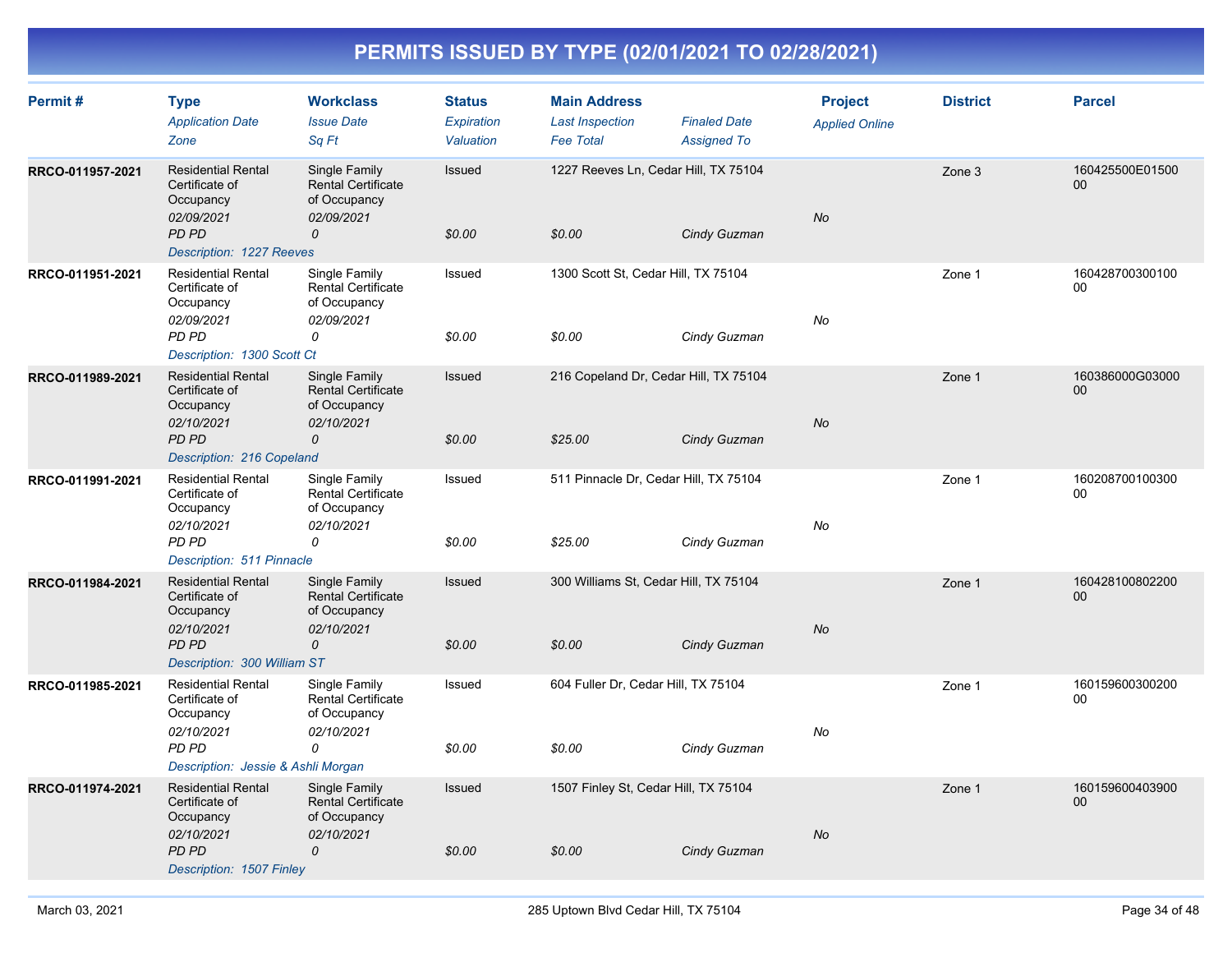| Permit#          | <b>Type</b><br><b>Application Date</b><br>Zone                                                                        | <b>Workclass</b><br><b>Issue Date</b><br>Sq Ft                                            | <b>Status</b><br>Expiration<br>Valuation | <b>Main Address</b><br><b>Last Inspection</b><br><b>Fee Total</b> | <b>Finaled Date</b><br><b>Assigned To</b> | <b>Project</b><br><b>Applied Online</b> | <b>District</b> | <b>Parcel</b>             |
|------------------|-----------------------------------------------------------------------------------------------------------------------|-------------------------------------------------------------------------------------------|------------------------------------------|-------------------------------------------------------------------|-------------------------------------------|-----------------------------------------|-----------------|---------------------------|
| RRCO-011957-2021 | <b>Residential Rental</b><br>Certificate of<br>Occupancy<br>02/09/2021<br><b>PD PD</b><br>Description: 1227 Reeves    | Single Family<br><b>Rental Certificate</b><br>of Occupancy<br>02/09/2021<br>0             | Issued<br>\$0.00                         | 1227 Reeves Ln, Cedar Hill, TX 75104<br>\$0.00                    | Cindy Guzman                              | No                                      | Zone 3          | 160425500E01500<br>$00\,$ |
| RRCO-011951-2021 | <b>Residential Rental</b><br>Certificate of<br>Occupancy<br>02/09/2021<br>PD PD<br>Description: 1300 Scott Ct         | Single Family<br><b>Rental Certificate</b><br>of Occupancy<br>02/09/2021<br>0             | Issued<br>\$0.00                         | 1300 Scott St, Cedar Hill, TX 75104<br>\$0.00                     | Cindy Guzman                              | No                                      | Zone 1          | 160428700300100<br>$00\,$ |
| RRCO-011989-2021 | <b>Residential Rental</b><br>Certificate of<br>Occupancy<br>02/10/2021<br>PD PD<br>Description: 216 Copeland          | Single Family<br><b>Rental Certificate</b><br>of Occupancy<br>02/10/2021<br>$\mathcal{O}$ | Issued<br>\$0.00                         | 216 Copeland Dr, Cedar Hill, TX 75104<br>\$25.00                  | Cindy Guzman                              | No                                      | Zone 1          | 160386000G03000<br>00     |
| RRCO-011991-2021 | <b>Residential Rental</b><br>Certificate of<br>Occupancy<br>02/10/2021<br>PD PD<br>Description: 511 Pinnacle          | Single Family<br><b>Rental Certificate</b><br>of Occupancy<br>02/10/2021<br>0             | Issued<br>\$0.00                         | 511 Pinnacle Dr, Cedar Hill, TX 75104<br>\$25.00                  | Cindy Guzman                              | No                                      | Zone 1          | 160208700100300<br>$00\,$ |
| RRCO-011984-2021 | <b>Residential Rental</b><br>Certificate of<br>Occupancy<br>02/10/2021<br>PD PD<br>Description: 300 William ST        | Single Family<br><b>Rental Certificate</b><br>of Occupancy<br>02/10/2021<br>0             | Issued<br>\$0.00                         | 300 Williams St, Cedar Hill, TX 75104<br>\$0.00                   | Cindy Guzman                              | <b>No</b>                               | Zone 1          | 160428100802200<br>$00\,$ |
| RRCO-011985-2021 | <b>Residential Rental</b><br>Certificate of<br>Occupancy<br>02/10/2021<br>PD PD<br>Description: Jessie & Ashli Morgan | Single Family<br><b>Rental Certificate</b><br>of Occupancy<br>02/10/2021<br>0             | Issued<br>\$0.00                         | 604 Fuller Dr, Cedar Hill, TX 75104<br>\$0.00                     | Cindy Guzman                              | No                                      | Zone 1          | 160159600300200<br>00     |
| RRCO-011974-2021 | <b>Residential Rental</b><br>Certificate of<br>Occupancy<br>02/10/2021<br>PD PD<br>Description: 1507 Finley           | Single Family<br><b>Rental Certificate</b><br>of Occupancy<br>02/10/2021<br>0             | Issued<br>\$0.00                         | 1507 Finley St, Cedar Hill, TX 75104<br>\$0.00                    | Cindy Guzman                              | No                                      | Zone 1          | 160159600403900<br>$00\,$ |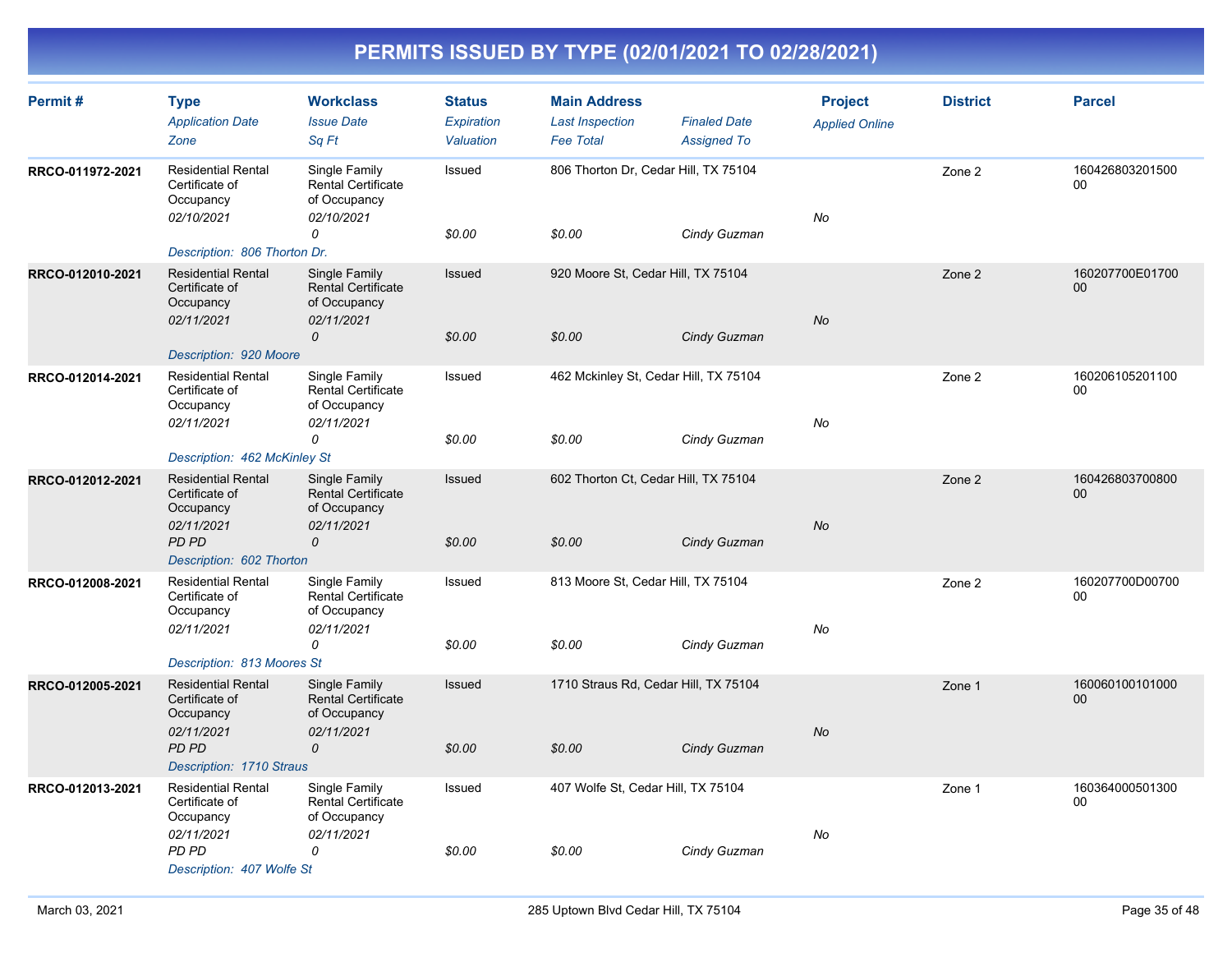| Permit#          | <b>Type</b><br><b>Application Date</b><br>Zone                         | <b>Workclass</b><br><b>Issue Date</b><br>Sq Ft                           | <b>Status</b><br>Expiration<br>Valuation | <b>Main Address</b><br><b>Last Inspection</b><br><b>Fee Total</b> | <b>Finaled Date</b><br><b>Assigned To</b> | <b>Project</b><br><b>Applied Online</b> | <b>District</b> | <b>Parcel</b>         |
|------------------|------------------------------------------------------------------------|--------------------------------------------------------------------------|------------------------------------------|-------------------------------------------------------------------|-------------------------------------------|-----------------------------------------|-----------------|-----------------------|
| RRCO-011972-2021 | <b>Residential Rental</b><br>Certificate of<br>Occupancy<br>02/10/2021 | Single Family<br><b>Rental Certificate</b><br>of Occupancy<br>02/10/2021 | Issued                                   | 806 Thorton Dr, Cedar Hill, TX 75104                              |                                           | No                                      | Zone 2          | 160426803201500<br>00 |
|                  | Description: 806 Thorton Dr.                                           | 0                                                                        | \$0.00                                   | \$0.00                                                            | Cindy Guzman                              |                                         |                 |                       |
| RRCO-012010-2021 | <b>Residential Rental</b><br>Certificate of<br>Occupancy<br>02/11/2021 | Single Family<br><b>Rental Certificate</b><br>of Occupancy<br>02/11/2021 | <b>Issued</b>                            | 920 Moore St, Cedar Hill, TX 75104                                |                                           | No                                      | Zone 2          | 160207700E01700<br>00 |
|                  | Description: 920 Moore                                                 | 0                                                                        | \$0.00                                   | \$0.00                                                            | Cindy Guzman                              |                                         |                 |                       |
| RRCO-012014-2021 | <b>Residential Rental</b><br>Certificate of<br>Occupancy<br>02/11/2021 | Single Family<br><b>Rental Certificate</b><br>of Occupancy<br>02/11/2021 | Issued                                   | 462 Mckinley St, Cedar Hill, TX 75104                             |                                           | No                                      | Zone 2          | 160206105201100<br>00 |
|                  | Description: 462 McKinley St                                           | 0                                                                        | \$0.00                                   | \$0.00                                                            | Cindy Guzman                              |                                         |                 |                       |
| RRCO-012012-2021 | <b>Residential Rental</b><br>Certificate of<br>Occupancy               | Single Family<br><b>Rental Certificate</b><br>of Occupancy               | Issued                                   | 602 Thorton Ct, Cedar Hill, TX 75104                              |                                           | <b>No</b>                               | Zone 2          | 160426803700800<br>00 |
|                  | 02/11/2021<br><b>PD PD</b><br>Description: 602 Thorton                 | 02/11/2021<br>0                                                          | \$0.00                                   | \$0.00                                                            | Cindy Guzman                              |                                         |                 |                       |
| RRCO-012008-2021 | <b>Residential Rental</b><br>Certificate of<br>Occupancy<br>02/11/2021 | Single Family<br><b>Rental Certificate</b><br>of Occupancy<br>02/11/2021 | Issued                                   | 813 Moore St, Cedar Hill, TX 75104                                |                                           | No                                      | Zone 2          | 160207700D00700<br>00 |
|                  | Description: 813 Moores St                                             | 0                                                                        | \$0.00                                   | \$0.00                                                            | Cindy Guzman                              |                                         |                 |                       |
| RRCO-012005-2021 | <b>Residential Rental</b><br>Certificate of<br>Occupancy               | Single Family<br><b>Rental Certificate</b><br>of Occupancy               | <b>Issued</b>                            | 1710 Straus Rd, Cedar Hill, TX 75104                              |                                           |                                         | Zone 1          | 160060100101000<br>00 |
|                  | 02/11/2021<br>PD PD<br>Description: 1710 Straus                        | 02/11/2021<br>$\mathcal{O}$                                              | \$0.00                                   | \$0.00                                                            | Cindy Guzman                              | <b>No</b>                               |                 |                       |
| RRCO-012013-2021 | <b>Residential Rental</b><br>Certificate of<br>Occupancy               | Single Family<br><b>Rental Certificate</b><br>of Occupancy               | Issued                                   | 407 Wolfe St, Cedar Hill, TX 75104                                |                                           |                                         | Zone 1          | 160364000501300<br>00 |
|                  | 02/11/2021<br><b>PD PD</b><br>Description: 407 Wolfe St                | 02/11/2021<br>0                                                          | \$0.00                                   | \$0.00                                                            | Cindy Guzman                              | No                                      |                 |                       |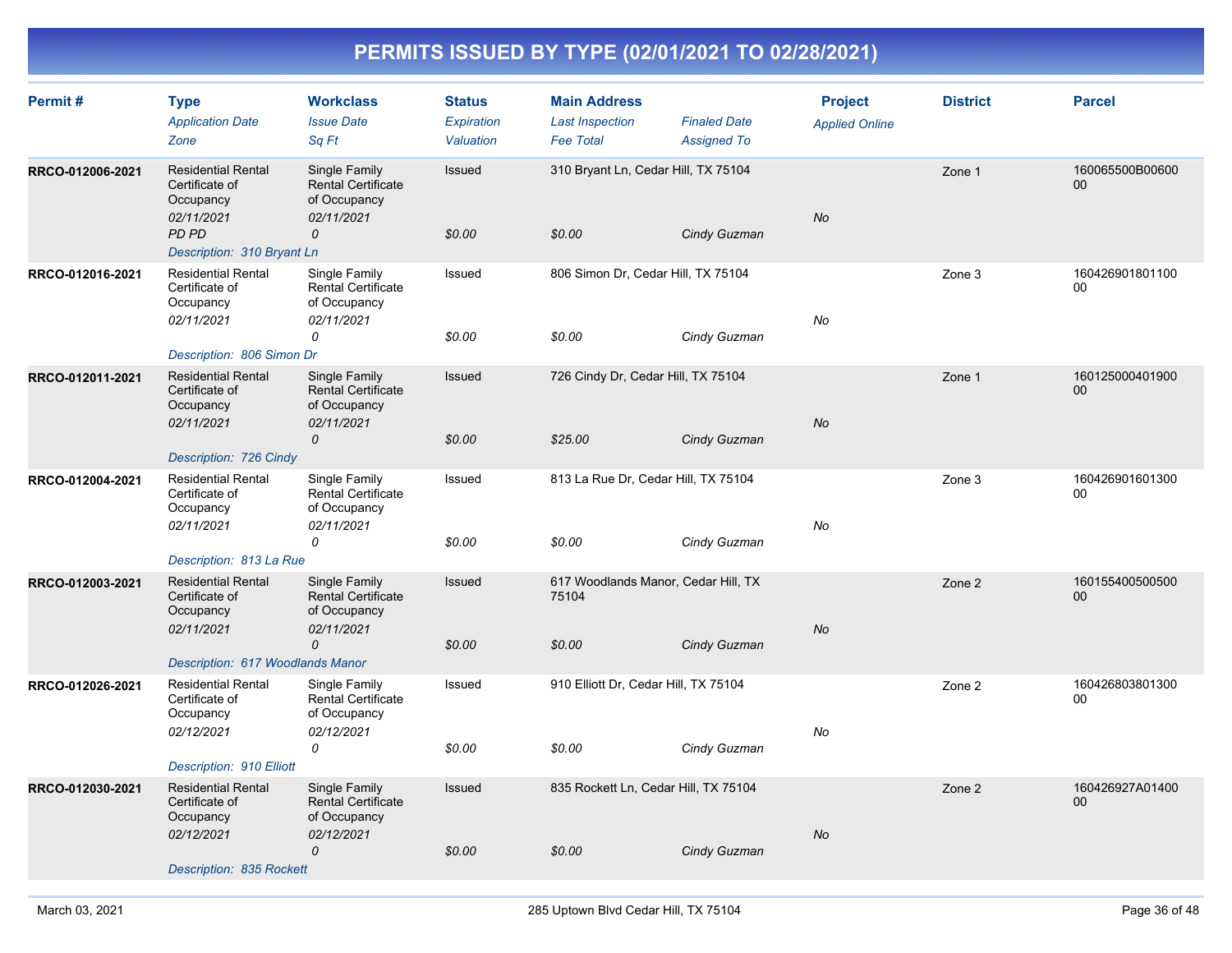| Permit#          | <b>Type</b><br><b>Application Date</b><br>Zone                                                                       | <b>Workclass</b><br><b>Issue Date</b><br>Sq Ft                                            | <b>Status</b><br>Expiration<br>Valuation | <b>Main Address</b><br><b>Last Inspection</b><br><b>Fee Total</b> | <b>Finaled Date</b><br><b>Assigned To</b> | <b>Project</b><br><b>Applied Online</b> | <b>District</b> | <b>Parcel</b>                      |
|------------------|----------------------------------------------------------------------------------------------------------------------|-------------------------------------------------------------------------------------------|------------------------------------------|-------------------------------------------------------------------|-------------------------------------------|-----------------------------------------|-----------------|------------------------------------|
| RRCO-012006-2021 | <b>Residential Rental</b><br>Certificate of<br>Occupancy<br>02/11/2021<br><b>PD PD</b><br>Description: 310 Bryant Ln | Single Family<br><b>Rental Certificate</b><br>of Occupancy<br>02/11/2021<br>0             | Issued<br>\$0.00                         | 310 Bryant Ln, Cedar Hill, TX 75104<br>\$0.00                     | Cindy Guzman                              | <b>No</b>                               | Zone 1          | 160065500B00600<br>00 <sub>0</sub> |
| RRCO-012016-2021 | <b>Residential Rental</b><br>Certificate of<br>Occupancy<br>02/11/2021<br>Description: 806 Simon Dr                  | Single Family<br>Rental Certificate<br>of Occupancy<br>02/11/2021<br>0                    | Issued<br>\$0.00                         | 806 Simon Dr, Cedar Hill, TX 75104<br>\$0.00                      | Cindy Guzman                              | No                                      | Zone 3          | 160426901801100<br>00              |
| RRCO-012011-2021 | <b>Residential Rental</b><br>Certificate of<br>Occupancy<br>02/11/2021<br>Description: 726 Cindy                     | Single Family<br><b>Rental Certificate</b><br>of Occupancy<br>02/11/2021<br>0             | Issued<br>\$0.00                         | 726 Cindy Dr, Cedar Hill, TX 75104<br>\$25.00                     | Cindy Guzman                              | <b>No</b>                               | Zone 1          | 160125000401900<br>$00\,$          |
| RRCO-012004-2021 | <b>Residential Rental</b><br>Certificate of<br>Occupancy<br>02/11/2021<br>Description: 813 La Rue                    | Single Family<br>Rental Certificate<br>of Occupancy<br>02/11/2021<br>0                    | Issued<br>\$0.00                         | 813 La Rue Dr, Cedar Hill, TX 75104<br>\$0.00                     | Cindy Guzman                              | No                                      | Zone 3          | 160426901601300<br>$00\,$          |
| RRCO-012003-2021 | <b>Residential Rental</b><br>Certificate of<br>Occupancy<br>02/11/2021<br>Description: 617 Woodlands Manor           | Single Family<br><b>Rental Certificate</b><br>of Occupancy<br>02/11/2021<br>0             | Issued<br>\$0.00                         | 617 Woodlands Manor, Cedar Hill, TX<br>75104<br>\$0.00            | Cindy Guzman                              | No                                      | Zone 2          | 160155400500500<br>00 <sup>°</sup> |
| RRCO-012026-2021 | <b>Residential Rental</b><br>Certificate of<br>Occupancy<br>02/12/2021<br><b>Description: 910 Elliott</b>            | Single Family<br><b>Rental Certificate</b><br>of Occupancy<br>02/12/2021<br>0             | Issued<br>\$0.00                         | 910 Elliott Dr, Cedar Hill, TX 75104<br>\$0.00                    | Cindy Guzman                              | No                                      | Zone 2          | 160426803801300<br>$00\,$          |
| RRCO-012030-2021 | <b>Residential Rental</b><br>Certificate of<br>Occupancy<br>02/12/2021<br>Description: 835 Rockett                   | Single Family<br><b>Rental Certificate</b><br>of Occupancy<br>02/12/2021<br>$\mathcal{O}$ | Issued<br>\$0.00                         | 835 Rockett Ln, Cedar Hill, TX 75104<br>\$0.00                    | Cindy Guzman                              | <b>No</b>                               | Zone 2          | 160426927A01400<br>$00\,$          |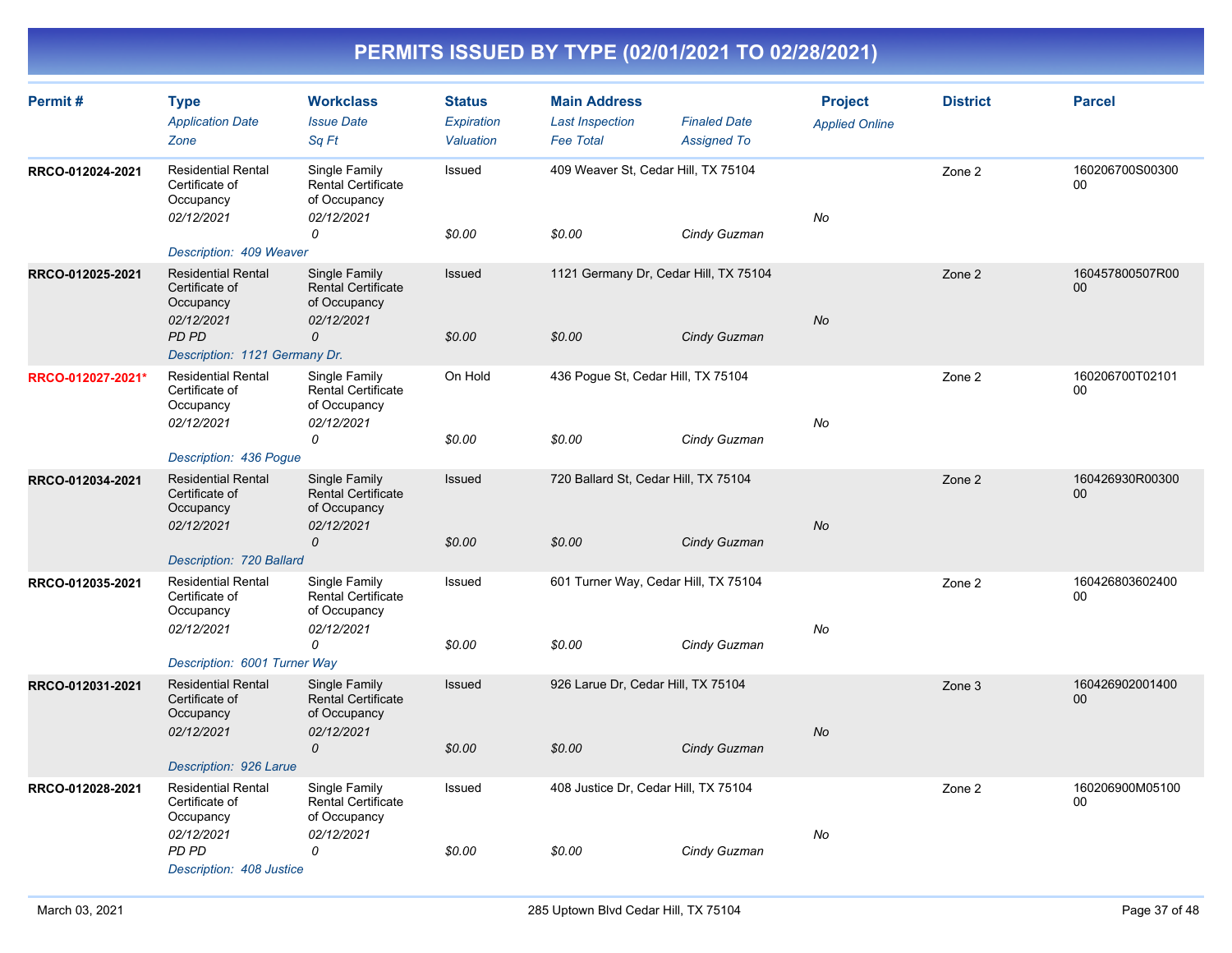| Permit#           | <b>Type</b><br><b>Application Date</b><br>Zone                                     | <b>Workclass</b><br><b>Issue Date</b><br>Sq Ft                           | <b>Status</b><br>Expiration<br>Valuation | <b>Main Address</b><br><b>Last Inspection</b><br><b>Fee Total</b> | <b>Finaled Date</b><br><b>Assigned To</b> | <b>Project</b><br><b>Applied Online</b> | <b>District</b> | <b>Parcel</b>             |
|-------------------|------------------------------------------------------------------------------------|--------------------------------------------------------------------------|------------------------------------------|-------------------------------------------------------------------|-------------------------------------------|-----------------------------------------|-----------------|---------------------------|
| RRCO-012024-2021  | <b>Residential Rental</b><br>Certificate of<br>Occupancy<br>02/12/2021             | Single Family<br><b>Rental Certificate</b><br>of Occupancy<br>02/12/2021 | Issued                                   | 409 Weaver St, Cedar Hill, TX 75104                               |                                           | No                                      | Zone 2          | 160206700S00300<br>$00\,$ |
|                   | Description: 409 Weaver                                                            | 0                                                                        | \$0.00                                   | \$0.00                                                            | Cindy Guzman                              |                                         |                 |                           |
| RRCO-012025-2021  | <b>Residential Rental</b><br>Certificate of<br>Occupancy<br>02/12/2021             | Single Family<br><b>Rental Certificate</b><br>of Occupancy<br>02/12/2021 | Issued                                   | 1121 Germany Dr, Cedar Hill, TX 75104                             |                                           | <b>No</b>                               | Zone 2          | 160457800507R00<br>$00\,$ |
|                   | PD PD<br>Description: 1121 Germany Dr.                                             | 0                                                                        | \$0.00                                   | \$0.00                                                            | Cindy Guzman                              |                                         |                 |                           |
| RRCO-012027-2021* | <b>Residential Rental</b><br>Certificate of<br>Occupancy<br>02/12/2021             | Single Family<br><b>Rental Certificate</b><br>of Occupancy<br>02/12/2021 | On Hold                                  | 436 Pogue St, Cedar Hill, TX 75104                                |                                           | No                                      | Zone 2          | 160206700T02101<br>00     |
|                   |                                                                                    | 0                                                                        | \$0.00                                   | \$0.00                                                            | Cindy Guzman                              |                                         |                 |                           |
| RRCO-012034-2021  | Description: 436 Pogue<br><b>Residential Rental</b><br>Certificate of<br>Occupancy | Single Family<br>Rental Certificate<br>of Occupancy                      | Issued                                   | 720 Ballard St, Cedar Hill, TX 75104                              |                                           |                                         | Zone 2          | 160426930R00300<br>$00\,$ |
|                   | 02/12/2021<br>Description: 720 Ballard                                             | 02/12/2021<br>0                                                          | \$0.00                                   | \$0.00                                                            | Cindy Guzman                              | <b>No</b>                               |                 |                           |
| RRCO-012035-2021  | <b>Residential Rental</b><br>Certificate of<br>Occupancy<br>02/12/2021             | Single Family<br>Rental Certificate<br>of Occupancy<br>02/12/2021        | Issued                                   | 601 Turner Way, Cedar Hill, TX 75104                              |                                           | No                                      | Zone 2          | 160426803602400<br>$00\,$ |
|                   | Description: 6001 Turner Way                                                       | $\Omega$                                                                 | \$0.00                                   | \$0.00                                                            | Cindy Guzman                              |                                         |                 |                           |
| RRCO-012031-2021  | <b>Residential Rental</b><br>Certificate of<br>Occupancy<br>02/12/2021             | Single Family<br><b>Rental Certificate</b><br>of Occupancy<br>02/12/2021 | Issued                                   | 926 Larue Dr, Cedar Hill, TX 75104                                |                                           | <b>No</b>                               | Zone 3          | 160426902001400<br>00     |
|                   | Description: 926 Larue                                                             | $\mathcal{O}$                                                            | \$0.00                                   | \$0.00                                                            | Cindy Guzman                              |                                         |                 |                           |
| RRCO-012028-2021  | <b>Residential Rental</b><br>Certificate of<br>Occupancy                           | Single Family<br>Rental Certificate<br>of Occupancy                      | Issued                                   | 408 Justice Dr, Cedar Hill, TX 75104                              |                                           |                                         | Zone 2          | 160206900M05100<br>00     |
|                   | 02/12/2021<br>PD PD<br>Description: 408 Justice                                    | 02/12/2021<br>0                                                          | \$0.00                                   | \$0.00                                                            | Cindy Guzman                              | No                                      |                 |                           |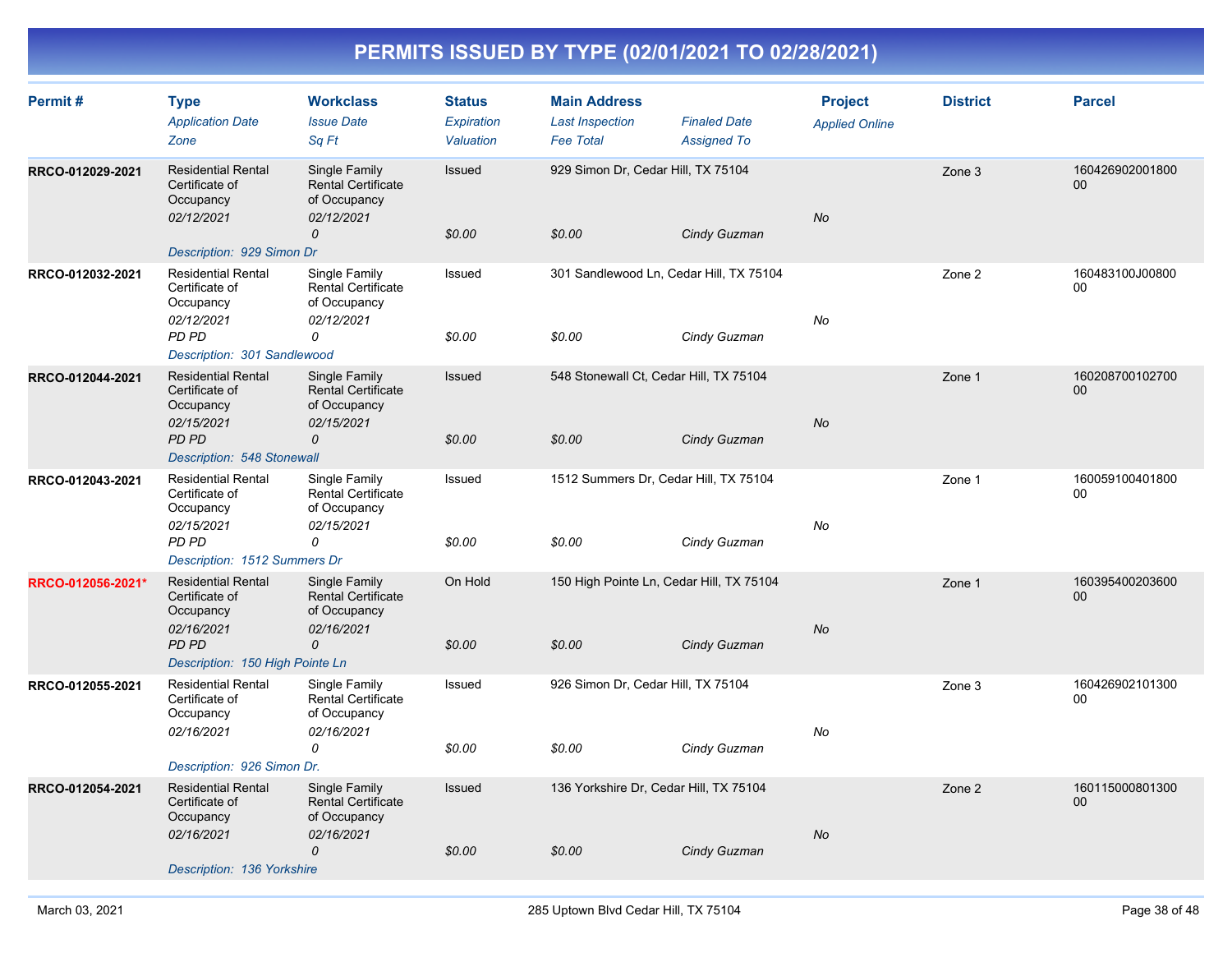| Permit#           | <b>Type</b><br><b>Application Date</b><br>Zone                                                                     | <b>Workclass</b><br><b>Issue Date</b><br>Sq Ft                                            | <b>Status</b><br>Expiration<br>Valuation | <b>Main Address</b><br><b>Last Inspection</b><br><b>Fee Total</b> | <b>Finaled Date</b><br><b>Assigned To</b> | <b>Project</b><br><b>Applied Online</b> | <b>District</b> | <b>Parcel</b>                      |
|-------------------|--------------------------------------------------------------------------------------------------------------------|-------------------------------------------------------------------------------------------|------------------------------------------|-------------------------------------------------------------------|-------------------------------------------|-----------------------------------------|-----------------|------------------------------------|
| RRCO-012029-2021  | <b>Residential Rental</b><br>Certificate of<br>Occupancy<br>02/12/2021<br>Description: 929 Simon Dr                | Single Family<br><b>Rental Certificate</b><br>of Occupancy<br>02/12/2021<br>0             | Issued<br>\$0.00                         | 929 Simon Dr, Cedar Hill, TX 75104<br>\$0.00                      | Cindy Guzman                              | <b>No</b>                               | Zone 3          | 160426902001800<br>00 <sub>0</sub> |
| RRCO-012032-2021  | <b>Residential Rental</b><br>Certificate of<br>Occupancy<br>02/12/2021<br>PD PD<br>Description: 301 Sandlewood     | Single Family<br>Rental Certificate<br>of Occupancy<br>02/12/2021<br>0                    | Issued<br>\$0.00                         | 301 Sandlewood Ln, Cedar Hill, TX 75104<br>\$0.00                 | Cindy Guzman                              | No                                      | Zone 2          | 160483100J00800<br>00              |
| RRCO-012044-2021  | <b>Residential Rental</b><br>Certificate of<br>Occupancy<br>02/15/2021<br>PD PD<br>Description: 548 Stonewall      | Single Family<br><b>Rental Certificate</b><br>of Occupancy<br>02/15/2021<br>0             | Issued<br>\$0.00                         | 548 Stonewall Ct, Cedar Hill, TX 75104<br>\$0.00                  | Cindy Guzman                              | <b>No</b>                               | Zone 1          | 160208700102700<br>$00\,$          |
| RRCO-012043-2021  | <b>Residential Rental</b><br>Certificate of<br>Occupancy<br>02/15/2021<br>PD PD<br>Description: 1512 Summers Dr    | Single Family<br>Rental Certificate<br>of Occupancy<br>02/15/2021<br>0                    | Issued<br>\$0.00                         | 1512 Summers Dr, Cedar Hill, TX 75104<br>\$0.00                   | Cindy Guzman                              | No                                      | Zone 1          | 160059100401800<br>$00\,$          |
| RRCO-012056-2021* | <b>Residential Rental</b><br>Certificate of<br>Occupancy<br>02/16/2021<br>PD PD<br>Description: 150 High Pointe Ln | Single Family<br><b>Rental Certificate</b><br>of Occupancy<br>02/16/2021<br>0             | On Hold<br>\$0.00                        | 150 High Pointe Ln, Cedar Hill, TX 75104<br>\$0.00                | Cindy Guzman                              | <b>No</b>                               | Zone 1          | 160395400203600<br>00 <sup>°</sup> |
| RRCO-012055-2021  | <b>Residential Rental</b><br>Certificate of<br>Occupancy<br>02/16/2021<br>Description: 926 Simon Dr.               | Single Family<br><b>Rental Certificate</b><br>of Occupancy<br>02/16/2021<br>0             | Issued<br>\$0.00                         | 926 Simon Dr, Cedar Hill, TX 75104<br>\$0.00                      | Cindy Guzman                              | No                                      | Zone 3          | 160426902101300<br>$00\,$          |
| RRCO-012054-2021  | <b>Residential Rental</b><br>Certificate of<br>Occupancy<br>02/16/2021<br>Description: 136 Yorkshire               | Single Family<br><b>Rental Certificate</b><br>of Occupancy<br>02/16/2021<br>$\mathcal{O}$ | Issued<br>\$0.00                         | 136 Yorkshire Dr, Cedar Hill, TX 75104<br>\$0.00                  | Cindy Guzman                              | <b>No</b>                               | Zone 2          | 160115000801300<br>$00\,$          |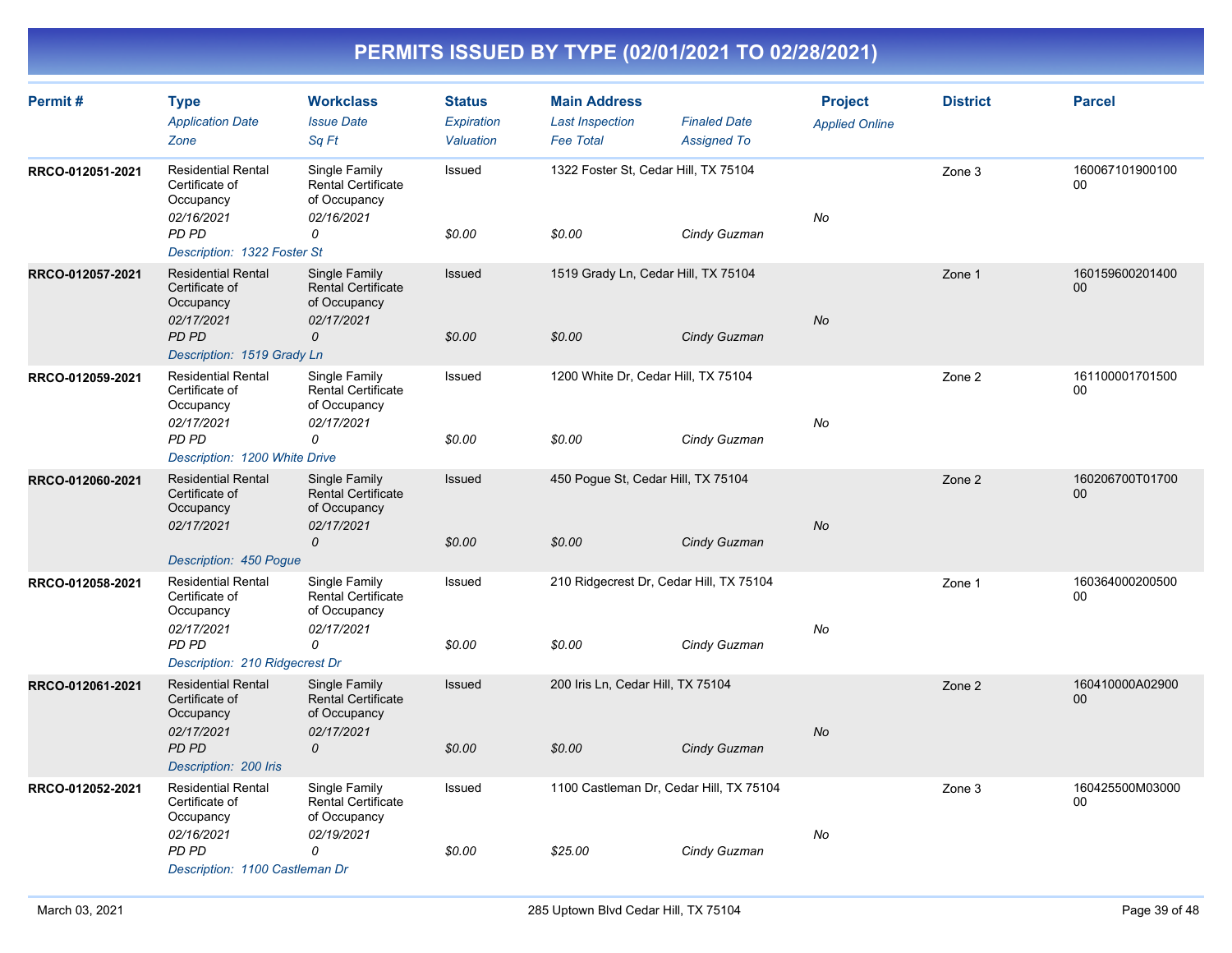| Permit#          | <b>Type</b><br><b>Application Date</b><br>Zone                         | <b>Workclass</b><br><b>Issue Date</b><br>Sq Ft                           | <b>Status</b><br>Expiration<br>Valuation | <b>Main Address</b><br><b>Last Inspection</b><br><b>Fee Total</b> | <b>Finaled Date</b><br><b>Assigned To</b> | <b>Project</b><br><b>Applied Online</b> | <b>District</b> | <b>Parcel</b>         |
|------------------|------------------------------------------------------------------------|--------------------------------------------------------------------------|------------------------------------------|-------------------------------------------------------------------|-------------------------------------------|-----------------------------------------|-----------------|-----------------------|
| RRCO-012051-2021 | <b>Residential Rental</b><br>Certificate of<br>Occupancy<br>02/16/2021 | Single Family<br><b>Rental Certificate</b><br>of Occupancy<br>02/16/2021 | Issued                                   | 1322 Foster St, Cedar Hill, TX 75104                              |                                           | No                                      | Zone 3          | 160067101900100<br>00 |
|                  | <b>PD PD</b><br>Description: 1322 Foster St                            | 0                                                                        | \$0.00                                   | \$0.00                                                            | Cindy Guzman                              |                                         |                 |                       |
| RRCO-012057-2021 | <b>Residential Rental</b><br>Certificate of<br>Occupancy<br>02/17/2021 | Single Family<br><b>Rental Certificate</b><br>of Occupancy<br>02/17/2021 | Issued                                   | 1519 Grady Ln, Cedar Hill, TX 75104                               |                                           | No                                      | Zone 1          | 160159600201400<br>00 |
|                  | PD PD<br>Description: 1519 Grady Ln                                    | 0                                                                        | \$0.00                                   | \$0.00                                                            | Cindy Guzman                              |                                         |                 |                       |
| RRCO-012059-2021 | <b>Residential Rental</b><br>Certificate of<br>Occupancy<br>02/17/2021 | Single Family<br><b>Rental Certificate</b><br>of Occupancy<br>02/17/2021 | Issued                                   | 1200 White Dr, Cedar Hill, TX 75104                               |                                           | No                                      | Zone 2          | 161100001701500<br>00 |
|                  | <b>PD PD</b><br>Description: 1200 White Drive                          | 0                                                                        | \$0.00                                   | \$0.00                                                            | Cindy Guzman                              |                                         |                 |                       |
| RRCO-012060-2021 | <b>Residential Rental</b><br>Certificate of<br>Occupancy<br>02/17/2021 | Single Family<br><b>Rental Certificate</b><br>of Occupancy<br>02/17/2021 | Issued                                   | 450 Pogue St, Cedar Hill, TX 75104                                |                                           | No                                      | Zone 2          | 160206700T01700<br>00 |
|                  | Description: 450 Pogue                                                 | 0                                                                        | \$0.00                                   | \$0.00                                                            | Cindy Guzman                              |                                         |                 |                       |
| RRCO-012058-2021 | <b>Residential Rental</b><br>Certificate of<br>Occupancy               | Single Family<br><b>Rental Certificate</b><br>of Occupancy               | Issued                                   | 210 Ridgecrest Dr, Cedar Hill, TX 75104                           |                                           |                                         | Zone 1          | 160364000200500<br>00 |
|                  | 02/17/2021<br>PD PD<br>Description: 210 Ridgecrest Dr                  | 02/17/2021<br>0                                                          | \$0.00                                   | \$0.00                                                            | Cindy Guzman                              | No                                      |                 |                       |
| RRCO-012061-2021 | <b>Residential Rental</b><br>Certificate of<br>Occupancy               | Single Family<br><b>Rental Certificate</b><br>of Occupancy               | Issued                                   | 200 Iris Ln, Cedar Hill, TX 75104                                 |                                           |                                         | Zone 2          | 160410000A02900<br>00 |
|                  | 02/17/2021<br>PD PD<br>Description: 200 Iris                           | 02/17/2021<br>$\mathcal{O}$                                              | \$0.00                                   | \$0.00                                                            | Cindy Guzman                              | No                                      |                 |                       |
| RRCO-012052-2021 | <b>Residential Rental</b><br>Certificate of<br>Occupancy               | Single Family<br><b>Rental Certificate</b><br>of Occupancy               | Issued                                   | 1100 Castleman Dr, Cedar Hill, TX 75104                           |                                           |                                         | Zone 3          | 160425500M03000<br>00 |
|                  | 02/16/2021<br>PD PD<br>Description: 1100 Castleman Dr                  | 02/19/2021<br>0                                                          | \$0.00                                   | \$25.00                                                           | Cindy Guzman                              | No                                      |                 |                       |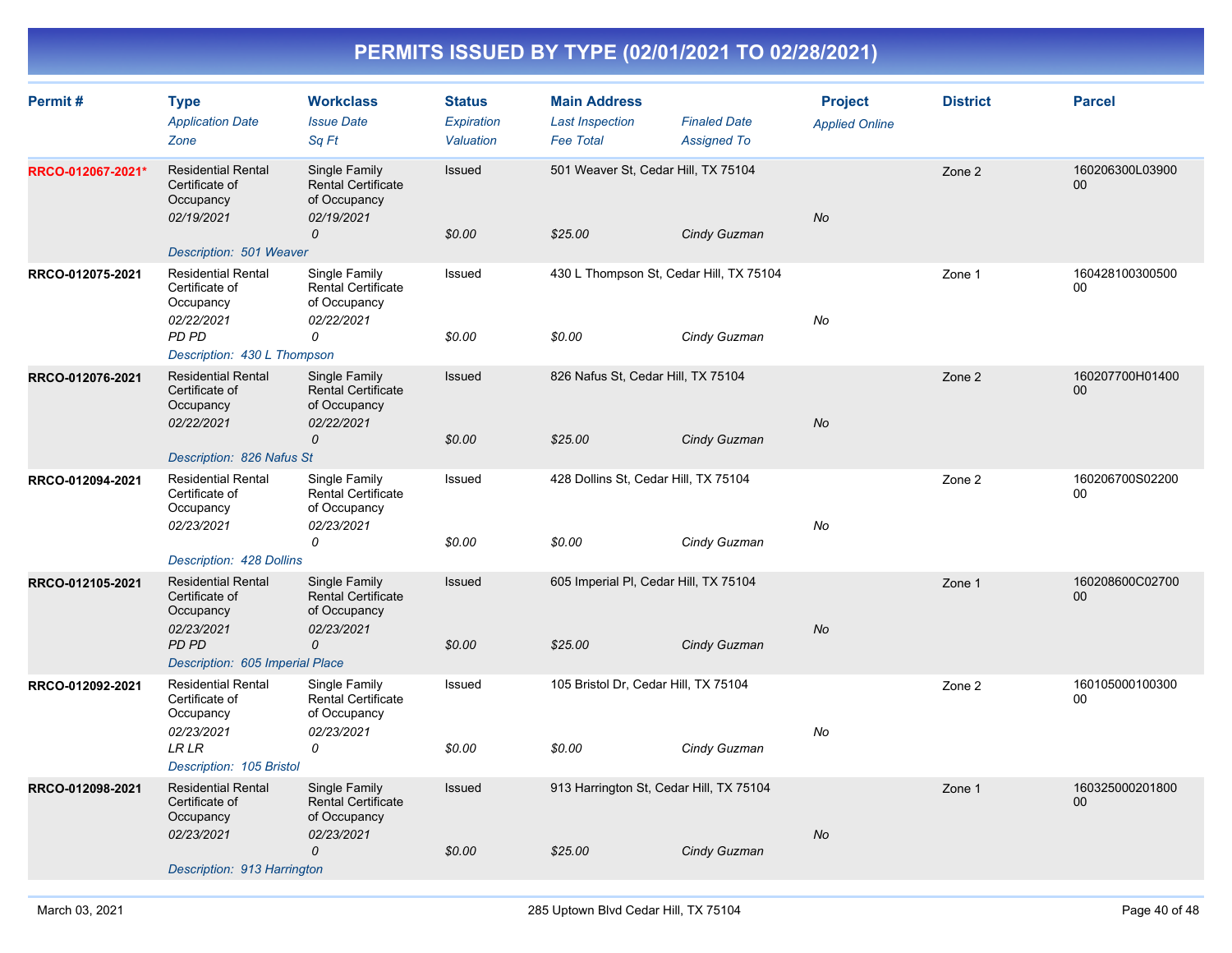| Permit#           | <b>Type</b><br><b>Application Date</b><br>Zone                                                                            | <b>Workclass</b><br><b>Issue Date</b><br>Sq Ft                                | <b>Status</b><br>Expiration<br>Valuation | <b>Main Address</b><br><b>Last Inspection</b><br><b>Fee Total</b> | <b>Finaled Date</b><br><b>Assigned To</b> | <b>Project</b><br><b>Applied Online</b> | <b>District</b> | <b>Parcel</b>             |
|-------------------|---------------------------------------------------------------------------------------------------------------------------|-------------------------------------------------------------------------------|------------------------------------------|-------------------------------------------------------------------|-------------------------------------------|-----------------------------------------|-----------------|---------------------------|
| RRCO-012067-2021* | <b>Residential Rental</b><br>Certificate of<br>Occupancy<br>02/19/2021<br>Description: 501 Weaver                         | Single Family<br><b>Rental Certificate</b><br>of Occupancy<br>02/19/2021<br>0 | Issued<br>\$0.00                         | 501 Weaver St, Cedar Hill, TX 75104<br>\$25.00                    | Cindy Guzman                              | No                                      | Zone 2          | 160206300L03900<br>00     |
| RRCO-012075-2021  | <b>Residential Rental</b><br>Certificate of<br>Occupancy<br>02/22/2021<br>PD PD<br>Description: 430 L Thompson            | Single Family<br><b>Rental Certificate</b><br>of Occupancy<br>02/22/2021<br>0 | Issued<br>\$0.00                         | 430 L Thompson St, Cedar Hill, TX 75104<br>\$0.00                 | Cindy Guzman                              | No                                      | Zone 1          | 160428100300500<br>00     |
| RRCO-012076-2021  | <b>Residential Rental</b><br>Certificate of<br>Occupancy<br>02/22/2021<br>Description: 826 Nafus St                       | Single Family<br><b>Rental Certificate</b><br>of Occupancy<br>02/22/2021<br>0 | Issued<br>\$0.00                         | 826 Nafus St, Cedar Hill, TX 75104<br>\$25.00                     | Cindy Guzman                              | No                                      | Zone 2          | 160207700H01400<br>00     |
| RRCO-012094-2021  | <b>Residential Rental</b><br>Certificate of<br>Occupancy<br>02/23/2021<br>Description: 428 Dollins                        | Single Family<br><b>Rental Certificate</b><br>of Occupancy<br>02/23/2021<br>0 | Issued<br>\$0.00                         | 428 Dollins St, Cedar Hill, TX 75104<br>\$0.00                    | Cindy Guzman                              | No                                      | Zone 2          | 160206700S02200<br>00     |
| RRCO-012105-2021  | <b>Residential Rental</b><br>Certificate of<br>Occupancy<br>02/23/2021<br><b>PD PD</b><br>Description: 605 Imperial Place | Single Family<br><b>Rental Certificate</b><br>of Occupancy<br>02/23/2021<br>0 | Issued<br>\$0.00                         | 605 Imperial PI, Cedar Hill, TX 75104<br>\$25.00                  | Cindy Guzman                              | No                                      | Zone 1          | 160208600C02700<br>00     |
| RRCO-012092-2021  | <b>Residential Rental</b><br>Certificate of<br>Occupancy<br>02/23/2021<br><b>LR LR</b><br>Description: 105 Bristol        | Single Family<br><b>Rental Certificate</b><br>of Occupancy<br>02/23/2021<br>0 | Issued<br>\$0.00                         | 105 Bristol Dr, Cedar Hill, TX 75104<br>\$0.00                    | Cindy Guzman                              | No                                      | Zone 2          | 160105000100300<br>00     |
| RRCO-012098-2021  | <b>Residential Rental</b><br>Certificate of<br>Occupancy<br>02/23/2021<br>Description: 913 Harrington                     | Single Family<br><b>Rental Certificate</b><br>of Occupancy<br>02/23/2021<br>0 | Issued<br>\$0.00                         | 913 Harrington St, Cedar Hill, TX 75104<br>\$25.00                | Cindy Guzman                              | No                                      | Zone 1          | 160325000201800<br>$00\,$ |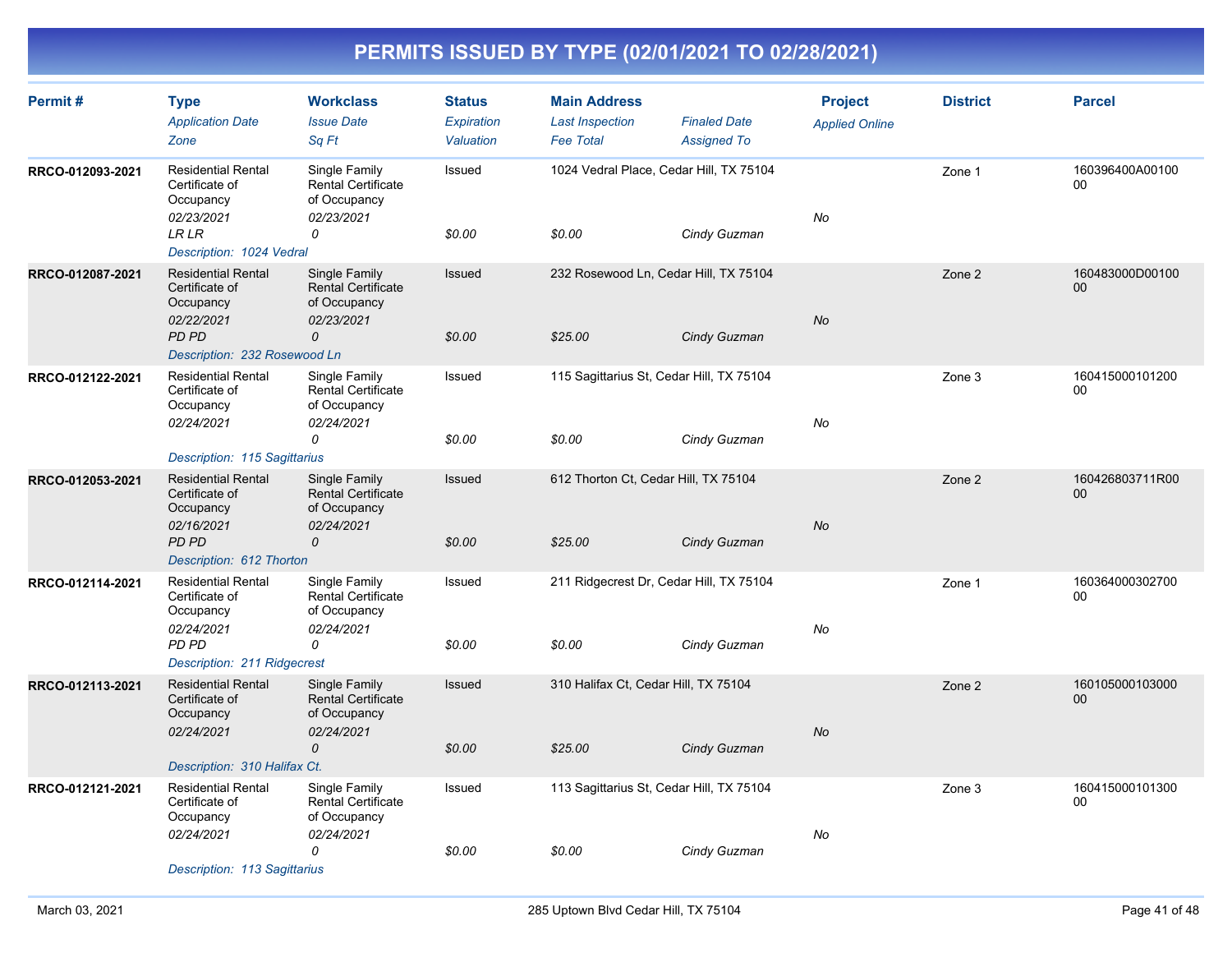| Permit#          | <b>Type</b><br><b>Application Date</b><br>Zone                         | <b>Workclass</b><br><b>Issue Date</b><br>Sq Ft                           | <b>Status</b><br>Expiration<br>Valuation | <b>Main Address</b><br><b>Last Inspection</b><br><b>Fee Total</b> | <b>Finaled Date</b><br><b>Assigned To</b> | <b>Project</b><br><b>Applied Online</b> | <b>District</b> | <b>Parcel</b>         |
|------------------|------------------------------------------------------------------------|--------------------------------------------------------------------------|------------------------------------------|-------------------------------------------------------------------|-------------------------------------------|-----------------------------------------|-----------------|-----------------------|
| RRCO-012093-2021 | <b>Residential Rental</b><br>Certificate of<br>Occupancy<br>02/23/2021 | Single Family<br><b>Rental Certificate</b><br>of Occupancy<br>02/23/2021 | Issued                                   | 1024 Vedral Place, Cedar Hill, TX 75104                           |                                           | No                                      | Zone 1          | 160396400A00100<br>00 |
|                  | LR LR<br>Description: 1024 Vedral                                      | 0                                                                        | \$0.00                                   | \$0.00                                                            | Cindy Guzman                              |                                         |                 |                       |
| RRCO-012087-2021 | <b>Residential Rental</b><br>Certificate of<br>Occupancy<br>02/22/2021 | Single Family<br><b>Rental Certificate</b><br>of Occupancy<br>02/23/2021 | Issued                                   | 232 Rosewood Ln, Cedar Hill, TX 75104                             |                                           | <b>No</b>                               | Zone 2          | 160483000D00100<br>00 |
|                  | PD PD<br>Description: 232 Rosewood Ln                                  | 0                                                                        | \$0.00                                   | \$25.00                                                           | Cindy Guzman                              |                                         |                 |                       |
| RRCO-012122-2021 | <b>Residential Rental</b><br>Certificate of<br>Occupancy<br>02/24/2021 | Single Family<br><b>Rental Certificate</b><br>of Occupancy<br>02/24/2021 | Issued                                   | 115 Sagittarius St, Cedar Hill, TX 75104                          |                                           | No                                      | Zone 3          | 160415000101200<br>00 |
|                  |                                                                        | 0                                                                        | \$0.00                                   | \$0.00                                                            | Cindy Guzman                              |                                         |                 |                       |
|                  | Description: 115 Sagittarius                                           |                                                                          |                                          |                                                                   |                                           |                                         |                 | 160426803711R00       |
| RRCO-012053-2021 | <b>Residential Rental</b><br>Certificate of<br>Occupancy<br>02/16/2021 | Single Family<br><b>Rental Certificate</b><br>of Occupancy<br>02/24/2021 | Issued                                   | 612 Thorton Ct, Cedar Hill, TX 75104                              |                                           | <b>No</b>                               | Zone 2          | 00                    |
|                  | <b>PD PD</b><br>Description: 612 Thorton                               | $\mathcal{O}$                                                            | \$0.00                                   | \$25.00                                                           | Cindy Guzman                              |                                         |                 |                       |
| RRCO-012114-2021 | <b>Residential Rental</b><br>Certificate of<br>Occupancy               | Single Family<br>Rental Certificate<br>of Occupancy                      | Issued                                   | 211 Ridgecrest Dr, Cedar Hill, TX 75104                           |                                           |                                         | Zone 1          | 160364000302700<br>00 |
|                  | 02/24/2021<br>PD PD<br>Description: 211 Ridgecrest                     | 02/24/2021<br>0                                                          | \$0.00                                   | \$0.00                                                            | Cindy Guzman                              | No                                      |                 |                       |
| RRCO-012113-2021 | <b>Residential Rental</b><br>Certificate of<br>Occupancy               | Single Family<br><b>Rental Certificate</b><br>of Occupancy               | Issued                                   | 310 Halifax Ct, Cedar Hill, TX 75104                              |                                           |                                         | Zone 2          | 160105000103000<br>00 |
|                  | 02/24/2021                                                             | 02/24/2021<br>0                                                          | \$0.00                                   | \$25.00                                                           | Cindy Guzman                              | <b>No</b>                               |                 |                       |
|                  | Description: 310 Halifax Ct.                                           |                                                                          |                                          |                                                                   |                                           |                                         |                 |                       |
| RRCO-012121-2021 | <b>Residential Rental</b><br>Certificate of<br>Occupancy<br>02/24/2021 | Single Family<br>Rental Certificate<br>of Occupancy<br>02/24/2021        | Issued                                   | 113 Sagittarius St, Cedar Hill, TX 75104                          |                                           | No                                      | Zone 3          | 160415000101300<br>00 |
|                  | Description: 113 Sagittarius                                           | 0                                                                        | \$0.00                                   | \$0.00                                                            | Cindy Guzman                              |                                         |                 |                       |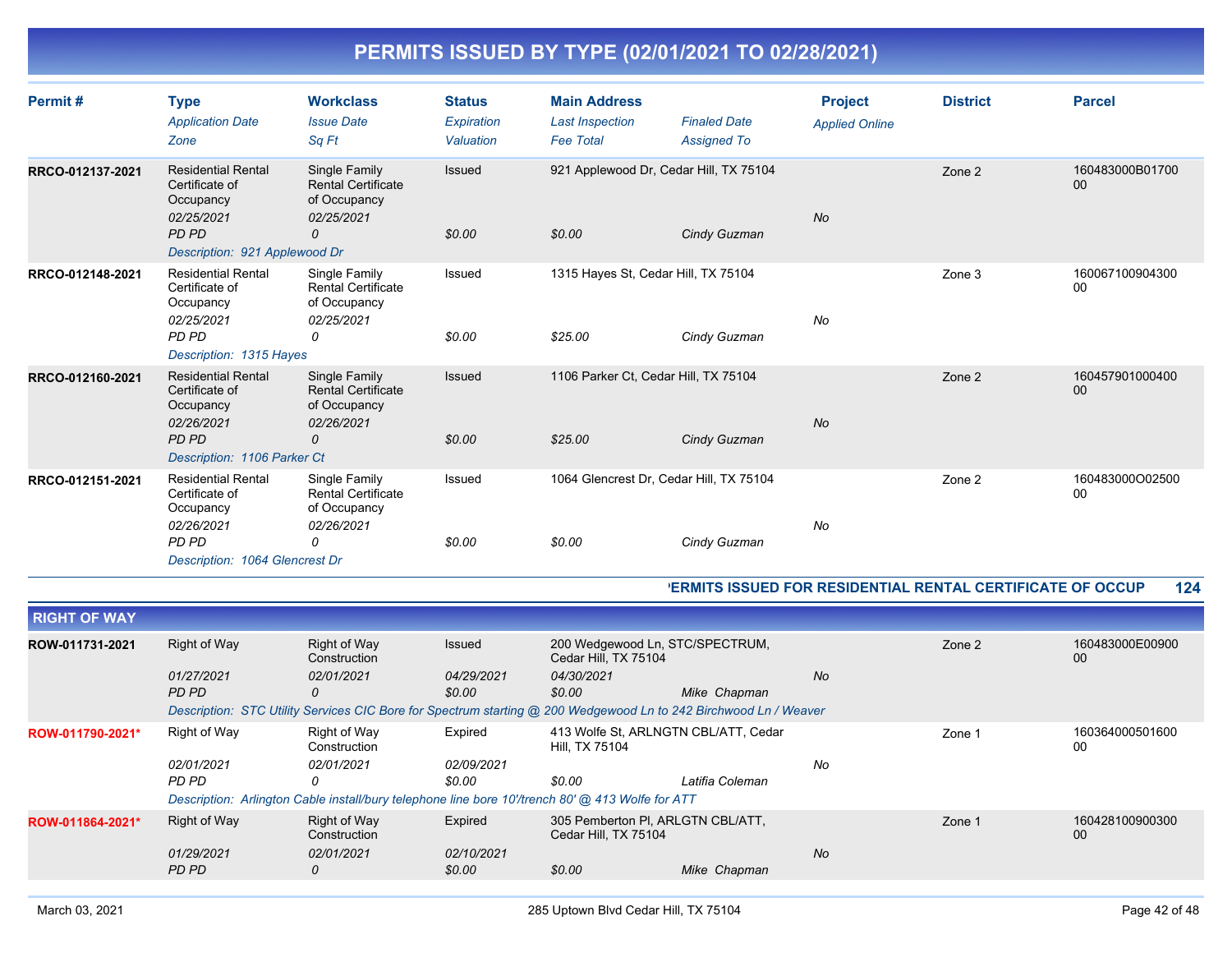| Permit#          | <b>Type</b><br><b>Application Date</b><br>Zone                                                                    | <b>Workclass</b><br><b>Issue Date</b><br>Sa Ft                                | <b>Status</b><br>Expiration<br>Valuation | <b>Main Address</b><br><b>Last Inspection</b><br><b>Fee Total</b> | <b>Finaled Date</b><br><b>Assigned To</b>               | <b>Project</b><br><b>Applied Online</b> | <b>District</b> | <b>Parcel</b>         |
|------------------|-------------------------------------------------------------------------------------------------------------------|-------------------------------------------------------------------------------|------------------------------------------|-------------------------------------------------------------------|---------------------------------------------------------|-----------------------------------------|-----------------|-----------------------|
| RRCO-012137-2021 | <b>Residential Rental</b><br>Certificate of<br>Occupancy<br>02/25/2021<br>PD PD<br>Description: 921 Applewood Dr  | Single Family<br><b>Rental Certificate</b><br>of Occupancy<br>02/25/2021<br>0 | Issued<br>\$0.00                         | \$0.00                                                            | 921 Applewood Dr, Cedar Hill, TX 75104<br>Cindy Guzman  | <b>No</b>                               | Zone 2          | 160483000B01700<br>00 |
| RRCO-012148-2021 | <b>Residential Rental</b><br>Certificate of<br>Occupancy<br>02/25/2021<br><b>PD PD</b><br>Description: 1315 Hayes | Single Family<br><b>Rental Certificate</b><br>of Occupancy<br>02/25/2021<br>0 | Issued<br>\$0.00                         | \$25.00                                                           | 1315 Hayes St, Cedar Hill, TX 75104<br>Cindy Guzman     | No                                      | Zone 3          | 160067100904300<br>00 |
| RRCO-012160-2021 | <b>Residential Rental</b><br>Certificate of<br>Occupancy<br>02/26/2021<br>PD PD<br>Description: 1106 Parker Ct    | Single Family<br><b>Rental Certificate</b><br>of Occupancy<br>02/26/2021<br>0 | Issued<br>\$0.00                         | \$25.00                                                           | 1106 Parker Ct, Cedar Hill, TX 75104<br>Cindy Guzman    | <b>No</b>                               | Zone 2          | 160457901000400<br>00 |
| RRCO-012151-2021 | <b>Residential Rental</b><br>Certificate of<br>Occupancy<br>02/26/2021<br>PD PD<br>Description: 1064 Glencrest Dr | Single Family<br><b>Rental Certificate</b><br>of Occupancy<br>02/26/2021<br>0 | Issued<br>\$0.00                         | \$0.00                                                            | 1064 Glencrest Dr, Cedar Hill, TX 75104<br>Cindy Guzman | No                                      | Zone 2          | 160483000O02500<br>00 |

#### **PERMITS ISSUED FOR RESIDENTIAL RENTAL CERTIFICATE OF OCCUP 124**

| <b>RIGHT OF WAY</b> |              |                                                                                                                  |               |                                                           |                 |           |        |                       |
|---------------------|--------------|------------------------------------------------------------------------------------------------------------------|---------------|-----------------------------------------------------------|-----------------|-----------|--------|-----------------------|
| ROW-011731-2021     | Right of Way | Right of Way<br>Construction                                                                                     | <b>Issued</b> | 200 Wedgewood Ln, STC/SPECTRUM,<br>Cedar Hill, TX 75104   |                 |           | Zone 2 | 160483000E00900<br>00 |
|                     | 01/27/2021   | 02/01/2021                                                                                                       | 04/29/2021    | 04/30/2021                                                |                 | <b>No</b> |        |                       |
|                     | PD PD        | 0                                                                                                                | \$0.00        | \$0.00                                                    | Mike Chapman    |           |        |                       |
|                     |              | Description: STC Utility Services CIC Bore for Spectrum starting @ 200 Wedgewood Ln to 242 Birchwood Ln / Weaver |               |                                                           |                 |           |        |                       |
| ROW-011790-2021*    | Right of Way | Right of Way<br>Construction                                                                                     | Expired       | 413 Wolfe St, ARLNGTN CBL/ATT, Cedar<br>Hill, TX 75104    |                 |           | Zone 1 | 160364000501600<br>00 |
|                     | 02/01/2021   | 02/01/2021                                                                                                       | 02/09/2021    |                                                           |                 | No        |        |                       |
|                     | PD PD        | 0                                                                                                                | \$0.00        | \$0.00                                                    | Latifia Coleman |           |        |                       |
|                     |              | Description: Arlington Cable install/bury telephone line bore 10'/trench 80' @ 413 Wolfe for ATT                 |               |                                                           |                 |           |        |                       |
| ROW-011864-2021*    | Right of Way | Right of Way<br>Construction                                                                                     | Expired       | 305 Pemberton PI, ARLGTN CBL/ATT,<br>Cedar Hill, TX 75104 |                 |           | Zone 1 | 160428100900300<br>00 |
|                     | 01/29/2021   | 02/01/2021                                                                                                       | 02/10/2021    |                                                           |                 | <b>No</b> |        |                       |
|                     | PD PD        | 0                                                                                                                | \$0.00        | \$0.00                                                    | Mike Chapman    |           |        |                       |
|                     |              |                                                                                                                  |               |                                                           |                 |           |        |                       |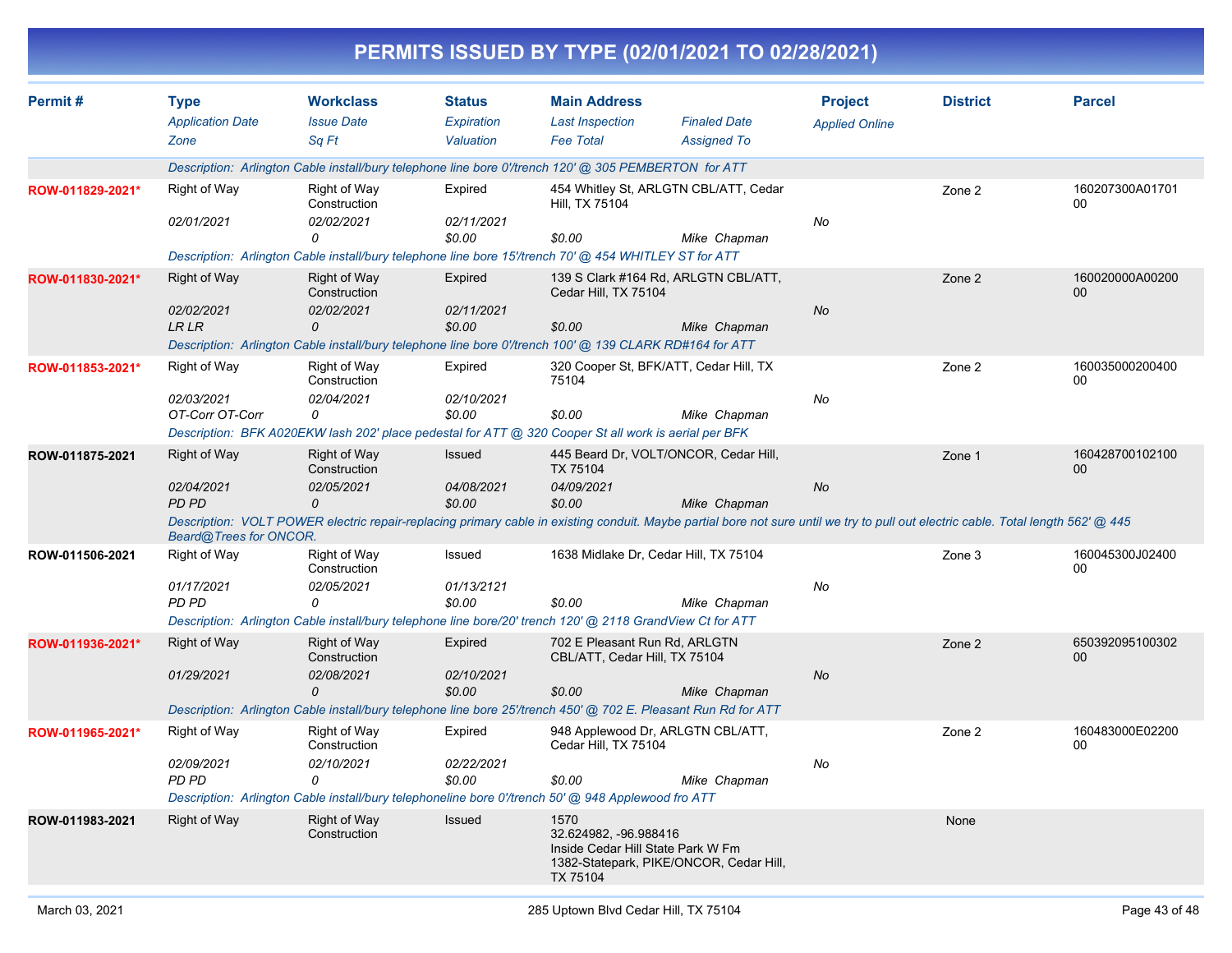| Permit#          | <b>Type</b>                   | <b>Workclass</b>                    | <b>Status</b>               | <b>Main Address</b>                                                                                       |                                                                                                                                                                                   | <b>Project</b>        | <b>District</b> | <b>Parcel</b>                    |
|------------------|-------------------------------|-------------------------------------|-----------------------------|-----------------------------------------------------------------------------------------------------------|-----------------------------------------------------------------------------------------------------------------------------------------------------------------------------------|-----------------------|-----------------|----------------------------------|
|                  | <b>Application Date</b>       | <b>Issue Date</b>                   | Expiration                  | <b>Last Inspection</b>                                                                                    | <b>Finaled Date</b>                                                                                                                                                               | <b>Applied Online</b> |                 |                                  |
|                  | Zone                          | Sq Ft                               | Valuation                   | <b>Fee Total</b>                                                                                          | <b>Assigned To</b>                                                                                                                                                                |                       |                 |                                  |
|                  |                               |                                     |                             | Description: Arlington Cable install/bury telephone line bore 0'/trench 120' @ 305 PEMBERTON for ATT      |                                                                                                                                                                                   |                       |                 |                                  |
| ROW-011829-2021* | Right of Way                  | Right of Way<br>Construction        | Expired                     | Hill, TX 75104                                                                                            | 454 Whitley St, ARLGTN CBL/ATT, Cedar                                                                                                                                             |                       | Zone 2          | 160207300A01701<br>00            |
|                  | 02/01/2021                    | 02/02/2021                          | 02/11/2021                  |                                                                                                           |                                                                                                                                                                                   | No                    |                 |                                  |
|                  |                               | 0                                   | \$0.00                      | \$0.00                                                                                                    | Mike Chapman                                                                                                                                                                      |                       |                 |                                  |
|                  |                               |                                     |                             | Description: Arlington Cable install/bury telephone line bore 15'/trench 70' @ 454 WHITLEY ST for ATT     |                                                                                                                                                                                   |                       |                 |                                  |
| ROW-011830-2021* | Right of Way                  | Right of Way<br>Construction        | Expired                     | Cedar Hill, TX 75104                                                                                      | 139 S Clark #164 Rd, ARLGTN CBL/ATT,                                                                                                                                              |                       | Zone 2          | 160020000A00200<br>00            |
|                  | 02/02/2021                    | 02/02/2021                          | 02/11/2021                  |                                                                                                           |                                                                                                                                                                                   | No                    |                 |                                  |
|                  | LR LR                         | 0                                   | \$0.00                      | \$0.00                                                                                                    | Mike Chapman                                                                                                                                                                      |                       |                 |                                  |
|                  |                               |                                     |                             | Description: Arlington Cable install/bury telephone line bore 0'/trench 100' @ 139 CLARK RD#164 for ATT   |                                                                                                                                                                                   |                       |                 |                                  |
| ROW-011853-2021* | Right of Way                  | Right of Way<br>Construction        | Expired                     | 75104                                                                                                     | 320 Cooper St, BFK/ATT, Cedar Hill, TX                                                                                                                                            |                       | Zone 2          | 160035000200400<br>00            |
|                  | 02/03/2021<br>OT-Corr OT-Corr | 02/04/2021<br>0                     | <i>02/10/2021</i><br>\$0.00 | \$0.00                                                                                                    | Mike Chapman                                                                                                                                                                      | No                    |                 |                                  |
|                  |                               |                                     |                             | Description: BFK A020EKW lash 202' place pedestal for ATT @ 320 Cooper St all work is aerial per BFK      |                                                                                                                                                                                   |                       |                 |                                  |
| ROW-011875-2021  | Right of Way                  | <b>Right of Way</b>                 | Issued                      |                                                                                                           | 445 Beard Dr, VOLT/ONCOR, Cedar Hill,                                                                                                                                             |                       | Zone 1          | 160428700102100                  |
|                  |                               | Construction                        |                             | <b>TX 75104</b>                                                                                           |                                                                                                                                                                                   |                       |                 | 00                               |
|                  | 02/04/2021                    | 02/05/2021                          | 04/08/2021                  | 04/09/2021                                                                                                |                                                                                                                                                                                   | No                    |                 |                                  |
|                  | PD PD                         | 0                                   | \$0.00                      | \$0.00                                                                                                    | Mike Chapman                                                                                                                                                                      |                       |                 |                                  |
|                  | Beard@Trees for ONCOR.        |                                     |                             |                                                                                                           | Description: VOLT POWER electric repair-replacing primary cable in existing conduit. Maybe partial bore not sure until we try to pull out electric cable. Total length 562' @ 445 |                       |                 |                                  |
| ROW-011506-2021  | Right of Way                  | Right of Way<br>Construction        | Issued                      |                                                                                                           | 1638 Midlake Dr, Cedar Hill, TX 75104                                                                                                                                             |                       | Zone 3          | 160045300J02400<br>00            |
|                  | 01/17/2021                    | 02/05/2021                          | 01/13/2121                  |                                                                                                           |                                                                                                                                                                                   | No                    |                 |                                  |
|                  | PD PD                         | 0                                   | \$0.00                      | \$0.00                                                                                                    | Mike Chapman                                                                                                                                                                      |                       |                 |                                  |
|                  |                               |                                     |                             | Description: Arlington Cable install/bury telephone line bore/20' trench 120' @ 2118 GrandView Ct for ATT |                                                                                                                                                                                   |                       |                 |                                  |
| ROW-011936-2021* | Right of Way                  | Right of Way<br>Construction        | Expired                     | 702 E Pleasant Run Rd, ARLGTN<br>CBL/ATT, Cedar Hill, TX 75104                                            |                                                                                                                                                                                   |                       | Zone 2          | 650392095100302<br>00            |
|                  | 01/29/2021                    | 02/08/2021<br>$\Omega$              | 02/10/2021<br>\$0.00        | \$0.00                                                                                                    | Mike Chapman                                                                                                                                                                      | No                    |                 |                                  |
|                  |                               |                                     |                             |                                                                                                           | Description: Arlington Cable install/bury telephone line bore 25'/trench 450' @ 702 E. Pleasant Run Rd for ATT                                                                    |                       |                 |                                  |
| ROW-011965-2021* | Right of Way                  | <b>Right of Way</b><br>Construction | Expired                     | Cedar Hill, IX /5104                                                                                      | 948 Applewood Dr, ARLGTN CBL/ATT,                                                                                                                                                 |                       | Zone 2          | 160483000E02200<br><sub>00</sub> |
|                  | 02/09/2021<br>PD PD           | 02/10/2021<br>0                     | 02/22/2021<br>\$0.00        | \$0.00                                                                                                    | Mike Chapman                                                                                                                                                                      | No                    |                 |                                  |
|                  |                               |                                     |                             | Description: Arlington Cable install/bury telephoneline bore 0'/trench 50' @ 948 Applewood fro ATT        |                                                                                                                                                                                   |                       |                 |                                  |
| ROW-011983-2021  | <b>Right of Way</b>           | Right of Way<br>Construction        | Issued                      | 1570<br>32.624982, -96.988416<br>Inside Cedar Hill State Park W Fm                                        |                                                                                                                                                                                   |                       | None            |                                  |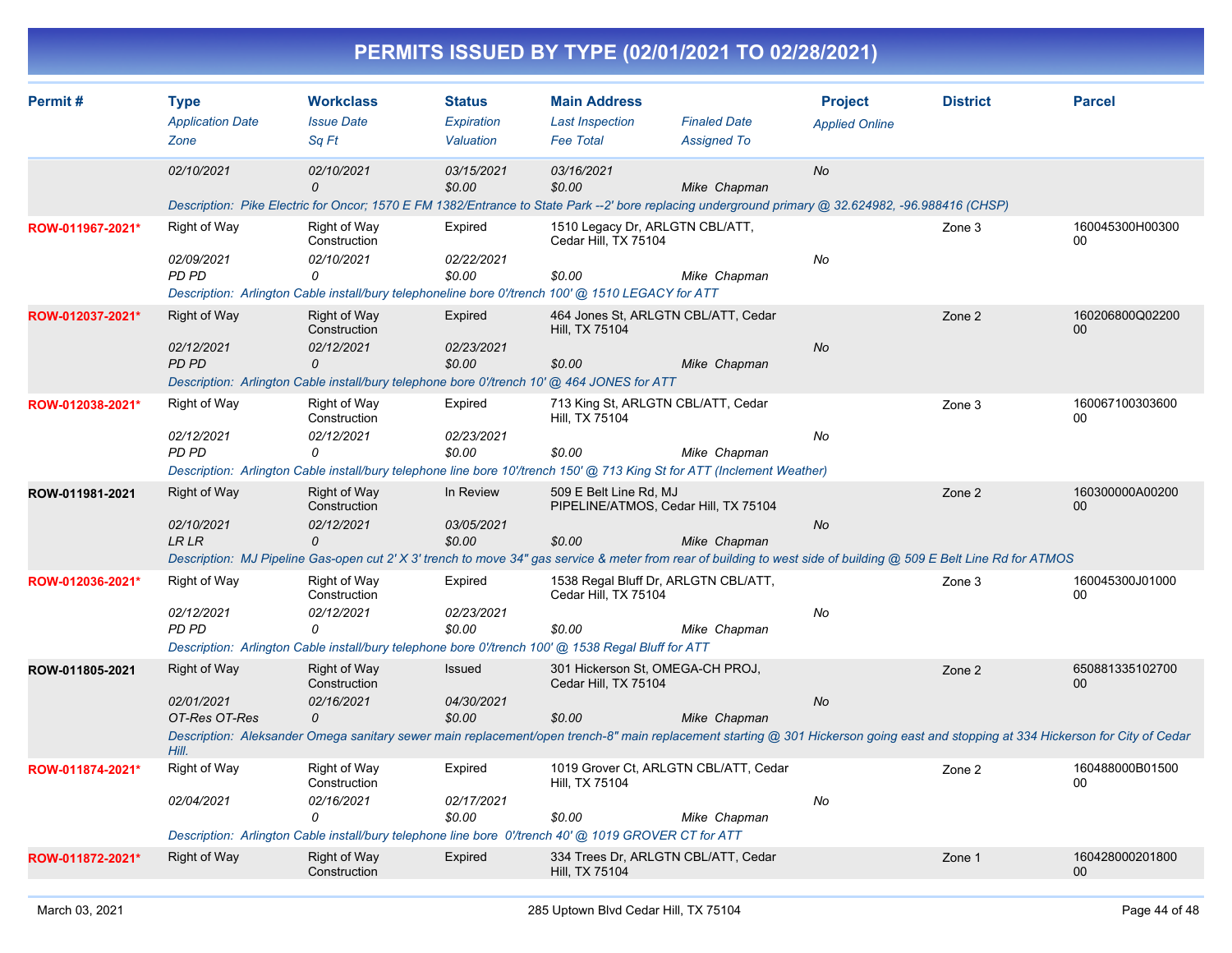|                  |                                                             |                                                                                                                                                         |                                          |                                                                   | PERMITS ISSUED BY TYPE (02/01/2021 TO 02/28/2021)                                                                                                                                                                          |                                         |                 |                                                                                                                                                                                                            |
|------------------|-------------------------------------------------------------|---------------------------------------------------------------------------------------------------------------------------------------------------------|------------------------------------------|-------------------------------------------------------------------|----------------------------------------------------------------------------------------------------------------------------------------------------------------------------------------------------------------------------|-----------------------------------------|-----------------|------------------------------------------------------------------------------------------------------------------------------------------------------------------------------------------------------------|
| Permit#          | <b>Type</b><br><b>Application Date</b><br>Zone              | <b>Workclass</b><br><b>Issue Date</b><br>Sq Ft                                                                                                          | <b>Status</b><br>Expiration<br>Valuation | <b>Main Address</b><br><b>Last Inspection</b><br><b>Fee Total</b> | <b>Finaled Date</b><br><b>Assigned To</b>                                                                                                                                                                                  | <b>Project</b><br><b>Applied Online</b> | <b>District</b> | <b>Parcel</b>                                                                                                                                                                                              |
|                  | 02/10/2021                                                  | 02/10/2021<br>$\Omega$                                                                                                                                  | 03/15/2021<br>\$0.00                     | 03/16/2021<br>\$0.00                                              | Mike Chapman<br>Description: Pike Electric for Oncor; 1570 E FM 1382/Entrance to State Park --2' bore replacing underground primary @ 32.624982, -96.988416 (CHSP)                                                         | No                                      |                 |                                                                                                                                                                                                            |
| ROW-011967-2021* | Right of Way<br>02/09/2021<br><b>PD PD</b>                  | Right of Way<br>Construction<br>02/10/2021<br>0<br>Description: Arlington Cable install/bury telephoneline bore 0'/trench 100' @ 1510 LEGACY for ATT    | Expired<br>02/22/2021<br>\$0.00          | Cedar Hill, TX 75104<br>\$0.00                                    | 1510 Legacy Dr. ARLGTN CBL/ATT.<br>Mike Chapman                                                                                                                                                                            | No                                      | Zone 3          | 160045300H00300<br>00                                                                                                                                                                                      |
| ROW-012037-2021* | Right of Way<br>02/12/2021<br><b>PD PD</b>                  | <b>Right of Way</b><br>Construction<br>02/12/2021<br>0<br>Description: Arlington Cable install/bury telephone bore 0'/trench 10' @ 464 JONES for ATT    | Expired<br>02/23/2021<br>\$0.00          | Hill, TX 75104<br>\$0.00                                          | 464 Jones St, ARLGTN CBL/ATT, Cedar<br>Mike Chapman                                                                                                                                                                        | No                                      | Zone 2          | 160206800Q02200<br>$00\,$                                                                                                                                                                                  |
| ROW-012038-2021* | Right of Way<br>02/12/2021<br>PD PD                         | Right of Way<br>Construction<br>02/12/2021<br>0                                                                                                         | Expired<br>02/23/2021<br>\$0.00          | Hill, TX 75104<br>\$0.00                                          | 713 King St, ARLGTN CBL/ATT, Cedar<br>Mike Chapman<br>Description: Arlington Cable install/bury telephone line bore 10'/trench 150' @ 713 King St for ATT (Inclement Weather)                                              | No                                      | Zone 3          | 160067100303600<br>00                                                                                                                                                                                      |
| ROW-011981-2021  | <b>Right of Way</b><br>02/10/2021<br><b>LR LR</b>           | <b>Right of Way</b><br>Construction<br>02/12/2021<br>$\Omega$                                                                                           | In Review<br>03/05/2021<br>\$0.00        | 509 E Belt Line Rd, MJ<br>\$0.00                                  | PIPELINE/ATMOS, Cedar Hill, TX 75104<br>Mike Chapman<br>Description: MJ Pipeline Gas-open cut 2' X 3' trench to move 34" gas service & meter from rear of building to west side of building @ 509 E Belt Line Rd for ATMOS | No                                      | Zone 2          | 160300000A00200<br>00                                                                                                                                                                                      |
| ROW-012036-2021* | Right of Way<br>02/12/2021<br>PD PD                         | Right of Way<br>Construction<br>02/12/2021<br>0<br>Description: Arlington Cable install/bury telephone bore 0'/trench 100' @ 1538 Regal Bluff for ATT   | Expired<br>02/23/2021<br>\$0.00          | Cedar Hill, TX 75104<br>\$0.00                                    | 1538 Regal Bluff Dr, ARLGTN CBL/ATT,<br>Mike Chapman                                                                                                                                                                       | No                                      | Zone 3          | 160045300J01000<br>00                                                                                                                                                                                      |
| ROW-011805-2021  | <b>Right of Way</b><br>02/01/2021<br>OT-Res OT-Res<br>Hill. | <b>Right of Way</b><br>Construction<br>02/16/2021<br>$\Omega$                                                                                           | Issued<br>04/30/2021<br>\$0.00           | Cedar Hill, TX 75104<br>\$0.00                                    | 301 Hickerson St, OMEGA-CH PROJ,<br>Mike Chapman                                                                                                                                                                           | No                                      | Zone 2          | 650881335102700<br>00<br>Description: Aleksander Omega sanitary sewer main replacement/open trench-8" main replacement starting @ 301 Hickerson going east and stopping at 334 Hickerson for City of Cedar |
| ROW-011874-2021* | Right of Way<br>02/04/2021                                  | Right of Way<br>Construction<br>02/16/2021<br>0<br>Description: Arlington Cable install/bury telephone line bore 0'/trench 40' @ 1019 GROVER CT for ATT | Expired<br>02/17/2021<br>\$0.00          | Hill, TX 75104<br>\$0.00                                          | 1019 Grover Ct, ARLGTN CBL/ATT, Cedar<br>Mike Chapman                                                                                                                                                                      | No                                      | Zone 2          | 160488000B01500<br>00                                                                                                                                                                                      |
| ROW-011872-2021* | <b>Right of Way</b>                                         | Right of Way<br>Construction                                                                                                                            | Expired                                  | Hill, TX 75104                                                    | 334 Trees Dr, ARLGTN CBL/ATT, Cedar                                                                                                                                                                                        |                                         | Zone 1          | 160428000201800<br>00                                                                                                                                                                                      |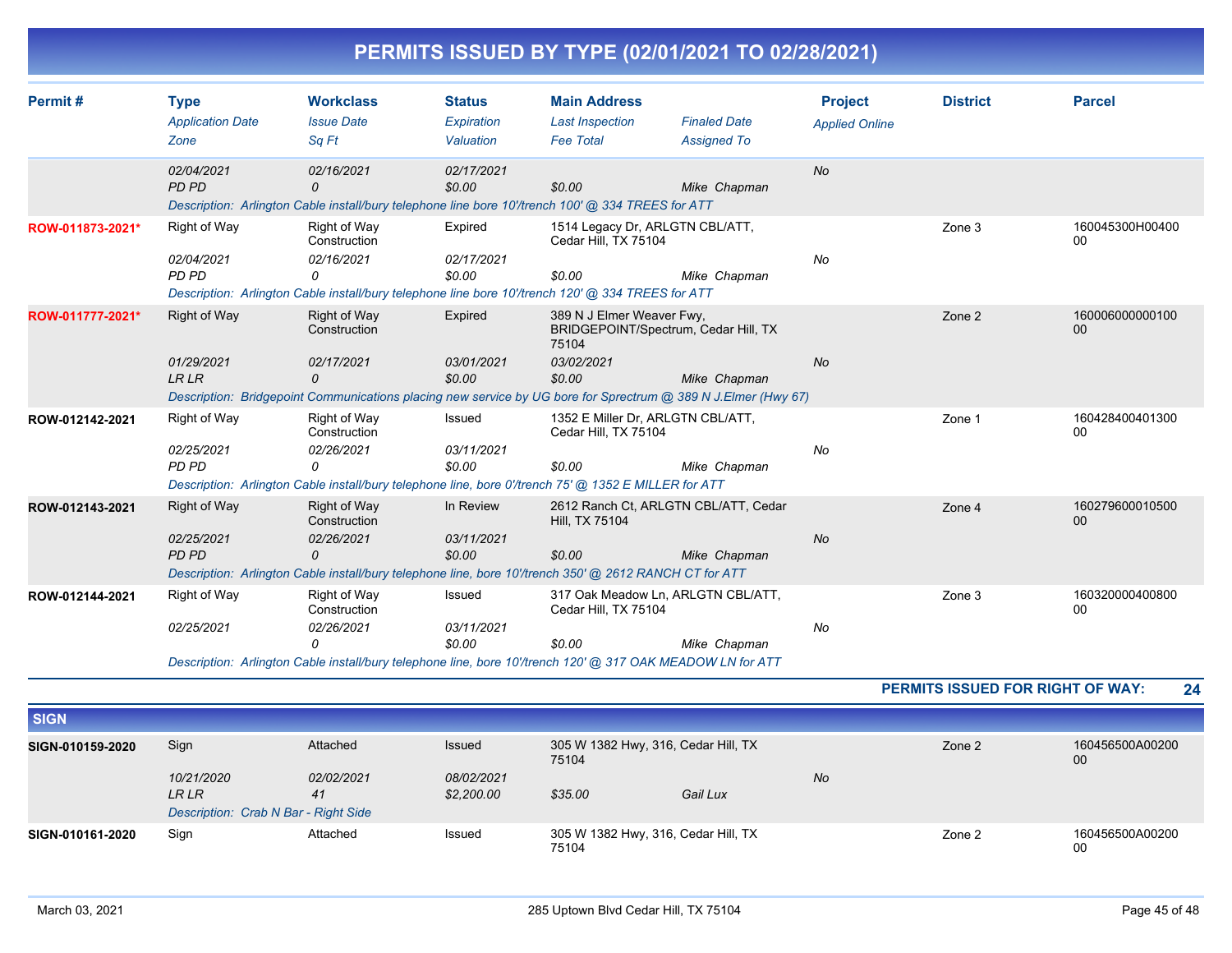|  | PERMITS ISSUED BY TYPE (02/01/2021 TO 02/28/2021) |
|--|---------------------------------------------------|
|  |                                                   |

| Permit#          | <b>Type</b>             | <b>Workclass</b>                                                                                           | <b>Status</b> | <b>Main Address</b>                                       |                                                                                                               | <b>Project</b>        | <b>District</b> | <b>Parcel</b>         |
|------------------|-------------------------|------------------------------------------------------------------------------------------------------------|---------------|-----------------------------------------------------------|---------------------------------------------------------------------------------------------------------------|-----------------------|-----------------|-----------------------|
|                  | <b>Application Date</b> | <b>Issue Date</b>                                                                                          | Expiration    | <b>Last Inspection</b>                                    | <b>Finaled Date</b>                                                                                           | <b>Applied Online</b> |                 |                       |
|                  | Zone                    | Sq Ft                                                                                                      | Valuation     | <b>Fee Total</b>                                          | <b>Assigned To</b>                                                                                            |                       |                 |                       |
|                  | 02/04/2021              | 02/16/2021                                                                                                 | 02/17/2021    |                                                           |                                                                                                               | <b>No</b>             |                 |                       |
|                  | PD PD                   | $\Omega$                                                                                                   | \$0.00        | \$0.00                                                    | Mike Chapman                                                                                                  |                       |                 |                       |
|                  |                         | Description: Arlington Cable install/bury telephone line bore 10'/trench 100' @ 334 TREES for ATT          |               |                                                           |                                                                                                               |                       |                 |                       |
| ROW-011873-2021* | Right of Way            | Right of Way<br>Construction                                                                               | Expired       | 1514 Legacy Dr, ARLGTN CBL/ATT,<br>Cedar Hill, TX 75104   |                                                                                                               |                       | Zone 3          | 160045300H00400<br>00 |
|                  | 02/04/2021              | 02/16/2021                                                                                                 | 02/17/2021    |                                                           |                                                                                                               | No                    |                 |                       |
|                  | PD PD                   | 0                                                                                                          | \$0.00        | \$0.00                                                    | Mike Chapman                                                                                                  |                       |                 |                       |
|                  |                         | Description: Arlington Cable install/bury telephone line bore 10'/trench 120' @ 334 TREES for ATT          |               |                                                           |                                                                                                               |                       |                 |                       |
| ROW-011777-2021* | <b>Right of Way</b>     | Right of Way                                                                                               | Expired       | 389 N J Elmer Weaver Fwy,                                 |                                                                                                               |                       | Zone 2          | 160006000000100       |
|                  |                         | Construction                                                                                               |               | 75104                                                     | BRIDGEPOINT/Spectrum, Cedar Hill, TX                                                                          |                       |                 | 00                    |
|                  | 01/29/2021              | 02/17/2021                                                                                                 | 03/01/2021    | 03/02/2021                                                |                                                                                                               | <b>No</b>             |                 |                       |
|                  | <b>LRLR</b>             | 0                                                                                                          | \$0.00        | \$0.00                                                    | Mike Chapman                                                                                                  |                       |                 |                       |
|                  |                         |                                                                                                            |               |                                                           | Description: Bridgepoint Communications placing new service by UG bore for Sprectrum @ 389 N J.Elmer (Hwy 67) |                       |                 |                       |
| ROW-012142-2021  | Right of Way            | Right of Way<br>Construction                                                                               | Issued        | 1352 E Miller Dr. ARLGTN CBL/ATT.<br>Cedar Hill, TX 75104 |                                                                                                               |                       | Zone 1          | 160428400401300<br>00 |
|                  | 02/25/2021              | 02/26/2021                                                                                                 | 03/11/2021    |                                                           |                                                                                                               | No                    |                 |                       |
|                  | PD PD                   | 0                                                                                                          | \$0.00        | \$0.00                                                    | Mike Chapman                                                                                                  |                       |                 |                       |
|                  |                         | Description: Arlington Cable install/bury telephone line, bore 0'/trench 75' @ 1352 E MILLER for ATT       |               |                                                           |                                                                                                               |                       |                 |                       |
| ROW-012143-2021  | Right of Way            | Right of Way<br>Construction                                                                               | In Review     | Hill, TX 75104                                            | 2612 Ranch Ct, ARLGTN CBL/ATT, Cedar                                                                          |                       | Zone 4          | 160279600010500<br>00 |
|                  | 02/25/2021              | 02/26/2021                                                                                                 | 03/11/2021    |                                                           |                                                                                                               | <b>No</b>             |                 |                       |
|                  | PD PD                   | 0                                                                                                          | \$0.00        | \$0.00                                                    | Mike Chapman                                                                                                  |                       |                 |                       |
|                  |                         | Description: Arlington Cable install/bury telephone line, bore 10'/trench 350' @ 2612 RANCH CT for ATT     |               |                                                           |                                                                                                               |                       |                 |                       |
| ROW-012144-2021  | Right of Way            | Right of Way<br>Construction                                                                               | Issued        | Cedar Hill, TX 75104                                      | 317 Oak Meadow Ln, ARLGTN CBL/ATT,                                                                            |                       | Zone 3          | 160320000400800<br>00 |
|                  | 02/25/2021              | 02/26/2021                                                                                                 | 03/11/2021    |                                                           |                                                                                                               | No                    |                 |                       |
|                  |                         | 0                                                                                                          | \$0.00        | \$0.00                                                    | Mike Chapman                                                                                                  |                       |                 |                       |
|                  |                         | Description: Arlington Cable install/bury telephone line, bore 10'/trench 120' @ 317 OAK MEADOW LN for ATT |               |                                                           |                                                                                                               |                       |                 |                       |

#### **PERMITS ISSUED FOR RIGHT OF WAY: 24**

| <b>SIGN</b>      |                                                                    |                  |                          |                                              |          |    |        |                       |
|------------------|--------------------------------------------------------------------|------------------|--------------------------|----------------------------------------------|----------|----|--------|-----------------------|
| SIGN-010159-2020 | Sign                                                               | Attached         | Issued                   | 305 W 1382 Hwy, 316, Cedar Hill, TX<br>75104 |          |    | Zone 2 | 160456500A00200<br>00 |
|                  | 10/21/2020<br><b>LR LR</b><br>Description: Crab N Bar - Right Side | 02/02/2021<br>41 | 08/02/2021<br>\$2,200.00 | \$35.00                                      | Gail Lux | No |        |                       |
| SIGN-010161-2020 | Sign                                                               | Attached         | Issued                   | 305 W 1382 Hwy, 316, Cedar Hill, TX<br>75104 |          |    | Zone 2 | 160456500A00200<br>00 |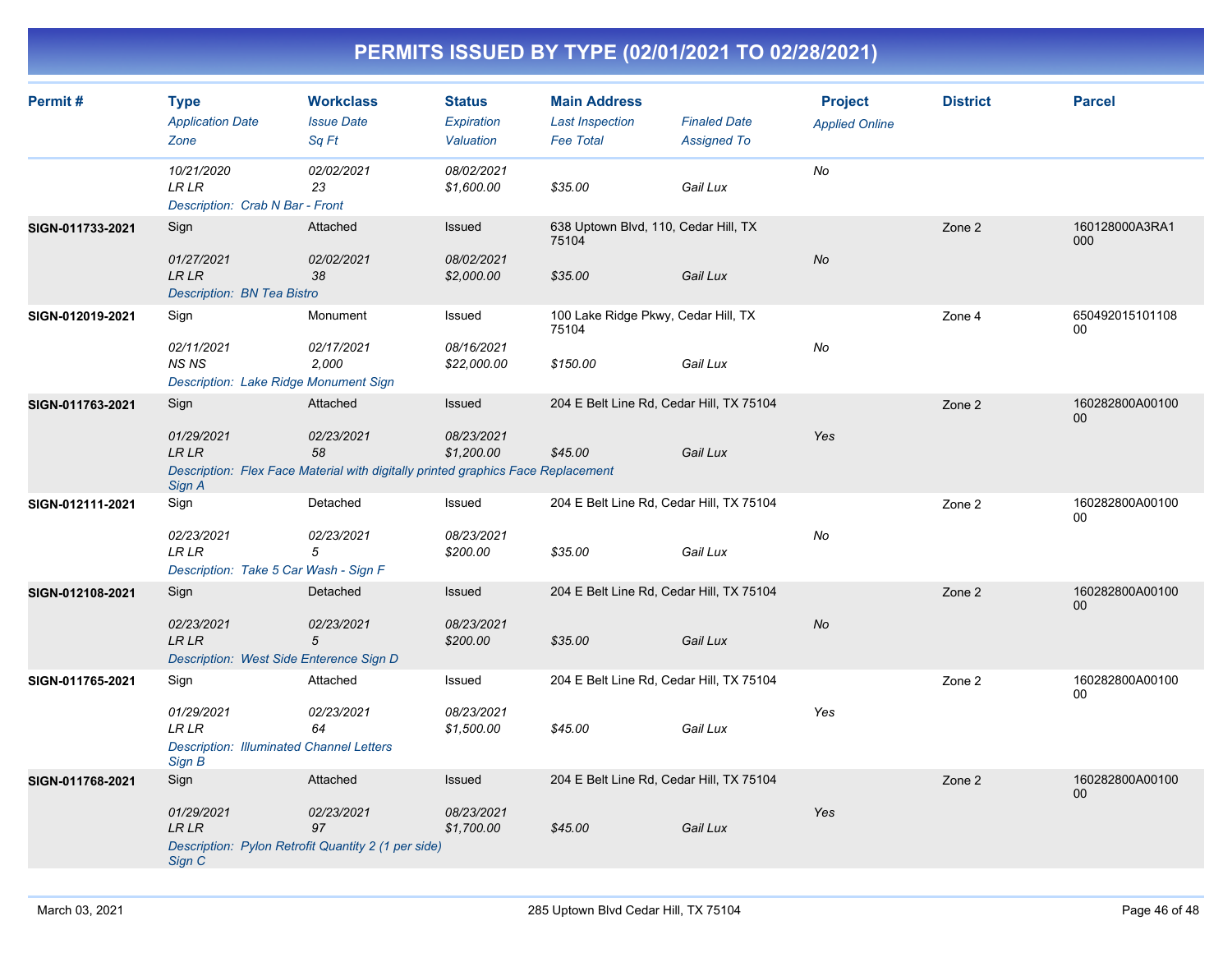| Permit#          | <b>Type</b><br><b>Application Date</b><br>Zone                                                  | <b>Workclass</b><br><b>Issue Date</b><br>Sq Ft                                                                   | <b>Status</b><br>Expiration<br>Valuation | <b>Main Address</b><br><b>Last Inspection</b><br><b>Fee Total</b> | <b>Finaled Date</b><br><b>Assigned To</b> | <b>Project</b><br><b>Applied Online</b> | <b>District</b> | <b>Parcel</b>             |
|------------------|-------------------------------------------------------------------------------------------------|------------------------------------------------------------------------------------------------------------------|------------------------------------------|-------------------------------------------------------------------|-------------------------------------------|-----------------------------------------|-----------------|---------------------------|
|                  | 10/21/2020<br><b>LRLR</b><br>Description: Crab N Bar - Front                                    | 02/02/2021<br>23                                                                                                 | 08/02/2021<br>\$1,600.00                 | \$35.00                                                           | Gail Lux                                  | No                                      |                 |                           |
| SIGN-011733-2021 | Sign<br>01/27/2021<br><b>LRLR</b><br>Description: BN Tea Bistro                                 | Attached<br>02/02/2021<br>38                                                                                     | Issued<br>08/02/2021<br>\$2,000.00       | 638 Uptown Blvd, 110, Cedar Hill, TX<br>75104<br>\$35.00          | Gail Lux                                  | No                                      | Zone 2          | 160128000A3RA1<br>000     |
| SIGN-012019-2021 | Sign<br>02/11/2021<br><b>NS NS</b><br>Description: Lake Ridge Monument Sign                     | Monument<br>02/17/2021<br>2,000                                                                                  | Issued<br>08/16/2021<br>\$22,000.00      | 100 Lake Ridge Pkwy, Cedar Hill, TX<br>75104<br>\$150.00          | Gail Lux                                  | No                                      | Zone 4          | 650492015101108<br>00     |
| SIGN-011763-2021 | Sign<br>01/29/2021<br><b>LR LR</b><br>Sign A                                                    | Attached<br>02/23/2021<br>58<br>Description: Flex Face Material with digitally printed graphics Face Replacement | Issued<br>08/23/2021<br>\$1,200.00       | 204 E Belt Line Rd, Cedar Hill, TX 75104<br>\$45.00               | Gail Lux                                  | Yes                                     | Zone 2          | 160282800A00100<br>$00\,$ |
| SIGN-012111-2021 | Sign<br>02/23/2021<br><b>LR LR</b><br>Description: Take 5 Car Wash - Sign F                     | Detached<br>02/23/2021<br>$\overline{5}$                                                                         | Issued<br>08/23/2021<br>\$200.00         | 204 E Belt Line Rd, Cedar Hill, TX 75104<br>\$35.00               | Gail Lux                                  | No                                      | Zone 2          | 160282800A00100<br>00     |
| SIGN-012108-2021 | Sign<br>02/23/2021<br><b>LR LR</b><br>Description: West Side Enterence Sign D                   | Detached<br>02/23/2021<br>5                                                                                      | Issued<br>08/23/2021<br>\$200.00         | 204 E Belt Line Rd, Cedar Hill, TX 75104<br>\$35.00               | Gail Lux                                  | <b>No</b>                               | Zone 2          | 160282800A00100<br>00     |
| SIGN-011765-2021 | Sign<br>01/29/2021<br><b>LR LR</b><br><b>Description: Illuminated Channel Letters</b><br>Sign B | Attached<br>02/23/2021<br>64                                                                                     | Issued<br>08/23/2021<br>\$1,500.00       | 204 E Belt Line Rd, Cedar Hill, TX 75104<br>\$45.00               | Gail Lux                                  | Yes                                     | Zone 2          | 160282800A00100<br>00     |
| SIGN-011768-2021 | Sign<br>01/29/2021<br><b>LRLR</b><br>Sign C                                                     | Attached<br>02/23/2021<br>97<br>Description: Pylon Retrofit Quantity 2 (1 per side)                              | Issued<br>08/23/2021<br>\$1,700.00       | 204 E Belt Line Rd, Cedar Hill, TX 75104<br>\$45.00               | Gail Lux                                  | Yes                                     | Zone 2          | 160282800A00100<br>00     |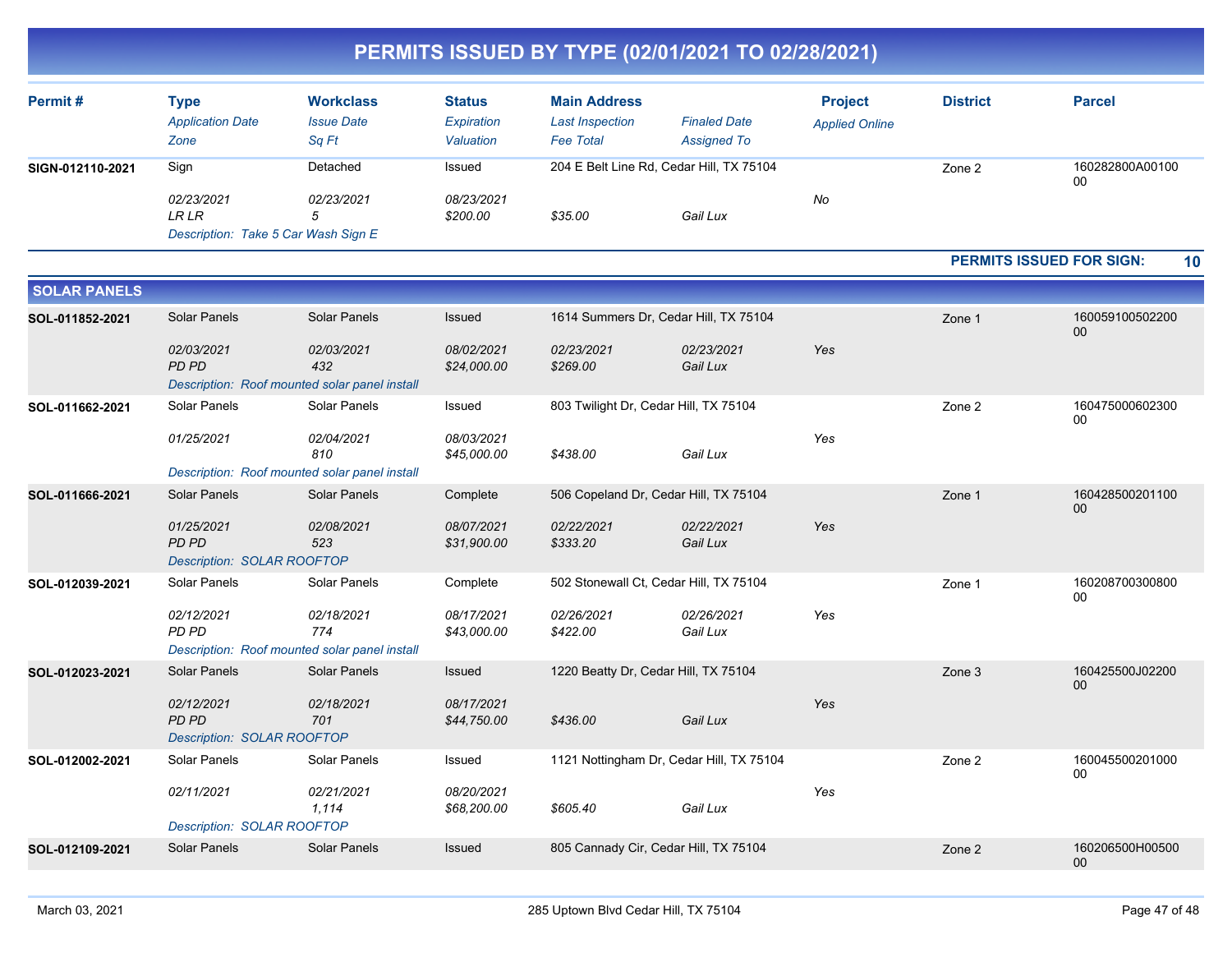| <b>Permit#</b>   | Type<br><b>Application Date</b><br>Zone | <b>Workclass</b><br><b>Issue Date</b><br>Sq Ft | <b>Status</b><br>Expiration<br>Valuation | <b>Main Address</b><br><b>Last Inspection</b><br><b>Fee Total</b> | <b>Finaled Date</b><br><b>Assigned To</b> | <b>Project</b><br><b>Applied Online</b> | <b>District</b> | <b>Parcel</b>         |
|------------------|-----------------------------------------|------------------------------------------------|------------------------------------------|-------------------------------------------------------------------|-------------------------------------------|-----------------------------------------|-----------------|-----------------------|
| SIGN-012110-2021 | Sign                                    | Detached                                       | Issued                                   | 204 E Belt Line Rd, Cedar Hill, TX 75104                          |                                           |                                         | Zone 2          | 160282800A00100<br>00 |
|                  | 02/23/2021                              | 02/23/2021                                     | 08/23/2021                               |                                                                   |                                           | No                                      |                 |                       |
|                  | LR LR                                   |                                                | \$200.00                                 | \$35.00                                                           | Gail Lux                                  |                                         |                 |                       |
|                  | Description: Take 5 Car Wash Sign E     |                                                |                                          |                                                                   |                                           |                                         |                 |                       |

#### **PERMITS ISSUED FOR SIGN: 10**

| <b>SOLAR PANELS</b> |                                                          |                                                                    |                                                 |                                          |                        |        |                       |                       |
|---------------------|----------------------------------------------------------|--------------------------------------------------------------------|-------------------------------------------------|------------------------------------------|------------------------|--------|-----------------------|-----------------------|
| SOL-011852-2021     | <b>Solar Panels</b>                                      | <b>Solar Panels</b><br>Issued                                      |                                                 | 1614 Summers Dr, Cedar Hill, TX 75104    |                        |        | Zone 1                | 160059100502200<br>00 |
|                     | 02/03/2021<br>PD PD                                      | 02/03/2021<br>432<br>Description: Roof mounted solar panel install | 08/02/2021<br>\$24,000.00                       | 02/23/2021<br>\$269.00                   | 02/23/2021<br>Gail Lux | Yes    |                       |                       |
| SOL-011662-2021     | Solar Panels<br>Solar Panels                             |                                                                    | Issued<br>803 Twilight Dr, Cedar Hill, TX 75104 |                                          |                        | Zone 2 | 160475000602300<br>00 |                       |
|                     | 01/25/2021                                               | 02/04/2021<br>810                                                  | 08/03/2021<br>\$45,000.00                       | \$438.00                                 | Gail Lux               | Yes    |                       |                       |
|                     |                                                          | Description: Roof mounted solar panel install                      |                                                 |                                          |                        |        |                       |                       |
| SOL-011666-2021     | <b>Solar Panels</b>                                      | Solar Panels                                                       | Complete                                        | 506 Copeland Dr, Cedar Hill, TX 75104    |                        |        | Zone 1                | 160428500201100<br>00 |
|                     | 01/25/2021<br>PD PD<br><b>Description: SOLAR ROOFTOP</b> | 02/08/2021<br>523                                                  | 08/07/2021<br>\$31,900.00                       | 02/22/2021<br>\$333.20                   | 02/22/2021<br>Gail Lux | Yes    |                       |                       |
| SOL-012039-2021     | Solar Panels                                             | Solar Panels                                                       | Complete                                        | 502 Stonewall Ct, Cedar Hill, TX 75104   |                        |        | Zone 1                | 160208700300800<br>00 |
|                     | 02/12/2021<br>PD PD                                      | 02/18/2021<br>774<br>Description: Roof mounted solar panel install | 08/17/2021<br>\$43,000.00                       | 02/26/2021<br>\$422.00                   | 02/26/2021<br>Gail Lux | Yes    |                       |                       |
| SOL-012023-2021     | <b>Solar Panels</b><br><b>Solar Panels</b>               |                                                                    | 1220 Beatty Dr, Cedar Hill, TX 75104<br>Issued  |                                          |                        |        | Zone 3                | 160425500J02200       |
|                     | 02/12/2021<br>PD PD<br><b>Description: SOLAR ROOFTOP</b> | 02/18/2021<br>701                                                  | 08/17/2021<br>\$44,750.00                       | \$436.00                                 | Gail Lux               | Yes    |                       | 00                    |
| SOL-012002-2021     | Solar Panels                                             | Solar Panels                                                       | Issued                                          | 1121 Nottingham Dr, Cedar Hill, TX 75104 |                        |        | Zone 2                | 160045500201000       |
|                     | 02/11/2021<br>Description: SOLAR ROOFTOP                 | 02/21/2021<br>1,114                                                | 08/20/2021<br>\$68,200.00                       | \$605.40                                 | Gail Lux               | Yes    |                       | 00                    |
| SOL-012109-2021     | <b>Solar Panels</b>                                      | <b>Solar Panels</b>                                                | Issued                                          | 805 Cannady Cir, Cedar Hill, TX 75104    |                        |        | Zone 2                | 160206500H00500<br>00 |